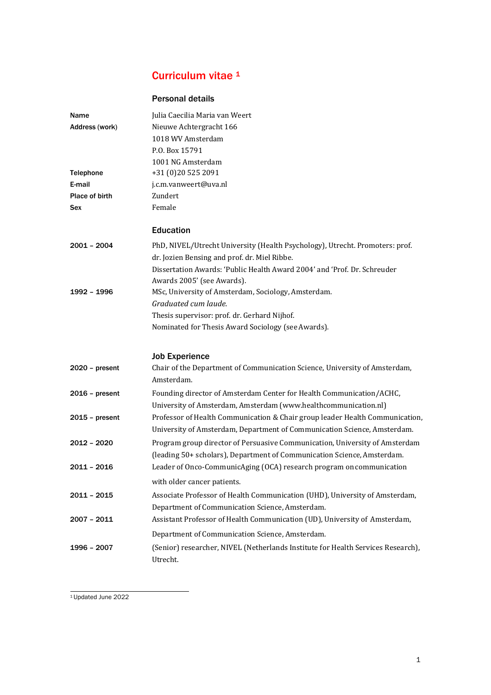# Curriculum vitae <sup>[1](#page-0-0)</sup>

## Personal details

| Name             | Julia Caecilia Maria van Weert                                                                                                                           |
|------------------|----------------------------------------------------------------------------------------------------------------------------------------------------------|
| Address (work)   | Nieuwe Achtergracht 166                                                                                                                                  |
|                  | 1018 WV Amsterdam                                                                                                                                        |
|                  | P.O. Box 15791                                                                                                                                           |
|                  | 1001 NG Amsterdam                                                                                                                                        |
| <b>Telephone</b> | +31 (0)20 525 2091                                                                                                                                       |
| E-mail           | j.c.m.vanweert@uva.nl                                                                                                                                    |
| Place of birth   | Zundert                                                                                                                                                  |
| Sex              | Female                                                                                                                                                   |
|                  | <b>Education</b>                                                                                                                                         |
| $2001 - 2004$    | PhD, NIVEL/Utrecht University (Health Psychology), Utrecht. Promoters: prof.<br>dr. Jozien Bensing and prof. dr. Miel Ribbe.                             |
|                  | Dissertation Awards: 'Public Health Award 2004' and 'Prof. Dr. Schreuder                                                                                 |
|                  | Awards 2005' (see Awards).                                                                                                                               |
| 1992 - 1996      | MSc, University of Amsterdam, Sociology, Amsterdam.                                                                                                      |
|                  | Graduated cum laude.                                                                                                                                     |
|                  | Thesis supervisor: prof. dr. Gerhard Nijhof.                                                                                                             |
|                  | Nominated for Thesis Award Sociology (see Awards).                                                                                                       |
|                  | <b>Job Experience</b>                                                                                                                                    |
| $2020 - present$ | Chair of the Department of Communication Science, University of Amsterdam,<br>Amsterdam.                                                                 |
| $2016$ – present | Founding director of Amsterdam Center for Health Communication/ACHC,                                                                                     |
|                  | University of Amsterdam, Amsterdam (www.healthcommunication.nl)                                                                                          |
| $2015$ – present | Professor of Health Communication & Chair group leader Health Communication,<br>University of Amsterdam, Department of Communication Science, Amsterdam. |
| 2012 - 2020      | Program group director of Persuasive Communication, University of Amsterdam                                                                              |
|                  | (leading 50+ scholars), Department of Communication Science, Amsterdam.                                                                                  |
| 2011 - 2016      | Leader of Onco-CommunicAging (OCA) research program on communication                                                                                     |
|                  | with older cancer patients.                                                                                                                              |
| $2011 - 2015$    | Associate Professor of Health Communication (UHD), University of Amsterdam,                                                                              |
|                  | Department of Communication Science, Amsterdam.                                                                                                          |
| $2007 - 2011$    | Assistant Professor of Health Communication (UD), University of Amsterdam,                                                                               |
|                  | Department of Communication Science, Amsterdam.                                                                                                          |
| 1996 - 2007      | (Senior) researcher, NIVEL (Netherlands Institute for Health Services Research),<br>Utrecht.                                                             |

<span id="page-0-0"></span><sup>1</sup>Updated June 2022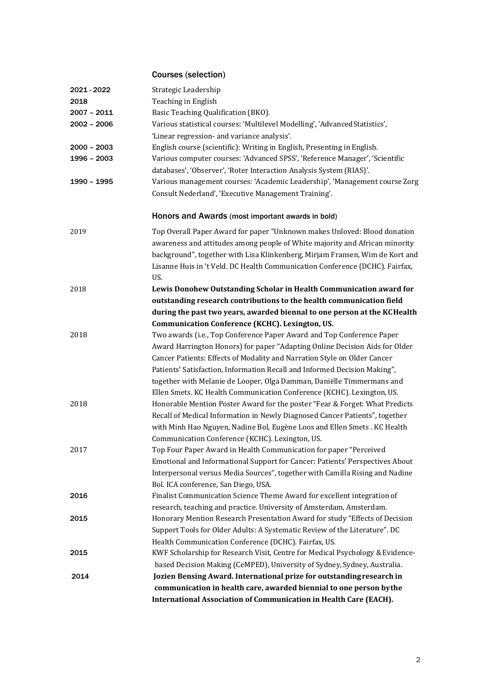# Courses (selection)

| 2021 - 2022   | Strategic Leadership                                                          |
|---------------|-------------------------------------------------------------------------------|
| 2018          | Teaching in English                                                           |
| $2007 - 2011$ | Basic Teaching Qualification (BKO).                                           |
| $2002 - 2006$ | Various statistical courses: 'Multilevel Modelling', 'Advanced Statistics',   |
|               | 'Linear regression- and variance analysis'.                                   |
| $2000 - 2003$ | English course (scientific): Writing in English, Presenting in English.       |
| 1996 - 2003   | Various computer courses: 'Advanced SPSS', 'Reference Manager', 'Scientific   |
|               | databases', 'Observer', 'Roter Interaction Analysis System (RIAS)'.           |
| 1990 - 1995   | Various management courses: 'Academic Leadership', 'Management course Zorg    |
|               | Consult Nederland', 'Executive Management Training'.                          |
|               | Honors and Awards (most important awards in bold)                             |
| 2019          | Top Overall Paper Award for paper "Unknown makes Unloved: Blood donation      |
|               | awareness and attitudes among people of White majority and African minority   |
|               | background", together with Lisa Klinkenberg, Mirjam Fransen, Wim de Kort and  |
|               | Lisanne Huis in 't Veld. DC Health Communication Conference (DCHC). Fairfax,  |
|               | US.                                                                           |
| 2018          | Lewis Donohew Outstanding Scholar in Health Communication award for           |
|               | outstanding research contributions to the health communication field          |
|               | during the past two years, awarded biennal to one person at the KCHealth      |
|               | <b>Communication Conference (KCHC). Lexington, US.</b>                        |
| 2018          | Two awards (i.e., Top Conference Paper Award and Top Conference Paper         |
|               | Award Harrington Honors) for paper "Adapting Online Decision Aids for Older   |
|               | Cancer Patients: Effects of Modality and Narration Style on Older Cancer      |
|               | Patients' Satisfaction, Information Recall and Informed Decision Making",     |
|               | together with Melanie de Looper, Olga Damman, Daniëlle Timmermans and         |
|               | Ellen Smets. KC Health Communication Conference (KCHC). Lexington, US.        |
| 2018          | Honorable Mention Poster Award for the poster "Fear & Forget: What Predicts   |
|               | Recall of Medical Information in Newly Diagnosed Cancer Patients", together   |
|               | with Minh Hao Nguyen, Nadine Bol, Eugène Loos and Ellen Smets . KC Health     |
|               | Communication Conference (KCHC). Lexington, US.                               |
| 2017          | Top Four Paper Award in Health Communication for paper "Perceived             |
|               | Emotional and Informational Support for Cancer: Patients' Perspectives About  |
|               | Interpersonal versus Media Sources", together with Camilla Rising and Nadine  |
|               | Bol. ICA conference, San Diego, USA.                                          |
| 2016          | Finalist Communication Science Theme Award for excellent integration of       |
|               | research, teaching and practice. University of Amsterdam, Amsterdam.          |
| 2015          | Honorary Mention Research Presentation Award for study "Effects of Decision   |
|               | Support Tools for Older Adults: A Systematic Review of the Literature". DC    |
|               | Health Communication Conference (DCHC). Fairfax, US.                          |
| 2015          | KWF Scholarship for Research Visit, Centre for Medical Psychology & Evidence- |
|               | based Decision Making (CeMPED), University of Sydney, Sydney, Australia.      |
| 2014          | Jozien Bensing Award. International prize for outstanding research in         |
|               | communication in health care, awarded biennial to one person by the           |
|               | International Association of Communication in Health Care (EACH).             |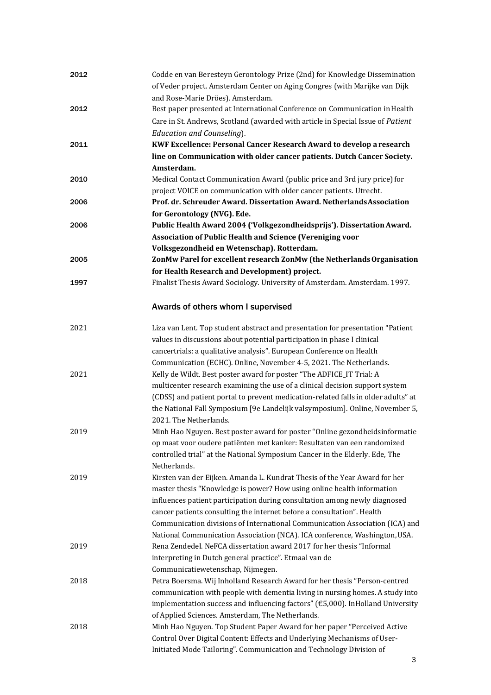| 2012 | Codde en van Beresteyn Gerontology Prize (2nd) for Knowledge Dissemination<br>of Veder project. Amsterdam Center on Aging Congres (with Marijke van Dijk<br>and Rose-Marie Dröes). Amsterdam. |
|------|-----------------------------------------------------------------------------------------------------------------------------------------------------------------------------------------------|
| 2012 | Best paper presented at International Conference on Communication in Health<br>Care in St. Andrews, Scotland (awarded with article in Special Issue of Patient<br>Education and Counseling).  |
| 2011 | KWF Excellence: Personal Cancer Research Award to develop a research                                                                                                                          |
|      | line on Communication with older cancer patients. Dutch Cancer Society.                                                                                                                       |
| 2010 | Amsterdam.<br>Medical Contact Communication Award (public price and 3rd jury price) for                                                                                                       |
|      | project VOICE on communication with older cancer patients. Utrecht.                                                                                                                           |
| 2006 | Prof. dr. Schreuder Award. Dissertation Award. Netherlands Association                                                                                                                        |
|      | for Gerontology (NVG). Ede.                                                                                                                                                                   |
| 2006 | Public Health Award 2004 ('Volkgezondheidsprijs'). Dissertation Award.                                                                                                                        |
|      | Association of Public Health and Science (Vereniging voor                                                                                                                                     |
|      | Volksgezondheid en Wetenschap). Rotterdam.                                                                                                                                                    |
| 2005 | ZonMw Parel for excellent research ZonMw (the Netherlands Organisation                                                                                                                        |
|      | for Health Research and Development) project.                                                                                                                                                 |
| 1997 | Finalist Thesis Award Sociology. University of Amsterdam. Amsterdam. 1997.                                                                                                                    |
|      | Awards of others whom I supervised                                                                                                                                                            |
| 2021 | Liza van Lent. Top student abstract and presentation for presentation "Patient                                                                                                                |
|      | values in discussions about potential participation in phase I clinical                                                                                                                       |
|      | cancertrials: a qualitative analysis". European Conference on Health                                                                                                                          |
|      | Communication (ECHC). Online, November 4-5, 2021. The Netherlands.                                                                                                                            |
| 2021 | Kelly de Wildt. Best poster award for poster "The ADFICE_IT Trial: A                                                                                                                          |
|      | multicenter research examining the use of a clinical decision support system                                                                                                                  |
|      | (CDSS) and patient portal to prevent medication-related falls in older adults" at                                                                                                             |
|      | the National Fall Symposium [9e Landelijk valsymposium]. Online, November 5,<br>2021. The Netherlands.                                                                                        |
| 2019 | Minh Hao Nguyen. Best poster award for poster "Online gezondheidsinformatie                                                                                                                   |
|      | op maat voor oudere patiënten met kanker: Resultaten van een randomized                                                                                                                       |
|      | controlled trial" at the National Symposium Cancer in the Elderly. Ede, The                                                                                                                   |
|      | Netherlands.                                                                                                                                                                                  |
| 2019 | Kirsten van der Eijken. Amanda L. Kundrat Thesis of the Year Award for her                                                                                                                    |
|      | master thesis "Knowledge is power? How using online health information                                                                                                                        |
|      | influences patient participation during consultation among newly diagnosed                                                                                                                    |
|      | cancer patients consulting the internet before a consultation". Health                                                                                                                        |
|      | Communication divisions of International Communication Association (ICA) and                                                                                                                  |
|      | National Communication Association (NCA). ICA conference, Washington, USA.                                                                                                                    |
| 2019 | Rena Zendedel. NeFCA dissertation award 2017 for her thesis "Informal<br>interpreting in Dutch general practice". Etmaal van de                                                               |
|      | Communicatiewetenschap, Nijmegen.                                                                                                                                                             |
| 2018 | Petra Boersma. Wij Inholland Research Award for her thesis "Person-centred                                                                                                                    |
|      | communication with people with dementia living in nursing homes. A study into                                                                                                                 |
|      | implementation success and influencing factors" (€5,000). InHolland University                                                                                                                |
|      | of Applied Sciences. Amsterdam, The Netherlands.                                                                                                                                              |
| 2018 | Minh Hao Nguyen. Top Student Paper Award for her paper "Perceived Active                                                                                                                      |
|      | Control Over Digital Content: Effects and Underlying Mechanisms of User-                                                                                                                      |
|      | Initiated Mode Tailoring". Communication and Technology Division of                                                                                                                           |
|      |                                                                                                                                                                                               |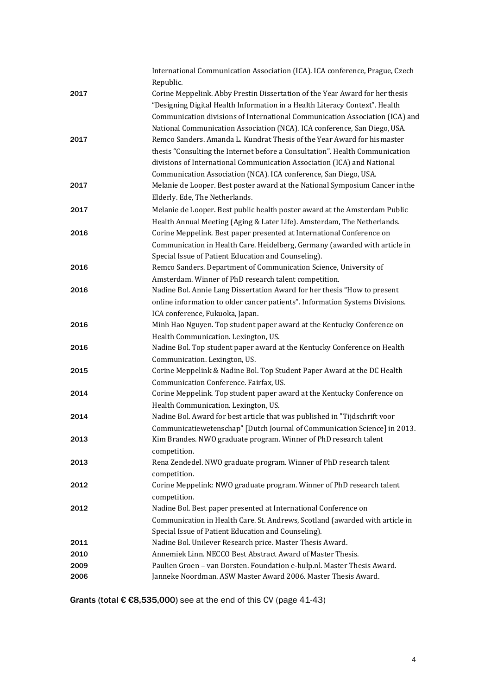|      | International Communication Association (ICA). ICA conference, Prague, Czech<br>Republic. |
|------|-------------------------------------------------------------------------------------------|
|      | Corine Meppelink. Abby Prestin Dissertation of the Year Award for her thesis              |
| 2017 |                                                                                           |
|      | "Designing Digital Health Information in a Health Literacy Context". Health               |
|      | Communication divisions of International Communication Association (ICA) and              |
|      | National Communication Association (NCA). ICA conference, San Diego, USA.                 |
| 2017 | Remco Sanders. Amanda L. Kundrat Thesis of the Year Award for his master                  |
|      | thesis "Consulting the Internet before a Consultation". Health Communication              |
|      | divisions of International Communication Association (ICA) and National                   |
|      | Communication Association (NCA). ICA conference, San Diego, USA.                          |
| 2017 | Melanie de Looper. Best poster award at the National Symposium Cancer in the              |
|      | Elderly. Ede, The Netherlands.                                                            |
| 2017 | Melanie de Looper. Best public health poster award at the Amsterdam Public                |
|      | Health Annual Meeting (Aging & Later Life). Amsterdam, The Netherlands.                   |
| 2016 | Corine Meppelink. Best paper presented at International Conference on                     |
|      | Communication in Health Care. Heidelberg, Germany (awarded with article in                |
|      | Special Issue of Patient Education and Counseling).                                       |
| 2016 | Remco Sanders. Department of Communication Science, University of                         |
|      | Amsterdam. Winner of PhD research talent competition.                                     |
| 2016 | Nadine Bol. Annie Lang Dissertation Award for her thesis "How to present                  |
|      | online information to older cancer patients". Information Systems Divisions.              |
|      | ICA conference, Fukuoka, Japan.                                                           |
| 2016 | Minh Hao Nguyen. Top student paper award at the Kentucky Conference on                    |
|      | Health Communication. Lexington, US.                                                      |
| 2016 | Nadine Bol. Top student paper award at the Kentucky Conference on Health                  |
|      | Communication. Lexington, US.                                                             |
| 2015 | Corine Meppelink & Nadine Bol. Top Student Paper Award at the DC Health                   |
|      | Communication Conference. Fairfax, US.                                                    |
| 2014 | Corine Meppelink. Top student paper award at the Kentucky Conference on                   |
|      | Health Communication. Lexington, US.                                                      |
| 2014 | Nadine Bol. Award for best article that was published in "Tijdschrift voor                |
|      | Communicatiewetenschap" [Dutch Journal of Communication Science] in 2013.                 |
| 2013 | Kim Brandes. NWO graduate program. Winner of PhD research talent                          |
|      | competition.                                                                              |
| 2013 | Rena Zendedel. NWO graduate program. Winner of PhD research talent                        |
|      | competition.                                                                              |
| 2012 | Corine Meppelink: NWO graduate program. Winner of PhD research talent                     |
|      | competition.                                                                              |
| 2012 | Nadine Bol. Best paper presented at International Conference on                           |
|      | Communication in Health Care. St. Andrews, Scotland (awarded with article in              |
|      | Special Issue of Patient Education and Counseling).                                       |
| 2011 | Nadine Bol. Unilever Research price. Master Thesis Award.                                 |
| 2010 | Annemiek Linn. NECCO Best Abstract Award of Master Thesis.                                |
| 2009 | Paulien Groen - van Dorsten. Foundation e-hulp.nl. Master Thesis Award.                   |
| 2006 | Janneke Noordman. ASW Master Award 2006. Master Thesis Award.                             |
|      |                                                                                           |

Grants (total € €8,535,000) see at the end of this CV (page 41-43)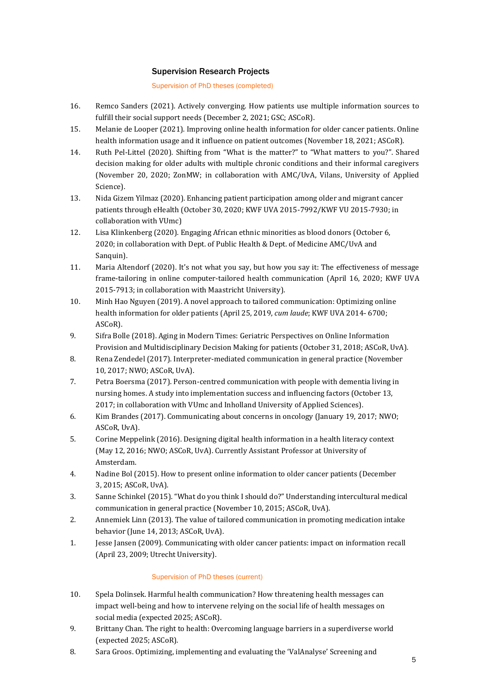## Supervision Research Projects

Supervision of PhD theses (completed)

- 16. Remco Sanders (2021). Actively converging. How patients use multiple information sources to fulfill their social support needs (December 2, 2021; GSC; ASCoR).
- 15. Melanie de Looper (2021). Improving online health information for older cancer patients. Online health information usage and it influence on patient outcomes (November 18, 2021; ASCoR).
- 14. Ruth Pel-Littel (2020). Shifting from "What is the matter?" to "What matters to you?". Shared decision making for older adults with multiple chronic conditions and their informal caregivers (November 20, 2020; ZonMW; in collaboration with AMC/UvA, Vilans, University of Applied Science).
- 13. Nida Gizem Yilmaz (2020). Enhancing patient participation among older and migrant cancer patients through eHealth (October 30, 2020; KWF UVA 2015-7992/KWF VU 2015-7930; in collaboration with VUmc)
- 12. Lisa Klinkenberg (2020). Engaging African ethnic minorities as blood donors (October 6, 2020; in collaboration with Dept. of Public Health & Dept. of Medicine AMC/UvA and Sanquin).
- 11. Maria Altendorf (2020). It's not what you say, but how you say it: The effectiveness of message frame-tailoring in online computer-tailored health communication (April 16, 2020; KWF UVA 2015-7913; in collaboration with Maastricht University).
- 10. Minh Hao Nguyen (2019). A novel approach to tailored communication: Optimizing online health information for older patients (April 25, 2019, *cum laude*; KWF UVA 2014- 6700; ASCoR).
- 9. Sifra Bolle (2018). Aging in Modern Times: Geriatric Perspectives on Online Information Provision and Multidisciplinary Decision Making for patients (October 31, 2018; ASCoR, UvA).
- 8. Rena Zendedel (2017). Interpreter-mediated communication in general practice (November 10, 2017; NWO; ASCoR, UvA).
- 7. Petra Boersma (2017). Person-centred communication with people with dementia living in nursing homes. A study into implementation success and influencing factors (October 13, 2017; in collaboration with VUmc and Inholland University of Applied Sciences).
- 6. Kim Brandes (2017). Communicating about concerns in oncology (January 19, 2017; NWO; ASCoR, UvA).
- 5. Corine Meppelink (2016). Designing digital health information in a health literacy context (May 12, 2016; NWO; ASCoR, UvA). Currently Assistant Professor at University of Amsterdam.
- 4. Nadine Bol (2015). How to present online information to older cancer patients (December 3, 2015; ASCoR, UvA).
- 3. Sanne Schinkel (2015). "What do you think I should do?" Understanding intercultural medical communication in general practice (November 10, 2015; ASCoR, UvA).
- 2. Annemiek Linn (2013). The value of tailored communication in promoting medication intake behavior (June 14, 2013; ASCoR, UvA).
- 1. Jesse Jansen (2009). Communicating with older cancer patients: impact on information recall (April 23, 2009; Utrecht University).

## Supervision of PhD theses (current)

- 10. Spela Dolinsek. Harmful health communication? How threatening health messages can impact well-being and how to intervene relying on the social life of health messages on social media (expected 2025; ASCoR).
- 9. Brittany Chan. The right to health: Overcoming language barriers in a superdiverse world (expected 2025; ASCoR).
- 8. Sara Groos. Optimizing, implementing and evaluating the 'ValAnalyse' Screening and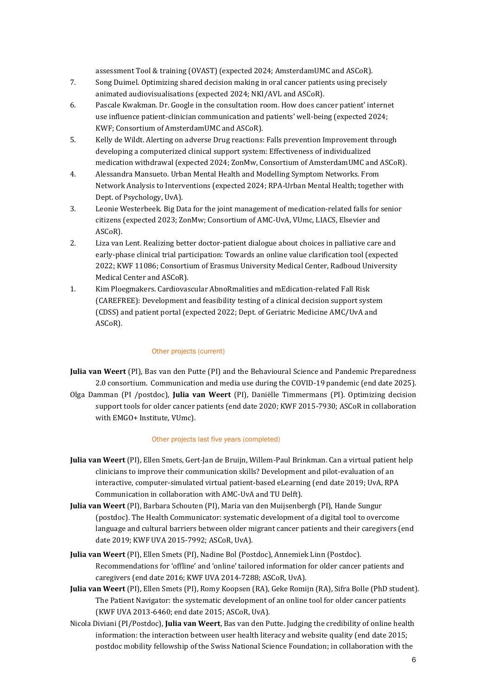assessment Tool & training (OVAST) (expected 2024; AmsterdamUMC and ASCoR).

- 7. Song Duimel. Optimizing shared decision making in oral cancer patients using precisely animated audiovisualisations (expected 2024; NKI/AVL and ASCoR).
- 6. Pascale Kwakman. Dr. Google in the consultation room. How does cancer patient' internet use influence patient-clinician communication and patients' well-being (expected 2024; KWF; Consortium of AmsterdamUMC and ASCoR).
- 5. Kelly de Wildt. Alerting on adverse Drug reactions: Falls prevention Improvement through developing a computerized clinical support system: Effectiveness of individualized medication withdrawal (expected 2024; ZonMw, Consortium of AmsterdamUMC and ASCoR).
- 4. Alessandra Mansueto. Urban Mental Health and Modelling Symptom Networks. From Network Analysis to Interventions (expected 2024; RPA-Urban Mental Health; together with Dept. of Psychology, UvA).
- 3. Leonie Westerbeek. Big Data for the joint management of medication-related falls for senior citizens (expected 2023; ZonMw; Consortium of AMC-UvA, VUmc, LIACS, Elsevier and ASCoR).
- 2. Liza van Lent. Realizing better doctor-patient dialogue about choices in palliative care and early-phase clinical trial participation: Towards an online value clarification tool (expected 2022; KWF 11086; Consortium of Erasmus University Medical Center, Radboud University Medical Center and ASCoR).
- 1. Kim Ploegmakers. Cardiovascular AbnoRmalities and mEdication-related Fall Risk (CAREFREE): Development and feasibility testing of a clinical decision support system (CDSS) and patient portal (expected 2022; Dept. of Geriatric Medicine AMC/UvA and ASCoR).

### Other projects (current)

**Julia van Weert** (PI), Bas van den Putte (PI) and the Behavioural Science and Pandemic Preparedness 2.0 consortium. Communication and media use during the COVID-19 pandemic (end date 2025). Olga Damman (PI /postdoc), **Julia van Weert** (PI), Daniëlle Timmermans (PI). Optimizing decision support tools for older cancer patients (end date 2020; KWF 2015-7930; ASCoR in collaboration with EMGO+ Institute, VUmc).

#### Other projects last five years (completed)

- **Julia van Weert** (PI), Ellen Smets, Gert-Jan de Bruijn, Willem-Paul Brinkman. Can a virtual patient help clinicians to improve their communication skills? Development and pilot-evaluation of an interactive, computer-simulated virtual patient-based eLearning (end date 2019; UvA, RPA Communication in collaboration with AMC-UvA and TU Delft).
- **Julia van Weert** (PI), Barbara Schouten (PI), Maria van den Muijsenbergh (PI), Hande Sungur (postdoc). The Health Communicator: systematic development of a digital tool to overcome language and cultural barriers between older migrant cancer patients and their caregivers (end date 2019; KWF UVA 2015-7992; ASCoR, UvA).
- **Julia van Weert** (PI), Ellen Smets (PI), Nadine Bol (Postdoc), Annemiek Linn (Postdoc). Recommendations for 'offline' and 'online' tailored information for older cancer patients and caregivers (end date 2016; KWF UVA 2014-7288; ASCoR, UvA).
- **Julia van Weert** (PI), Ellen Smets (PI), Romy Koopsen (RA), Geke Romijn (RA), Sifra Bolle (PhD student). The Patient Navigator: the systematic development of an online tool for older cancer patients (KWF UVA 2013-6460; end date 2015; ASCoR, UvA).
- Nicola Diviani (PI/Postdoc), **Julia van Weert**, Bas van den Putte. Judging the credibility of online health information: the interaction between user health literacy and website quality (end date 2015; postdoc mobility fellowship of the Swiss National Science Foundation; in collaboration with the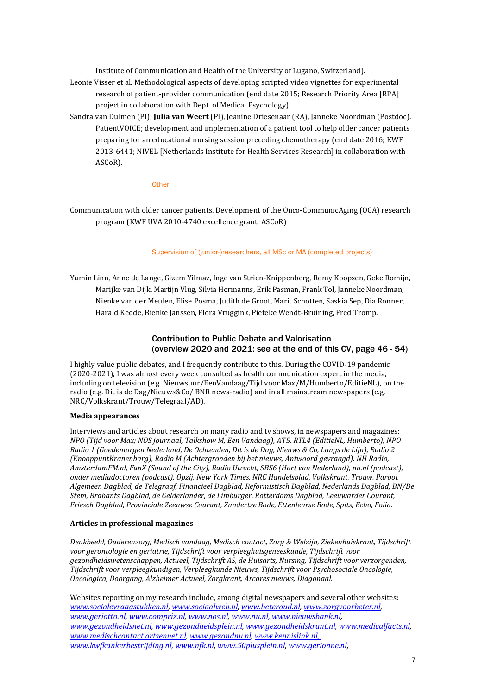Institute of Communication and Health of the University of Lugano, Switzerland).

- Leonie Visser et al. Methodological aspects of developing scripted video vignettes for experimental research of patient-provider communication (end date 2015; Research Priority Area [RPA] project in collaboration with Dept. of Medical Psychology).
- Sandra van Dulmen (PI), **Julia van Weert** (PI), Jeanine Driesenaar (RA), Janneke Noordman (Postdoc). PatientVOICE; development and implementation of a patient tool to help older cancer patients preparing for an educational nursing session preceding chemotherapy (end date 2016; KWF 2013-6441; NIVEL [Netherlands Institute for Health Services Research] in collaboration with ASCoR).

#### **Other**

Communication with older cancer patients. Development of the Onco-CommunicAging (OCA) research program (KWF UVA 2010-4740 excellence grant; ASCoR)

#### Supervision of (junior-)researchers, all MSc or MA (completed projects)

Yumin Linn, Anne de Lange, Gizem Yilmaz, Inge van Strien-Knippenberg, Romy Koopsen, Geke Romijn, Marijke van Dijk, Martijn Vlug, Silvia Hermanns, Erik Pasman, Frank Tol, Janneke Noordman, Nienke van der Meulen, Elise Posma, Judith de Groot, Marit Schotten, Saskia Sep, Dia Ronner, Harald Kedde, Bienke Janssen, Flora Vruggink, Pieteke Wendt-Bruining, Fred Tromp.

## Contribution to Public Debate and Valorisation (overview 2020 and 2021: see at the end of this CV, page 46 - 54)

I highly value public debates, and I frequently contribute to this. During the COVID-19 pandemic (2020-2021), I was almost every week consulted as health communication expert in the media, including on television (e.g. Nieuwsuur/EenVandaag/Tijd voor Max/M/Humberto/EditieNL), on the radio (e.g. Dit is de Dag/Nieuws&Co/ BNR news-radio) and in all mainstream newspapers (e.g. NRC/Volkskrant/Trouw/Telegraaf/AD).

#### **Media appearances**

Interviews and articles about research on many radio and tv shows, in newspapers and magazines: *NPO (Tijd voor Max; NOS journaal, Talkshow M, Een Vandaag), AT5, RTL4 (EditieNL, Humberto), NPO Radio 1 (Goedemorgen Nederland, De Ochtenden, Dit is de Dag, Nieuws & Co, Langs de Lijn), Radio 2 (KnooppuntKranenbarg), Radio M (Achtergronden bij het nieuws, Antwoord gevraagd), NH Radio, AmsterdamFM.nl, FunX (Sound of the City), Radio Utrecht, SBS6 (Hart van Nederland), nu.nl (podcast), onder mediadoctoren (podcast), Opzij, New York Times, NRC Handelsblad, Volkskrant, Trouw, Parool, Algemeen Dagblad, de Telegraaf, Financieel Dagblad, Reformistisch Dagblad, Nederlands Dagblad, BN/De Stem, Brabants Dagblad, de Gelderlander, de Limburger, Rotterdams Dagblad, Leeuwarder Courant, Friesch Dagblad, Provinciale Zeeuwse Courant, Zundertse Bode, Ettenleurse Bode, Spits, Echo, Folia.*

#### **Articles in professional magazines**

*Denkbeeld, Ouderenzorg, Medisch vandaag, Medisch contact, Zorg & Welzijn, Ziekenhuiskrant, Tijdschrift voor gerontologie en geriatrie, Tijdschrift voor verpleeghuisgeneeskunde, Tijdschrift voor gezondheidswetenschappen, Actueel, Tijdschrift AS, de Huisarts, Nursing, Tijdschrift voor verzorgenden, Tijdschrift voor verpleegkundigen, Verpleegkunde Nieuws, Tijdschrift voor Psychosociale Oncologie, Oncologica, Doorgang, Alzheimer Actueel, Zorgkrant, Arcares nieuws, Diagonaal.*

Websites reporting on my research include, among digital newspapers and several other websites: *[www.socialevraagstukken.nl,](http://www.socialevraagstukken.nl/) [www.sociaalweb.nl,](http://www.sociaalweb.nl/) [www.beteroud.nl,](http://www.beteroud.nl/) [www.zorgvoorbeter.nl,](http://www.zorgvoorbeter.nl/)  www.geriotto.nl, [www.compriz.nl,](http://www.compriz.nl/) [www.nos.nl,](http://www.nos.nl/) www.nu.nl[, www.nieuwsbank.nl,](http://www.nieuwsbank.nl/) [www.gezondheidsnet.nl,](http://www.gezondheidsnet.nl/) [www.gezondheidsplein.nl,](http://www.gezondheidsplein.nl/) [www.gezondheidskrant.nl,](http://www.gezondheidskrant.nl/) [www.medicalfacts.nl,](http://www.medicalfacts.nl/) [www.medischcontact.artsennet.nl,](http://www.medischcontact.artsennet.nl/) [www.gezondnu.nl, w](http://www.gezondnu.nl/)ww.kennislink.nl, [www.kwfkankerbestrijding.nl,](http://www.kwfkankerbestrijding.nl,/) [www.nfk.nl,](http://www.nfk.nl/) [www.50plusplein.nl,](http://www.50plusplein.nl/) [www.gerionne.nl,](http://www.gerionne.nl/)*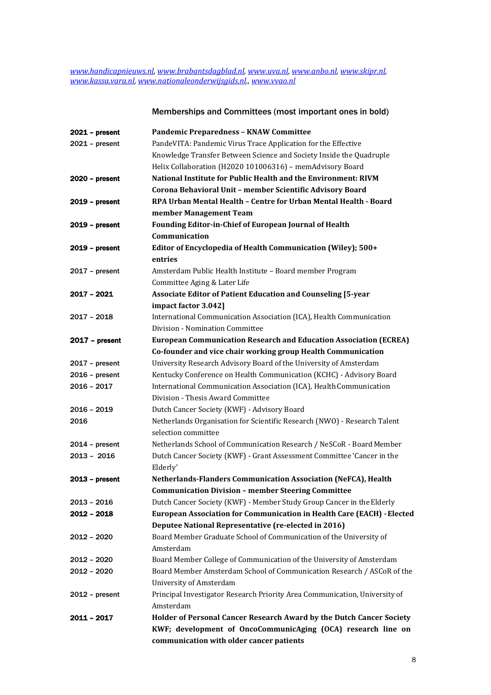*[www.handicapnieuws.nl,](http://www.handicapnieuws.nl/) [www.brabantsdagblad.nl,](http://www.brabantsdagblad.nl/) [www.uva.nl,](http://www.uva.nl/) [www.anbo.nl,](http://www.anbo.nl/) [www.skipr.nl,](http://www.skipr.nl/)  [www.kassa.vara.nl,](http://www.kassa.vara.nl/) [www.nationaleonderwijsgids.nl.,](http://www.nationaleonderwijsgids.nl./) [www.vvao.nl](http://www.vvao.nl/)*

# Memberships and Committees (most important ones in bold)

| $2021 - present$ | <b>Pandemic Preparedness - KNAW Committee</b>                                 |
|------------------|-------------------------------------------------------------------------------|
| $2021 - present$ | PandeVITA: Pandemic Virus Trace Application for the Effective                 |
|                  | Knowledge Transfer Between Science and Society Inside the Quadruple           |
|                  | Helix Collaboration (H2020 101006316) - memAdvisory Board                     |
| $2020 - present$ | National Institute for Public Health and the Environment: RIVM                |
|                  | Corona Behavioral Unit - member Scientific Advisory Board                     |
| $2019$ – present | RPA Urban Mental Health - Centre for Urban Mental Health - Board              |
|                  | member Management Team                                                        |
| $2019$ – present | Founding Editor-in-Chief of European Journal of Health                        |
|                  | Communication                                                                 |
| $2019$ – present | Editor of Encyclopedia of Health Communication (Wiley); 500+                  |
|                  | entries                                                                       |
| $2017$ - present | Amsterdam Public Health Institute - Board member Program                      |
|                  | Committee Aging & Later Life                                                  |
| 2017 - 2021      | <b>Associate Editor of Patient Education and Counseling [5-year</b>           |
|                  | impact factor 3.042]                                                          |
| $2017 - 2018$    | International Communication Association (ICA), Health Communication           |
|                  | Division - Nomination Committee                                               |
| $2017 - present$ | <b>European Communication Research and Education Association (ECREA)</b>      |
|                  | Co-founder and vice chair working group Health Communication                  |
| $2017$ – present | University Research Advisory Board of the University of Amsterdam             |
| $2016$ – present | Kentucky Conference on Health Communication (KCHC) - Advisory Board           |
| 2016 - 2017      | International Communication Association (ICA), Health Communication           |
|                  | Division - Thesis Award Committee                                             |
| 2016 - 2019      | Dutch Cancer Society (KWF) - Advisory Board                                   |
| 2016             | Netherlands Organisation for Scientific Research (NWO) - Research Talent      |
|                  | selection committee                                                           |
| $2014$ – present | Netherlands School of Communication Research / NeSCoR - Board Member          |
| $2013 - 2016$    | Dutch Cancer Society (KWF) - Grant Assessment Committee 'Cancer in the        |
|                  | Elderly'                                                                      |
| $2013$ – present | <b>Netherlands-Flanders Communication Association (NeFCA), Health</b>         |
|                  | <b>Communication Division - member Steering Committee</b>                     |
| 2013 - 2016      | Dutch Cancer Society (KWF) - Member Study Group Cancer in the Elderly         |
| $2012 - 2018$    | <b>European Association for Communication in Health Care (EACH) - Elected</b> |
|                  | Deputee National Representative (re-elected in 2016)                          |
| 2012 - 2020      | Board Member Graduate School of Communication of the University of            |
|                  | Amsterdam                                                                     |
| 2012 - 2020      | Board Member College of Communication of the University of Amsterdam          |
| $2012 - 2020$    | Board Member Amsterdam School of Communication Research / ASCoR of the        |
|                  | <b>University of Amsterdam</b>                                                |
| $2012$ – present | Principal Investigator Research Priority Area Communication, University of    |
|                  | Amsterdam                                                                     |
| 2011 - 2017      | Holder of Personal Cancer Research Award by the Dutch Cancer Society          |
|                  | KWF; development of OncoCommunicAging (OCA) research line on                  |
|                  | communication with older cancer patients                                      |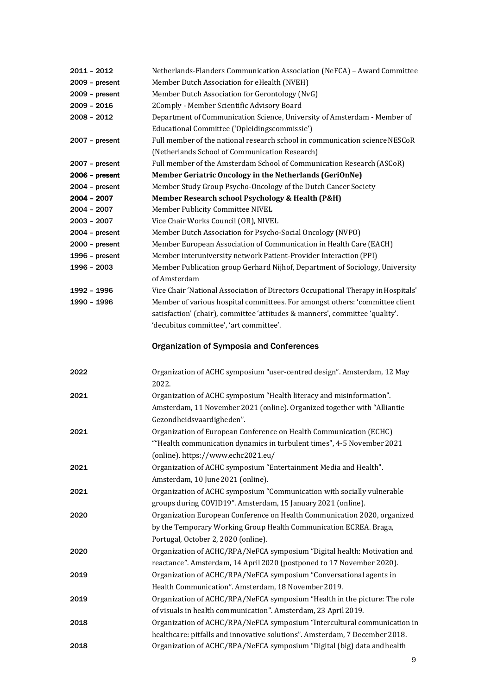| $2011 - 2012$    | Netherlands-Flanders Communication Association (NeFCA) - Award Committee                                                                               |
|------------------|--------------------------------------------------------------------------------------------------------------------------------------------------------|
| $2009 - present$ | Member Dutch Association for eHealth (NVEH)                                                                                                            |
| $2009$ – present | Member Dutch Association for Gerontology (NvG)                                                                                                         |
| 2009 - 2016      | 2Comply - Member Scientific Advisory Board                                                                                                             |
| 2008 - 2012      | Department of Communication Science, University of Amsterdam - Member of                                                                               |
|                  | Educational Committee ('Opleidingscommissie')                                                                                                          |
| $2007 - present$ | Full member of the national research school in communication science NESCoR                                                                            |
|                  | (Netherlands School of Communication Research)                                                                                                         |
| $2007 - present$ | Full member of the Amsterdam School of Communication Research (ASCoR)                                                                                  |
| $2006$ – present | Member Geriatric Oncology in the Netherlands (GeriOnNe)                                                                                                |
| $2004 - present$ | Member Study Group Psycho-Oncology of the Dutch Cancer Society                                                                                         |
| 2004 - 2007      | Member Research school Psychology & Health (P&H)                                                                                                       |
| 2004 - 2007      | Member Publicity Committee NIVEL                                                                                                                       |
| 2003 - 2007      | Vice Chair Works Council (OR), NIVEL                                                                                                                   |
| $2004 - present$ | Member Dutch Association for Psycho-Social Oncology (NVPO)                                                                                             |
| $2000 - present$ | Member European Association of Communication in Health Care (EACH)                                                                                     |
| 1996 - present   | Member interuniversity network Patient-Provider Interaction (PPI)                                                                                      |
| 1996 - 2003      | Member Publication group Gerhard Nijhof, Department of Sociology, University<br>of Amsterdam                                                           |
| 1992 - 1996      | Vice Chair 'National Association of Directors Occupational Therapy in Hospitals'                                                                       |
| 1990 - 1996      | Member of various hospital committees. For amongst others: 'committee client                                                                           |
|                  | satisfaction' (chair), committee 'attitudes & manners', committee 'quality'.                                                                           |
|                  | 'decubitus committee', 'art committee'.                                                                                                                |
|                  |                                                                                                                                                        |
|                  | <b>Organization of Symposia and Conferences</b>                                                                                                        |
|                  |                                                                                                                                                        |
| 2022             | Organization of ACHC symposium "user-centred design". Amsterdam, 12 May<br>2022.                                                                       |
| 2021             | Organization of ACHC symposium "Health literacy and misinformation".                                                                                   |
|                  | Amsterdam, 11 November 2021 (online). Organized together with "Alliantie                                                                               |
|                  | Gezondheidsvaardigheden".                                                                                                                              |
| 2021             | Organization of European Conference on Health Communication (ECHC)                                                                                     |
|                  | "Health communication dynamics in turbulent times", 4-5 November 2021                                                                                  |
|                  |                                                                                                                                                        |
|                  | (online). https://www.echc2021.eu/                                                                                                                     |
| 2021             | Organization of ACHC symposium "Entertainment Media and Health".                                                                                       |
|                  | Amsterdam, 10 June 2021 (online).                                                                                                                      |
| 2021             | Organization of ACHC symposium "Communication with socially vulnerable                                                                                 |
|                  | groups during COVID19". Amsterdam, 15 January 2021 (online).                                                                                           |
| 2020             | Organization European Conference on Health Communication 2020, organized                                                                               |
|                  | by the Temporary Working Group Health Communication ECREA. Braga,                                                                                      |
|                  | Portugal, October 2, 2020 (online).                                                                                                                    |
| 2020             | Organization of ACHC/RPA/NeFCA symposium "Digital health: Motivation and                                                                               |
|                  | reactance". Amsterdam, 14 April 2020 (postponed to 17 November 2020).                                                                                  |
| 2019             | Organization of ACHC/RPA/NeFCA symposium "Conversational agents in                                                                                     |
|                  | Health Communication". Amsterdam, 18 November 2019.                                                                                                    |
| 2019             | Organization of ACHC/RPA/NeFCA symposium "Health in the picture: The role                                                                              |
|                  | of visuals in health communication". Amsterdam, 23 April 2019.                                                                                         |
| 2018             | Organization of ACHC/RPA/NeFCA symposium "Intercultural communication in                                                                               |
| 2018             | healthcare: pitfalls and innovative solutions". Amsterdam, 7 December 2018.<br>Organization of ACHC/RPA/NeFCA symposium "Digital (big) data and health |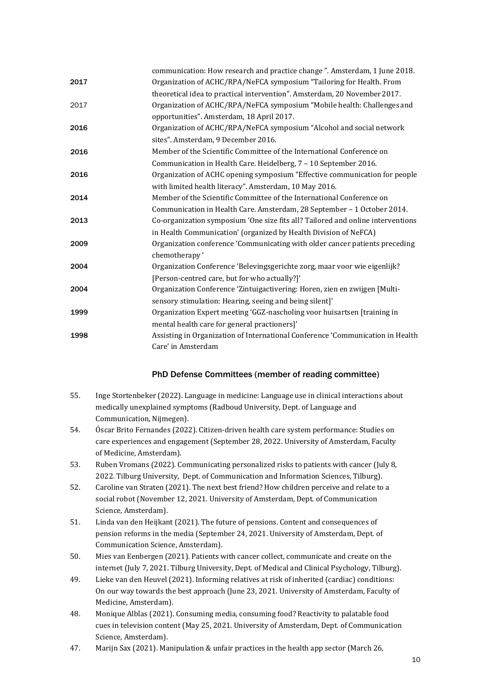|      | communication: How research and practice change". Amsterdam, 1 June 2018.       |
|------|---------------------------------------------------------------------------------|
| 2017 | Organization of ACHC/RPA/NeFCA symposium "Tailoring for Health. From            |
|      | theoretical idea to practical intervention". Amsterdam, 20 November 2017.       |
| 2017 | Organization of ACHC/RPA/NeFCA symposium "Mobile health: Challenges and         |
|      | opportunities". Amsterdam, 18 April 2017.                                       |
| 2016 | Organization of ACHC/RPA/NeFCA symposium "Alcohol and social network            |
|      | sites". Amsterdam, 9 December 2016.                                             |
| 2016 | Member of the Scientific Committee of the International Conference on           |
|      | Communication in Health Care. Heidelberg, 7 - 10 September 2016.                |
| 2016 | Organization of ACHC opening symposium "Effective communication for people      |
|      | with limited health literacy". Amsterdam, 10 May 2016.                          |
| 2014 | Member of the Scientific Committee of the International Conference on           |
|      | Communication in Health Care. Amsterdam, 28 September - 1 October 2014.         |
| 2013 | Co-organization symposium 'One size fits all? Tailored and online interventions |
|      | in Health Communication' (organized by Health Division of NeFCA)                |
| 2009 | Organization conference 'Communicating with older cancer patients preceding     |
|      | chemotherapy'                                                                   |
| 2004 | Organization Conference 'Belevingsgerichte zorg, maar voor wie eigenlijk?       |
|      | [Person-centred care, but for who actually?]'                                   |
| 2004 | Organization Conference 'Zintuigactivering: Horen, zien en zwijgen [Multi-      |
|      | sensory stimulation: Hearing, seeing and being silent]'                         |
| 1999 | Organization Expert meeting 'GGZ-nascholing voor huisartsen [training in        |
|      | mental health care for general practioners]'                                    |
| 1998 | Assisting in Organization of International Conference 'Communication in Health  |
|      | Care' in Amsterdam                                                              |

## PhD Defense Committees (member of reading committee)

- 55. Inge Stortenbeker (2022). Language in medicine: Language use in clinical interactions about medically unexplained symptoms (Radboud University, Dept. of Language and Communication, Nijmegen).
- 54. Óscar Brito Fernandes (2022). Citizen-driven health care system performance: Studies on care experiences and engagement (September 28, 2022. University of Amsterdam, Faculty of Medicine, Amsterdam).
- 53. Ruben Vromans (2022). Communicating personalized risks to patients with cancer (July 8, 2022. Tilburg University, Dept. of Communication and Information Sciences, Tilburg).
- 52. Caroline van Straten (2021). The next best friend? How children perceive and relate to a social robot (November 12, 2021. University of Amsterdam, Dept. of Communication Science, Amsterdam).
- 51. Linda van den Heijkant (2021). The future of pensions. Content and consequences of pension reforms in the media (September 24, 2021. University of Amsterdam, Dept. of Communication Science, Amsterdam).
- 50. Mies van Eenbergen (2021). Patients with cancer collect, communicate and create on the internet (July 7, 2021. Tilburg University, Dept. of Medical and Clinical Psychology, Tilburg).
- 49. Lieke van den Heuvel (2021). Informing relatives at risk of inherited (cardiac) conditions: On our way towards the best approach (June 23, 2021. University of Amsterdam, Faculty of Medicine, Amsterdam).
- 48. Monique Alblas (2021). Consuming media, consuming food? Reactivity to palatable food cues in television content (May 25, 2021. University of Amsterdam, Dept. of Communication Science, Amsterdam).
- 47. Marijn Sax (2021). Manipulation & unfair practices in the health app sector (March 26,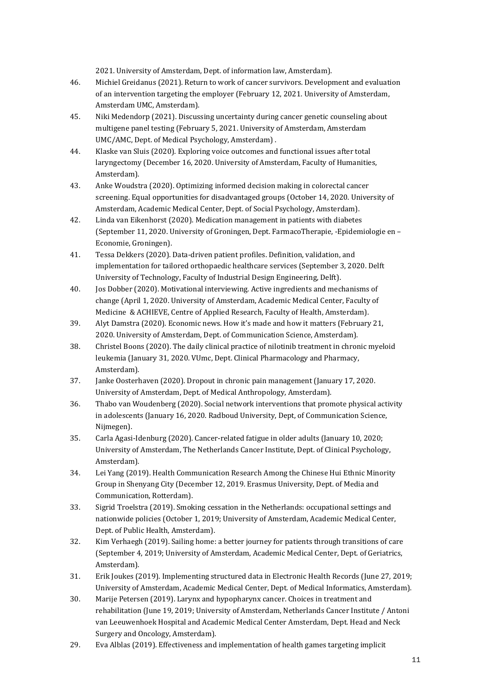2021. University of Amsterdam, Dept. of information law, Amsterdam).

- 46. Michiel Greidanus (2021). Return to work of cancer survivors. Development and evaluation of an intervention targeting the employer (February 12, 2021. University of Amsterdam, Amsterdam UMC, Amsterdam).
- 45. Niki Medendorp (2021). Discussing uncertainty during cancer genetic counseling about multigene panel testing (February 5, 2021. University of Amsterdam, Amsterdam UMC/AMC, Dept. of Medical Psychology, Amsterdam) .
- 44. Klaske van Sluis (2020). Exploring voice outcomes and functional issues after total laryngectomy (December 16, 2020. University of Amsterdam, Faculty of Humanities, Amsterdam).
- 43. Anke Woudstra (2020). Optimizing informed decision making in colorectal cancer screening. Equal opportunities for disadvantaged groups (October 14, 2020. University of Amsterdam, Academic Medical Center, Dept. of Social Psychology, Amsterdam).
- 42. Linda van Eikenhorst (2020). Medication management in patients with diabetes (September 11, 2020. University of Groningen, Dept. FarmacoTherapie, -Epidemiologie en – Economie, Groningen).
- 41. Tessa Dekkers (2020). Data-driven patient profiles. Definition, validation, and implementation for tailored orthopaedic healthcare services (September 3, 2020. Delft University of Technology, Faculty of Industrial Design Engineering, Delft).
- 40. Jos Dobber (2020). Motivational interviewing. Active ingredients and mechanisms of change (April 1, 2020. University of Amsterdam, Academic Medical Center, Faculty of Medicine & ACHIEVE, Centre of Applied Research, Faculty of Health, Amsterdam).
- 39. Alyt Damstra (2020). Economic news. How it's made and how it matters (February 21, 2020. University of Amsterdam, Dept. of Communication Science, Amsterdam).
- 38. Christel Boons (2020). The daily clinical practice of nilotinib treatment in chronic myeloid leukemia (January 31, 2020. VUmc, Dept. Clinical Pharmacology and Pharmacy, Amsterdam).
- 37. Janke Oosterhaven (2020). Dropout in chronic pain management (January 17, 2020. University of Amsterdam, Dept. of Medical Anthropology, Amsterdam).
- 36. Thabo van Woudenberg (2020). Social network interventions that promote physical activity in adolescents (January 16, 2020. Radboud University, Dept, of Communication Science, Nijmegen).
- 35. Carla Agasi-Idenburg (2020). Cancer-related fatigue in older adults (January 10, 2020; University of Amsterdam, The Netherlands Cancer Institute, Dept. of Clinical Psychology, Amsterdam).
- 34. Lei Yang (2019). Health Communication Research Among the Chinese Hui Ethnic Minority Group in Shenyang City (December 12, 2019. Erasmus University, Dept. of Media and Communication, Rotterdam).
- 33. Sigrid Troelstra (2019). Smoking cessation in the Netherlands: occupational settings and nationwide policies (October 1, 2019; University of Amsterdam, Academic Medical Center, Dept. of Public Health, Amsterdam).
- 32. Kim Verhaegh (2019). Sailing home: a better journey for patients through transitions of care (September 4, 2019; University of Amsterdam, Academic Medical Center, Dept. of Geriatrics, Amsterdam).
- 31. Erik Joukes (2019). Implementing structured data in Electronic Health Records (June 27, 2019; University of Amsterdam, Academic Medical Center, Dept. of Medical Informatics, Amsterdam).
- 30. Marije Petersen (2019). Larynx and hypopharynx cancer. Choices in treatment and rehabilitation (June 19, 2019; University of Amsterdam, Netherlands Cancer Institute / Antoni van Leeuwenhoek Hospital and Academic Medical Center Amsterdam, Dept. Head and Neck Surgery and Oncology, Amsterdam).
- 29. Eva Alblas (2019). Effectiveness and implementation of health games targeting implicit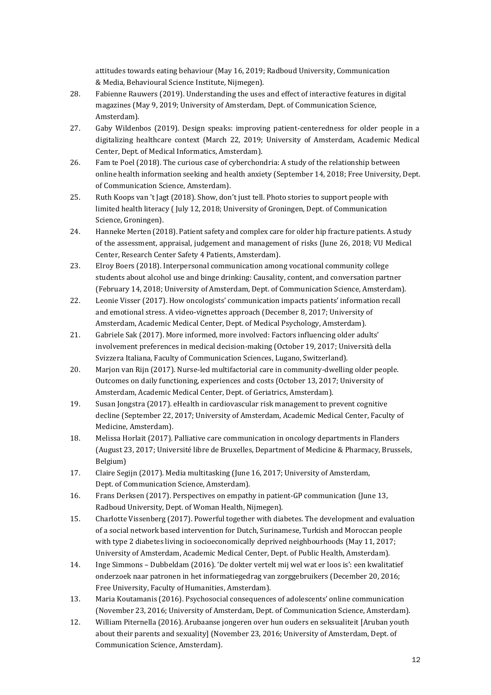attitudes towards eating behaviour (May 16, 2019; Radboud University, Communication & Media, Behavioural Science Institute, Nijmegen).

- 28. Fabienne Rauwers (2019). Understanding the uses and effect of interactive features in digital magazines (May 9, 2019; University of Amsterdam, Dept. of Communication Science, Amsterdam).
- 27. Gaby Wildenbos (2019). Design speaks: improving patient-centeredness for older people in a digitalizing healthcare context (March 22, 2019; University of Amsterdam, Academic Medical Center, Dept. of Medical Informatics, Amsterdam).
- 26. Fam te Poel (2018). The curious case of cyberchondria: A study of the relationship between online health information seeking and health anxiety (September 14, 2018; Free University, Dept. of Communication Science, Amsterdam).
- 25. Ruth Koops van 't Jagt (2018). Show, don't just tell. Photo stories to support people with limited health literacy ( July 12, 2018; University of Groningen, Dept. of Communication Science, Groningen).
- 24. Hanneke Merten (2018). Patient safety and complex care for older hip fracture patients. A study of the assessment, appraisal, judgement and management of risks (June 26, 2018; VU Medical Center, Research Center Safety 4 Patients, Amsterdam).
- 23. Elroy Boers (2018). Interpersonal communication among vocational community college students about alcohol use and binge drinking: Causality, content, and conversation partner (February 14, 2018; University of Amsterdam, Dept. of Communication Science, Amsterdam).
- 22. Leonie Visser (2017). How oncologists' communication impacts patients' information recall and emotional stress. A video-vignettes approach (December 8, 2017; University of Amsterdam, Academic Medical Center, Dept. of Medical Psychology, Amsterdam).
- 21. Gabriele Sak (2017). More informed, more involved: Factors influencing older adults' involvement preferences in medical decision-making (October 19, 2017; Università della Svizzera Italiana, Faculty of Communication Sciences, Lugano, Switzerland).
- 20. Marjon van Rijn (2017). Nurse-led multifactorial care in community-dwelling older people. Outcomes on daily functioning, experiences and costs (October 13, 2017; University of Amsterdam, Academic Medical Center, Dept. of Geriatrics, Amsterdam).
- 19. Susan Jongstra (2017). eHealth in cardiovascular risk management to prevent cognitive decline (September 22, 2017; University of Amsterdam, Academic Medical Center, Faculty of Medicine, Amsterdam).
- 18. Melissa Horlait (2017). Palliative care communication in oncology departments in Flanders (August 23, 2017; Université libre de Bruxelles, Department of Medicine & Pharmacy, Brussels, Belgium)
- 17. Claire Segijn (2017). Media multitasking (June 16, 2017; University of Amsterdam, Dept. of Communication Science, Amsterdam).
- 16. Frans Derksen (2017). Perspectives on empathy in patient-GP communication (June 13, Radboud University, Dept. of Woman Health, Nijmegen).
- 15. Charlotte Vissenberg (2017). Powerful together with diabetes. The development and evaluation of a social network based intervention for Dutch, Surinamese, Turkish and Moroccan people with type 2 diabetes living in socioeconomically deprived neighbourhoods (May 11, 2017; University of Amsterdam, Academic Medical Center, Dept. of Public Health, Amsterdam).
- 14. Inge Simmons Dubbeldam (2016). 'De dokter vertelt mij wel wat er loos is': een kwalitatief onderzoek naar patronen in het informatiegedrag van zorggebruikers (December 20, 2016; Free University, Faculty of Humanities, Amsterdam).
- 13. Maria Koutamanis (2016). Psychosocial consequences of adolescents' online communication (November 23, 2016; University of Amsterdam, Dept. of Communication Science, Amsterdam).
- 12. William Piternella (2016). Arubaanse jongeren over hun ouders en seksualiteit [Aruban youth about their parents and sexuality] (November 23, 2016; University of Amsterdam, Dept. of Communication Science, Amsterdam).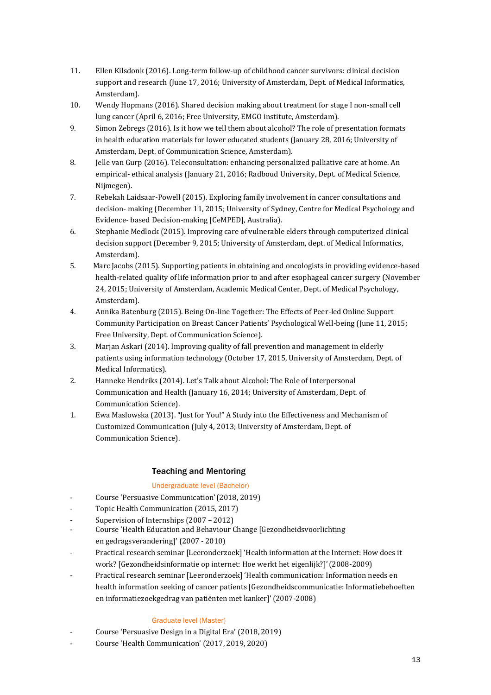- 11. Ellen Kilsdonk (2016). Long-term follow-up of childhood cancer survivors: clinical decision support and research (June 17, 2016; University of Amsterdam, Dept. of Medical Informatics, Amsterdam).
- 10. Wendy Hopmans (2016). Shared decision making about treatment for stage I non-small cell lung cancer (April 6, 2016; Free University, EMGO institute, Amsterdam).
- 9. Simon Zebregs (2016). Is it how we tell them about alcohol? The role of presentation formats in health education materials for lower educated students (January 28, 2016; University of Amsterdam, Dept. of Communication Science, Amsterdam).
- 8. Jelle van Gurp (2016). Teleconsultation: enhancing personalized palliative care at home. An empirical- ethical analysis (January 21, 2016; Radboud University, Dept. of Medical Science, Nijmegen).
- 7. Rebekah Laidsaar-Powell (2015). Exploring family involvement in cancer consultations and decision- making (December 11, 2015; University of Sydney, Centre for Medical Psychology and Evidence- based Decision-making [CeMPED], Australia).
- 6. Stephanie Medlock (2015). Improving care of vulnerable elders through computerized clinical decision support (December 9, 2015; University of Amsterdam, dept. of Medical Informatics, Amsterdam).
- 5. Marc Jacobs (2015). Supporting patients in obtaining and oncologists in providing evidence-based health-related quality of life information prior to and after esophageal cancer surgery (November 24, 2015; University of Amsterdam, Academic Medical Center, Dept. of Medical Psychology, Amsterdam).
- 4. Annika Batenburg (2015). Being On-line Together: The Effects of Peer-led Online Support Community Participation on Breast Cancer Patients' Psychological Well-being (June 11, 2015; Free University, Dept. of Communication Science).
- 3. Marjan Askari (2014). Improving quality of fall prevention and management in elderly patients using information technology (October 17, 2015, University of Amsterdam, Dept. of Medical Informatics).
- 2. Hanneke Hendriks (2014). Let's Talk about Alcohol: The Role of Interpersonal Communication and Health (January 16, 2014; University of Amsterdam, Dept. of Communication Science).
- 1. Ewa Maslowska (2013). "Just for You!" A Study into the Effectiveness and Mechanism of Customized Communication (July 4, 2013; University of Amsterdam, Dept. of Communication Science).

## Teaching and Mentoring

## Undergraduate level (Bachelor)

- Course 'Persuasive Communication' (2018, 2019)
- Topic Health Communication (2015, 2017)
- Supervision of Internships (2007 2012)
- Course 'Health Education and Behaviour Change [Gezondheidsvoorlichting en gedragsverandering]' (2007 - 2010)
- Practical research seminar [Leeronderzoek] 'Health information at the Internet: How does it work? [Gezondheidsinformatie op internet: Hoe werkt het eigenlijk?]'(2008-2009)
- Practical research seminar [Leeronderzoek] 'Health communication: Information needs en health information seeking of cancer patients [Gezondheidscommunicatie: Informatiebehoeften en informatiezoekgedrag van patiënten met kanker]'(2007-2008)

## Graduate level (Master)

- Course 'Persuasive Design in a Digital Era' (2018, 2019)
- Course 'Health Communication' (2017, 2019, 2020)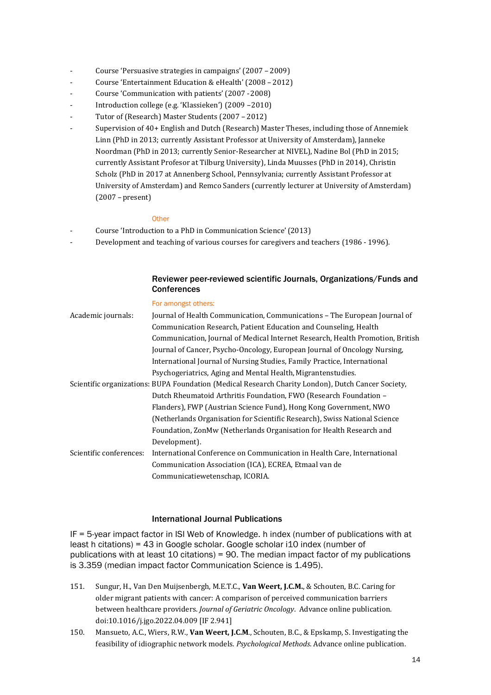- Course 'Persuasive strategies in campaigns' (2007 2009)
- Course 'Entertainment Education & eHealth' (2008 2012)
- Course 'Communication with patients' (2007 -2008)
- Introduction college (e.g. 'Klassieken') (2009 2010)
- Tutor of (Research) Master Students (2007 2012)
- Supervision of 40+ English and Dutch (Research) Master Theses, including those of Annemiek Linn (PhD in 2013; currently Assistant Professor at University of Amsterdam), Janneke Noordman (PhD in 2013; currently Senior-Researcher at NIVEL), Nadine Bol (PhD in 2015; currently Assistant Profesor at Tilburg University), Linda Muusses (PhD in 2014), Christin Scholz (PhD in 2017 at Annenberg School, Pennsylvania; currently Assistant Professor at University of Amsterdam) and Remco Sanders (currently lecturer at University of Amsterdam) (2007 –present)

#### **Other**

- Course 'Introduction to a PhD in Communication Science' (2013)
- Development and teaching of various courses for caregivers and teachers (1986 1996).

## Reviewer peer-reviewed scientific Journals, Organizations/Funds and **Conferences**

| Academic journals:      | Journal of Health Communication, Communications – The European Journal of                          |
|-------------------------|----------------------------------------------------------------------------------------------------|
|                         | Communication Research, Patient Education and Counseling, Health                                   |
|                         | Communication, Journal of Medical Internet Research, Health Promotion, British                     |
|                         | Journal of Cancer, Psycho-Oncology, European Journal of Oncology Nursing,                          |
|                         | International Journal of Nursing Studies, Family Practice, International                           |
|                         | Psychogeriatrics, Aging and Mental Health, Migrantenstudies.                                       |
|                         | Scientific organizations: BUPA Foundation (Medical Research Charity London), Dutch Cancer Society, |
|                         | Dutch Rheumatoid Arthritis Foundation, FWO (Research Foundation -                                  |
|                         | Flanders), FWP (Austrian Science Fund), Hong Kong Government, NWO                                  |
|                         | (Netherlands Organisation for Scientific Research), Swiss National Science                         |
|                         | Foundation, ZonMw (Netherlands Organisation for Health Research and                                |
|                         | Development).                                                                                      |
| Scientific conferences: | International Conference on Communication in Health Care, International                            |
|                         | Communication Association (ICA), ECREA, Etmaal van de                                              |
|                         | Communicatiewetenschap, ICORIA.                                                                    |

## International Journal Publications

IF = 5-year impact factor in ISI Web of Knowledge. h index (number of publications with at least h citations) = 43 in Google scholar. Google scholar i10 index (number of publications with at least 10 citations) = 90. The median impact factor of my publications is 3.359 (median impact factor Communication Science is 1.495).

- 151. Sungur, H., Van Den Muijsenbergh, M.E.T.C., **Van Weert, J.C.M.**, & Schouten, B.C. Caring for older migrant patients with cancer: A comparison of perceived communication barriers between healthcare providers. *Journal of Geriatric Oncology*. Advance online publication. doi:10.1016/j.jgo.2022.04.009 [IF 2.941]
- 150. Mansueto, A.C., Wiers, R.W., **Van Weert, J.C.M**., Schouten, B.C., & Epskamp, S. Investigating the feasibility of idiographic network models. *Psychological Methods*. Advance online publication.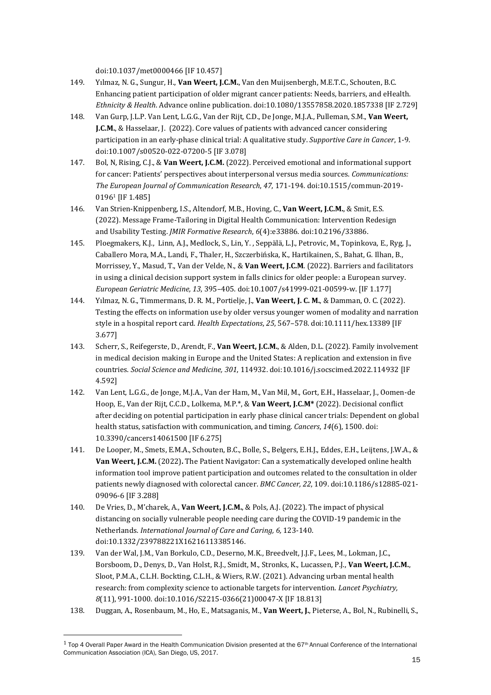doi:10.1037/met0000466 [IF 10.457]

- 149. Yılmaz, N. G., Sungur, H., **Van Weert, J.C.M.**, Van den Muijsenbergh, M.E.T.C., Schouten, B.C. Enhancing patient participation of older migrant cancer patients: Needs, barriers, and eHealth. *Ethnicity & Health*. Advance online publication. doi:10.1080/13557858.2020.1857338 [IF 2.729]
- 148. Van Gurp, J.L.P. Van Lent, L.G.G., Van der Rijt, C.D., De Jonge, M.J.A., Pulleman, S.M., **Van Weert, J.C.M.**, & Hasselaar, J. (2022). Core values of patients with advanced cancer considering participation in an early-phase clinical trial: A qualitative study. *Supportive Care in Cancer*, 1-9. doi:10.1007/s00520-022-07200-5 [IF 3.078]
- 147. Bol, N, Rising, C.J., & **Van Weert, J.C.M.** (2022). Perceived emotional and informational support for cancer: Patients' perspectives about interpersonal versus media sources. *Communications: The European Journal of Communication Research*, *47*, 171-194. doi:10.1515/commun-2019- 0196<sup>1</sup> [IF 1.485]
- 146. Van Strien-Knippenberg, I.S., Altendorf, M.B., Hoving, C., **Van Weert, J.C.M.**, & Smit, E.S. (2022). Message Frame-Tailoring in Digital Health Communication: Intervention Redesign and Usability Testing. *JMIR Formative Research*, *6*(4):e33886. doi:10.2196/33886.
- 145. Ploegmakers, K.J., Linn, A.J., Medlock, S., Lin, Y. , Seppälä, L.J., Petrovic, M., Topinkova, E., Ryg, J., Caballero Mora, M.A., Landi, F., Thaler, H., Szczerbińska, K., Hartikainen, S., Bahat, G. Ilhan, B., Morrissey, Y., Masud, T., Van der Velde, N., & **Van Weert, J.C.M**. (2022). Barriers and facilitators in using a clinical decision support system in falls clinics for older people: a European survey. *European Geriatric Medicine, 13*, 395–405. doi:10.1007/s41999-021-00599-w. [IF 1.177]
- 144. Yılmaz, N. G., Timmermans, D. R. M., Portielje, J., **Van Weert, J. C. M.**, & Damman, O. C. (2022). Testing the effects on information use by older versus younger women of modality and narration style in a hospital report card. *Health Expectations*, *25*, 567–578. doi:10.1111/hex.13389 [IF 3.677]
- 143. Scherr, S., Reifegerste, D., Arendt, F., **Van Weert, J.C.M.**, & Alden, D.L. (2022). Family involvement in medical decision making in Europe and the United States: A replication and extension in five countries. *Social Science and Medicine, 301*, 114932. doi:10.1016/j.socscimed.2022.114932 [IF 4.592]
- 142. Van Lent, L.G.G., de Jonge, M.J.A., Van der Ham, M., Van Mil, M., Gort, E.H., Hasselaar, J., Oomen-de Hoop, E., Van der Rijt, C.C.D., Lolkema, M.P.\*, & **Van Weert, J.C.M\*** (2022). Decisional conflict after deciding on potential participation in early phase clinical cancer trials: Dependent on global health status, satisfaction with communication, and timing. *Cancers*, *14*(6), 1500. doi: 10.3390/cancers14061500 [IF 6.275]
- 141. De Looper, M., Smets, E.M.A., Schouten, B.C., Bolle, S., Belgers, E.H.J., Eddes, E.H., Leijtens, J.W.A., & **Van Weert, J.C.M.** (2022)**.** The Patient Navigator: Can a systematically developed online health information tool improve patient participation and outcomes related to the consultation in older patients newly diagnosed with colorectal cancer. *BMC Cancer, 22*, 109. doi:10.1186/s12885-021- 09096-6 [IF 3.288]
- 140. De Vries, D., M'charek, A., **Van Weert, J.C.M.**, & Pols, A.J. (2022). The impact of physical distancing on socially vulnerable people needing care during the COVID-19 pandemic in the Netherlands. *International Journal of Care and Caring, 6,* 123-140. doi:10.1332/239788221X16216113385146.
- 139. Van der Wal, J.M., Van Borkulo, C.D., Deserno, M.K., Breedvelt, J.J.F., Lees, M., Lokman, J.C., Borsboom, D., Denys, D., Van Holst, R.J., Smidt, M., Stronks, K., Lucassen, P.J., **Van Weert, J.C.M.**, Sloot, P.M.A., C.L.H. Bockting, C.L.H., & Wiers, R.W. (2021). Advancing urban mental health research: from complexity science to actionable targets for intervention. *Lancet Psychiatry, 8*(11), 991-1000. doi:10.1016/S2215-0366(21)00047-X [IF 18.813]
- 138. Duggan, A., Rosenbaum, M., Ho, E., Matsaganis, M., **Van Weert, J.**, Pieterse, A., Bol, N., Rubinelli, S.,

 $1$  Top 4 Overall Paper Award in the Health Communication Division presented at the 67<sup>th</sup> Annual Conference of the International Communication Association (ICA), San Diego, US, 2017.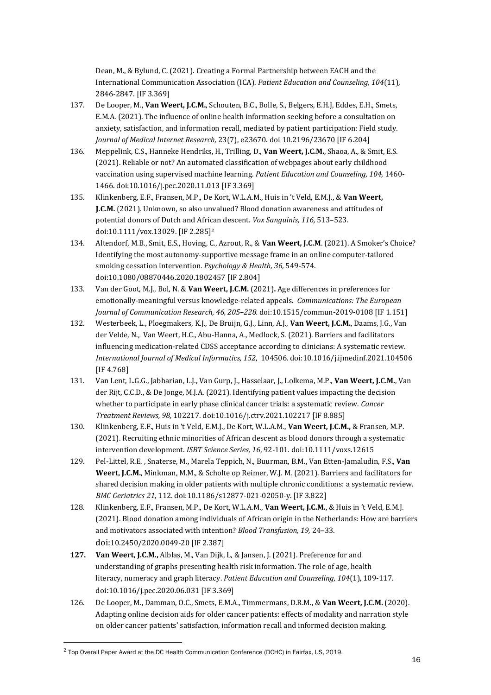Dean, M., & Bylund, C. (2021). Creating a Formal Partnership between EACH and the International Communication Association (ICA). *Patient Education and Counseling, 104*(11), 2846-2847. [IF 3.369]

- 137. De Looper, M., **Van Weert, J.C.M.**, Schouten, B.C., Bolle, S., Belgers, E.H.J, Eddes, E.H., Smets, E.M.A. (2021). The influence of online health information seeking before a consultation on anxiety, satisfaction, and information recall, mediated by patient participation: Field study. *Journal of Medical Internet Research,* 23(7), e23670. doi 10.2196/23670 [IF 6.204]
- 136. Meppelink, C.S., Hanneke Hendriks, H., Trilling, D., **Van Weert, J.C.M.**, Shaoa, A., & Smit, E.S*.*  (2021). Reliable or not? An automated classification of webpages about early childhood vaccination using supervised machine learning. *Patient Education and Counseling, 104,* 1460- 1466. doi:10.1016/j.pec.2020.11.013 [IF 3.369]
- 135. Klinkenberg, E.F., Fransen, M.P., De Kort, W.L.A.M., Huis in 't Veld, E.M.J., & **Van Weert, J.C.M.** (2021). Unknown, so also unvalued? Blood donation awareness and attitudes of potential donors of Dutch and African descent. *Vox Sanguinis, 116,* 513–523. doi:10.1111/vox.13029. [IF 2.285]*<sup>2</sup>*
- 134. Altendorf, M.B., Smit, E.S., Hoving, C., Azrout, R., & **Van Weert, J.C.M**. (2021). A Smoker's Choice? Identifying the most autonomy-supportive message frame in an online computer-tailored smoking cessation intervention. *Psychology & Health, 36,* 549-574. doi:10.1080/08870446.2020.1802457 [IF 2.804]
- 133. Van der Goot, M.J., Bol, N. & **Van Weert, J.C.M.** (2021)**.** Age differences in preferences for emotionally-meaningful versus knowledge-related appeals. *Communications: The European Journal of Communication Research, 46, 205–228.* doi:10.1515/commun-2019-0108 [IF 1.151]
- 132. Westerbeek, L., Ploegmakers, K.J., De Bruijn, G.J., Linn, A.J., **Van Weert, J.C.M.**, Daams, J.G., Van der Velde, N., Van Weert, H.C., Abu-Hanna, A., Medlock, S. (2021). Barriers and facilitators influencing medication-related CDSS acceptance according to clinicians: A systematic review. *International Journal of Medical Informatics, 152*, 104506. doi:10.1016/j.ijmedinf.2021.104506 [IF 4.768]
- 131. Van Lent, L.G.G., Jabbarian, L.J., Van Gurp, J., Hasselaar, J., Lolkema, M.P., **Van Weert, J.C.M.**, Van der Rijt, C.C.D., & De Jonge, M.J.A. (2021). Identifying patient values impacting the decision whether to participate in early phase clinical cancer trials: a systematic review. *Cancer Treatment Reviews, 98,* 102217. doi:10.1016/j.ctrv.2021.102217 [IF 8.885]
- 130. Klinkenberg, E.F., Huis in 't Veld, E.M.J., De Kort, W.L.A.M., **Van Weert, J.C.M.,** & Fransen, M.P. (2021). Recruiting ethnic minorities of African descent as blood donors through a systematic intervention development. *ISBT Science Series, 16*, 92-101. doi:10.1111/voxs.12615
- 129. Pel-Littel, R.E. , Snaterse, M., Marela Teppich, N., Buurman, B.M., Van Etten-Jamaludin, F.S., **Van Weert, J.C.M.**, Minkman, M.M., & Scholte op Reimer, W.J. M. (2021). Barriers and facilitators for shared decision making in older patients with multiple chronic conditions: a systematic review. *BMC Geriatrics 21,* 112*.* doi:10.1186/s12877-021-02050-y. [IF 3.822]
- 128. Klinkenberg, E.F., Fransen, M.P., De Kort, W.L.A.M., **Van Weert, J.C.M.**, & Huis in 't Veld, E.M.J. (2021). Blood donation among individuals of African origin in the Netherlands: How are barriers and motivators associated with intention? *Blood Transfusion, 19,* 24–33. doi:10.2450/2020.0049-20 [IF 2.387]
- **127. Van Weert, J.C.M.,** Alblas, M., Van Dijk, L, & Jansen, J. (2021). Preference for and understanding of graphs presenting health risk information. The role of age, health literacy, numeracy and graph literacy. *Patient Education and Counseling, 104*(1), 109-117. doi:10.1016/j.pec.2020.06.031 [IF 3.369]
- 126. De Looper, M., Damman, O.C., Smets, E.M.A., Timmermans, D.R.M., & **Van Weert, J.C.M.** (2020). Adapting online decision aids for older cancer patients: effects of modality and narration style on older cancer patients' satisfaction, information recall and informed decision making*.*

<sup>2</sup> Top Overall Paper Award at the DC Health Communication Conference (DCHC) in Fairfax, US, 2019.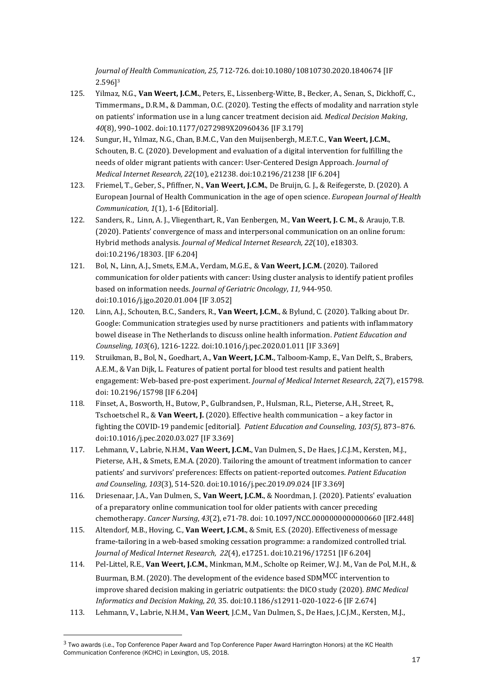*Journal of Health Communication, 25,* 712-726. doi:10.1080/10810730.2020.1840674 [IF 2.596]<sup>3</sup>

- 125. Yilmaz, N.G., **Van Weert, J.C.M.**, Peters, E., Lissenberg-Witte, B., Becker, A., Senan, S., Dickhoff, C., Timmermans,, D.R.M., & Damman, O.C. (2020). Testing the effects of modality and narration style on patients' information use in a lung cancer treatment decision aid. *Medical Decision Making*, *40*(8), 990–1002. doi:10.1177/0272989X20960436 [IF 3.179]
- 124. Sungur, H., Yılmaz, N.G., Chan, B.M.C., Van den Muijsenbergh, M.E.T.C., **Van Weert, J.C.M.**, Schouten, B. C. (2020). Development and evaluation of a digital intervention for fulfilling the needs of older migrant patients with cancer: User-Centered Design Approach. *Journal of Medical Internet Research, 22*(10), e21238. doi:10.2196/21238 [IF 6.204]
- 123. Friemel, T., Geber, S., Pfiffner, N., **Van Weert, J.C.M.**, De Bruijn, G. J., & Reifegerste, D. (2020). A European Journal of Health Communication in the age of open science. *European Journal of Health Communication, 1*(1), 1-6 [Editorial].
- 122. Sanders, R., Linn, A. J., Vliegenthart, R., Van Eenbergen, M., **Van Weert, J. C. M.**, & Araujo, T.B. (2020). Patients' convergence of mass and interpersonal communication on an online forum: Hybrid methods analysis. *Journal of Medical Internet Research, 22*(10), e18303. doi:10.2196/18303. [IF 6.204]
- 121. Bol, N., Linn, A.J., Smets, E.M.A., Verdam, M.G.E., & **Van Weert, J.C.M.** (2020). Tailored communication for older patients with cancer: Using cluster analysis to identify patient profiles based on information needs. *Journal of Geriatric Oncology*, *11,* 944-950. doi:10.1016/j.jgo.2020.01.004 [IF 3.052]
- 120. Linn, A.J., Schouten, B.C., Sanders, R., **Van Weert, J.C.M.**, & Bylund, C. (2020). Talking about Dr. Google: Communication strategies used by nurse practitioners and patients with inflammatory bowel disease in The Netherlands to discuss online health information. *Patient Education and Counseling, 103*(6), 1216-1222. doi:10.1016/j.pec.2020.01.011 [IF 3.369]
- 119. Struikman, B., Bol, N., Goedhart, A., **Van Weert, J.C.M.**, Talboom-Kamp, E., Van Delft, S., Brabers, A.E.M., & Van Dijk, L. Features of patient portal for blood test results and patient health engagement: Web-based pre-post experiment. *Journal of Medical Internet Research, 22*(7), e15798. doi: 10.2196/15798 [IF 6.204]
- 118. Finset, A., Bosworth, H., Butow, P., Gulbrandsen, P., Hulsman, R.L., Pieterse, A.H., Street, R., Tschoetschel R., & **Van Weert, J.** (2020). Effective health communication – a key factor in fighting the COVID-19 pandemic [editorial]. *Patient Education and Counseling, 103(5),* 873–876. doi:10.1016/j.pec.2020.03.027 [IF 3.369]
- 117. Lehmann, V., Labrie, N.H.M., **Van Weert, J.C.M.**, Van Dulmen, S., De Haes, J.C.J.M., Kersten, M.J., Pieterse, A.H., & Smets, E.M.A. (2020). Tailoring the amount of treatment information to cancer patients' and survivors' preferences: Effects on patient-reported outcomes. *Patient Education and Counseling, 103*(3), 514-520*.* doi:10.1016/j.pec.2019.09.024 [IF 3.369]
- 116. Driesenaar, J.A., Van Dulmen, S., **Van Weert, J.C.M.**, & Noordman, J. (2020). Patients' evaluation of a preparatory online communication tool for older patients with cancer preceding chemotherapy. *Cancer Nursing*, *43*(2), e71-78. doi: 10.1097/NCC.0000000000000660 [IF2.448]
- 115. Altendorf, M.B., Hoving, C., **Van Weert, J.C.M.**, & Smit, E.S. (2020). Effectiveness of message frame-tailoring in a web-based smoking cessation programme: a randomized controlled trial. *Journal of Medical Internet Research, 22*(4), e17251. doi:10.2196/17251 [IF 6.204]
- 114. Pel-Littel, R.E., **Van Weert, J.C.M.**, Minkman, M.M., Scholte op Reimer, W.J. M., Van de Pol, M.H., & Buurman, B.M. (2020). The development of the evidence based SDMMCC intervention to improve shared decision making in geriatric outpatients: the DICO study (2020). *BMC Medical Informatics and Decision Making, 20*, 35. doi:10.1186/s12911-020-1022-6 [IF 2.674]
- 113. Lehmann, V., Labrie, N.H.M., **Van Weert**, J.C.M., Van Dulmen, S., De Haes, J.C.J.M., Kersten, M.J.,

 $3$  Two awards (i.e., Top Conference Paper Award and Top Conference Paper Award Harrington Honors) at the KC Health Communication Conference (KCHC) in Lexington, US, 2018.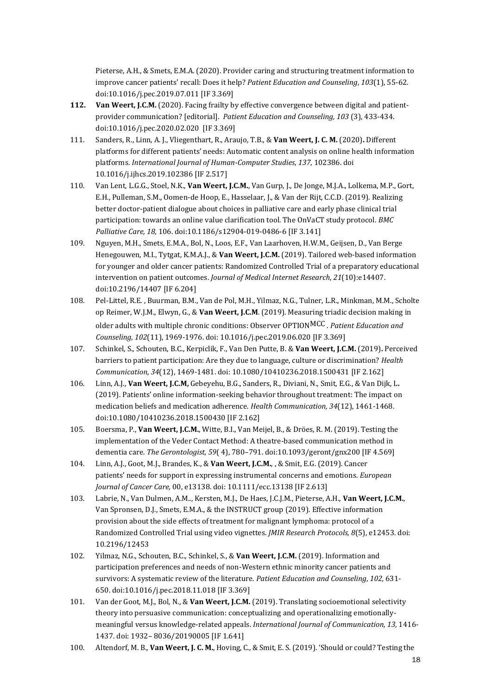Pieterse, A.H., & Smets, E.M.A. (2020). Provider caring and structuring treatment information to improve cancer patients' recall: Does it help? *Patient Education and Counseling*, *103*(1), 55-62. doi:10.1016/j.pec.2019.07.011 [IF 3.369]

- **112. Van Weert, J.C.M.** (2020). Facing frailty by effective convergence between digital and patientprovider communication? [editorial]. *Patient Education and Counseling, 103* (3), 433-434. doi:10.1016/j.pec.2020.02.020 [IF 3.369]
- 111. Sanders, R., Linn, A. J., Vliegenthart, R., Araujo, T.B., & **Van Weert, J. C. M.** (2020)**.** Different platforms for different patients' needs: Automatic content analysis on online health information platforms. *International Journal of Human-Computer Studies*, *137*, 102386. doi 10.1016/j.ijhcs.2019.102386 [IF 2.517]
- 110. Van Lent, L.G.G., Stoel, N.K., **Van Weert, J.C.M.**, Van Gurp, J., De Jonge, M.J.A., Lolkema, M.P., Gort, E.H., Pulleman, S.M., Oomen-de Hoop, E., Hasselaar, J., & Van der Rijt, C.C.D. (2019). Realizing better doctor-patient dialogue about choices in palliative care and early phase clinical trial participation: towards an online value clarification tool. The OnVaCT study protocol. *BMC Palliative Care, 18,* 106. doi:10.1186/s12904-019-0486-6 [IF 3.141]
- 109. Nguyen, M.H., Smets, E.M.A., Bol, N., Loos, E.F., Van Laarhoven, H.W.M., Geijsen, D., Van Berge Henegouwen, M.I., Tytgat, K.M.A.J., & **Van Weert, J.C.M.** (2019). Tailored web-based information for younger and older cancer patients: Randomized Controlled Trial of a preparatory educational intervention on patient outcomes. *Journal of Medical Internet Research*, *21*(10):e14407. doi:10.2196/14407 [IF 6.204]
- 108. Pel-Littel, R.E. , Buurman, B.M., Van de Pol, M.H., Yilmaz, N.G., Tulner, L.R., Minkman, M.M., Scholte op Reimer, W.J.M., Elwyn, G., & **Van Weert, J.C.M**. (2019). Measuring triadic decision making in older adults with multiple chronic conditions: Observer OPTIONMCC . *Patient Education and Counseling, 102*(11), 1969-1976. doi: 10.1016/j.pec.2019.06.020 [IF 3.369]
- 107. Schinkel, S., Schouten, B.C., Kerpiclik, F., Van Den Putte, B. & **Van Weert, J.C.M.** (2019)**.** Perceived barriers to patient participation: Are they due to language, culture or discrimination? *Health Communication*, *34*(12), 1469-1481. doi: 10.1080/10410236.2018.1500431 [IF 2.162]
- 106. Linn, A.J., **Van Weert, J.C.M,** Gebeyehu, B.G., Sanders, R., Diviani, N., Smit, E.G., & Van Dijk, L**.**  (2019). Patients' online information-seeking behavior throughout treatment: The impact on medication beliefs and medication adherence. *Health Communication, 34*(12), 1461-1468. doi:10.1080/10410236.2018.1500430 [IF 2.162]
- 105. Boersma, P., **Van Weert, J.C.M.**, Witte, B.I., Van Meijel, B., & Dröes, R. M. (2019). Testing the implementation of the Veder Contact Method: A theatre-based communication method in dementia care. *The Gerontologist, 59*( 4), 780–791. doi:10.1093/geront/gnx200 [IF 4.569]
- 104. Linn, A.J., Goot, M.J., Brandes, K., & **Van Weert, J.C.M.**, , & Smit, E.G. (2019). Cancer patients' needs for support in expressing instrumental concerns and emotions. *European Journal of Cancer Care,* 00, e13138. doi: 10.1111/ecc.13138 [IF 2.613]
- 103. Labrie, N., Van Dulmen, A.M.., Kersten, M.J., De Haes, J.C.J.M., Pieterse, A.H., **Van Weert, J.C.M.**, Van Spronsen, D.J., Smets, E.M.A., & the INSTRUCT group (2019). Effective information provision about the side effects of treatment for malignant lymphoma: protocol of a Randomized Controlled Trial using video vignettes. *JMIR Research Protocols, 8*(5), e12453. doi: 10.2196/12453
- 102. Yilmaz, N.G., Schouten, B.C., Schinkel, S., & **Van Weert, J.C.M.** (2019). Information and participation preferences and needs of non-Western ethnic minority cancer patients and survivors: A systematic review of the literature. *Patient Education and Counseling*, *102,* 631- 650. doi:10.1016/j.pec.2018.11.018 [IF 3.369]
- 101. Van der Goot, M.J., Bol, N., & **Van Weert, J.C.M.** (2019). Translating socioemotional selectivity theory into persuasive communication: conceptualizing and operationalizing emotionallymeaningful versus knowledge-related appeals. *International Journal of Communication, 13,* 1416- 1437. doi: 1932– 8036/20190005 [IF 1.641]
- 100. Altendorf, M. B., **Van Weert, J. C. M.**, Hoving, C., & Smit, E. S. (2019). 'Should or could? Testing the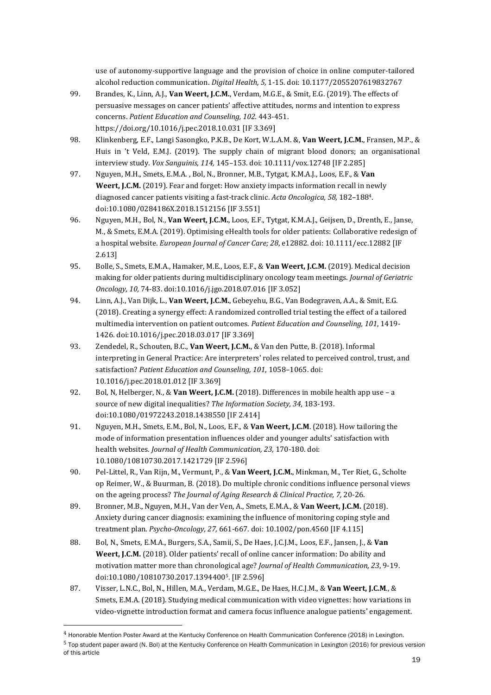use of autonomy-supportive language and the provision of choice in online computer-tailored alcohol reduction communication. *Digital Health, 5,* 1-15. doi: 10.1177/2055207619832767

- 99. Brandes, K., Linn, A.J., **Van Weert, J.C.M.**, Verdam, M.G.E., & Smit, E.G. (2019). The effects of persuasive messages on cancer patients' affective attitudes, norms and intention to express concerns. *Patient Education and Counseling, 102.* 443-451. https://doi.org/10.1016/j.pec.2018.10.031 [IF 3.369]
- 98. Klinkenberg, E.F., Langi Sasongko, P.K.B., De Kort, W.L.A.M. &, **Van Weert, J.C.M.**, Fransen, M.P., & Huis in 't Veld, E.M.J. (2019). The supply chain of migrant blood donors; an organisational interview study. *Vox Sanguinis, 114,* 145–153. doi: 10.1111/vox.12748 [IF 2.285]
- 97. Nguyen, M.H., Smets, E.M.A. , Bol, N., Bronner, M.B., Tytgat, K.M.A.J., Loos, E.F., & **Van Weert, J.C.M.** (2019). Fear and forget: How anxiety impacts information recall in newly diagnosed cancer patients visiting a fast-track clinic. *Acta Oncologica, 58,* 182–188<sup>4</sup> . doi:10.1080/0284186X.2018.1512156 [IF 3.551]
- 96. Nguyen, M.H., Bol, N., **Van Weert, J.C.M.**, Loos, E.F., Tytgat, K.M.A.J., Geijsen, D., Drenth, E., Janse, M., & Smets, E.M.A. (2019). Optimising eHealth tools for older patients: Collaborative redesign of a hospital website. *European Journal of Cancer Care; 28*, e12882. doi: 10.1111/ecc.12882 [IF 2.613]
- 95. Bolle, S., Smets, E.M.A., Hamaker, M.E., Loos, E.F., & **Van Weert, J.C.M.** (2019). Medical decision making for older patients during multidisciplinary oncology team meetings. *Journal of Geriatric Oncology, 10,* 74-83. doi:10.1016/j.jgo.2018.07.016 [IF 3.052]
- 94. Linn, A.J., Van Dijk, L., **Van Weert, J.C.M.**, Gebeyehu, B.G., Van Bodegraven, A.A., & Smit, E.G. (2018). Creating a synergy effect: A randomized controlled trial testing the effect of a tailored multimedia intervention on patient outcomes. *Patient Education and Counseling, 101*, 1419- 1426. doi:10.1016/j.pec.2018.03.017 [IF 3.369]
- 93. Zendedel, R., Schouten, B.C., **Van Weert, J.C.M.**, & Van den Putte, B. (2018). Informal interpreting in General Practice: Are interpreters' roles related to perceived control, trust, and satisfaction? *Patient Education and Counseling, 101*, 1058–1065. doi: 10.1016/j.pec.2018.01.012 [IF 3.369]
- 92. Bol, N, Helberger, N., & **Van Weert, J.C.M.** (2018). Differences in mobile health app use a source of new digital inequalities? *The Information Society, 34,* 183-193. doi:10.1080/01972243.2018.1438550 [IF 2.414]
- 91. Nguyen, M.H., Smets, E.M., Bol, N., Loos, E.F., & **Van Weert, J.C.M**. (2018). How tailoring the mode of information presentation influences older and younger adults' satisfaction with health websites. *Journal of Health Communication, 23,* 170-180. doi: 10.1080/10810730.2017.1421729 [IF 2.596]
- 90. Pel-Littel, R., Van Rijn, M., Vermunt, P., & **Van Weert, J.C.M.**, Minkman, M., Ter Riet, G., Scholte op Reimer, W., & Buurman, B. (2018). Do multiple chronic conditions influence personal views on the ageing process? *The Journal of Aging Research & Clinical Practice, 7,* 20-26.
- 89. Bronner, M.B., Nguyen, M.H., Van der Ven, A., Smets, E.M.A., & **Van Weert, J.C.M.** (2018). Anxiety during cancer diagnosis: examining the influence of monitoring coping style and treatment plan. *Psycho-Oncology, 27,* 661-667. doi: 10.1002/pon.4560 [IF 4.115]
- 88. Bol, N., Smets, E.M.A., Burgers, S.A., Samii, S., De Haes, J.C.J.M., Loos, E.F., Jansen, J., & **Van**  Weert, J.C.M. (2018). Older patients' recall of online cancer information: Do ability and motivation matter more than chronological age? *Journal of Health Communication, 23*, 9-19. doi:10.1080/10810730.2017.1394400<sup>5</sup> . [IF 2.596]
- 87. Visser, L.N.C., Bol, N., Hillen, M.A., Verdam, M.G.E., De Haes, H.C.J.M., & **Van Weert, J.C.M**., & Smets, E.M.A. (2018). Studying medical communication with video vignettes: how variations in video-vignette introduction format and camera focus influence analogue patients' engagement.

5 Top student paper award (N. Bol) at the Kentucky Conference on Health Communication in Lexington (2016) for previous version of this article

<sup>4</sup> Honorable Mention Poster Award at the Kentucky Conference on Health Communication Conference (2018) in Lexington.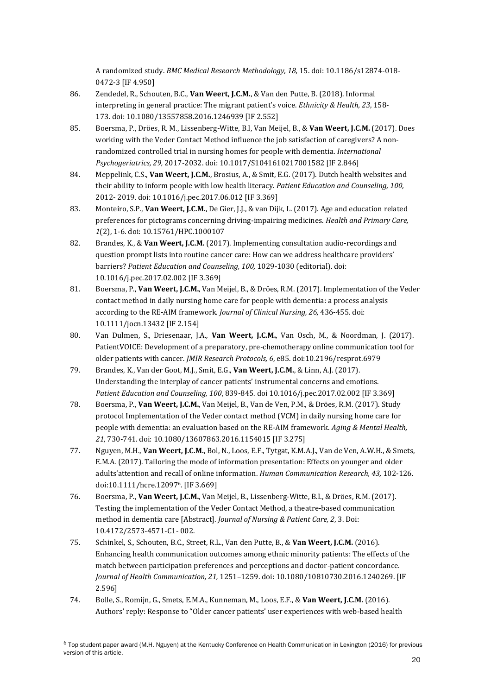A randomized study. *BMC Medical Research Methodology, 18,* 15. doi: 10.1186/s12874-018- 0472-3 [IF 4.950]

- 86. Zendedel, R., Schouten, B.C., **Van Weert, J.C.M.**, & Van den Putte, B. (2018). Informal interpreting in general practice: The migrant patient's voice. *Ethnicity & Health, 23*, 158- 173. doi: 10.1080/13557858.2016.1246939 [IF 2.552]
- 85. Boersma, P., Dröes, R. M., Lissenberg-Witte, B.I, Van Meijel, B., & **Van Weert, J.C.M.** (2017). Does working with the Veder Contact Method influence the job satisfaction of caregivers? A nonrandomized controlled trial in nursing homes for people with dementia. *International Psychogeriatrics, 29,* 2017-2032. doi: 10.1017/S1041610217001582 [IF 2.846]
- 84. Meppelink, C.S., **Van Weert, J.C.M.**, Brosius, A., & Smit, E.G. (2017). Dutch health websites and their ability to inform people with low health literacy. *Patient Education and Counseling, 100,*  2012- 2019. doi: 10.1016/j.pec.2017.06.012 [IF 3.369]
- 83. Monteiro, S.P., **Van Weert, J.C.M.**, De Gier, J.J., & van Dijk, L. (2017). Age and education related preferences for pictograms concerning driving-impairing medicines. *Health and Primary Care, 1*(2), 1-6. doi: 10.15761/HPC.1000107
- 82. Brandes, K., & **Van Weert, J.C.M.** (2017). Implementing consultation audio-recordings and question prompt lists into routine cancer care: How can we address healthcare providers' barriers? *Patient Education and Counseling, 100,* 1029-1030 (editorial). doi: 10.1016/j.pec.2017.02.002 [IF 3.369]
- 81. Boersma, P., **Van Weert, J.C.M.**, Van Meijel, B., & Dröes, R.M. (2017). Implementation of the Veder contact method in daily nursing home care for people with dementia: a process analysis according to the RE-AIM framework*. Journal of Clinical Nursing, 26,* 436-455. doi: 10.1111/jocn.13432 [IF 2.154]
- 80. Van Dulmen, S., Driesenaar, J.A., **Van Weert, J.C.M.**, Van Osch, M., & Noordman, J. (2017). PatientVOICE: Development of a preparatory, pre-chemotherapy online communication tool for older patients with cancer. *JMIR Research Protocols, 6*, e85. doi:10.2196/resprot.6979
- 79. Brandes, K., Van der Goot, M.J., Smit, E.G., **Van Weert, J.C.M.**, & Linn, A.J. (2017). Understanding the interplay of cancer patients' instrumental concerns and emotions. *Patient Education and Counseling, 100*, 839-845. doi 10.1016/j.pec.2017.02.002 [IF 3.369]
- 78. Boersma, P., **Van Weert, J.C.M.**, Van Meijel, B., Van de Ven, P.M., & Dröes, R.M. (2017). Study protocol Implementation of the Veder contact method (VCM) in daily nursing home care for people with dementia: an evaluation based on the RE-AIM framework. *Aging & Mental Health, 21,* 730-741. doi: 10.1080/13607863.2016.1154015 [IF 3.275]
- 77. Nguyen, M.H., **Van Weert, J.C.M.**, Bol, N., Loos, E.F., Tytgat, K.M.A.J., Van de Ven, A.W.H., & Smets, E.M.A. (2017). Tailoring the mode of information presentation: Effects on younger and older adults'attention and recall of online information. *Human Communication Research, 43,* 102-126. doi:10.1111/hcre.12097<sup>6</sup> . [IF 3.669]
- 76. Boersma, P., **Van Weert, J.C.M.**, Van Meijel, B., Lissenberg-Witte, B.I., & Dröes, R.M. (2017). Testing the implementation of the Veder Contact Method, a theatre-based communication method in dementia care [Abstract]. *Journal of Nursing & Patient Care, 2*, 3. Doi: 10.4172/2573-4571-C1- 002.
- 75. Schinkel, S., Schouten, B.C., Street, R.L., Van den Putte, B., & **Van Weert, J.C.M.** (2016). Enhancing health communication outcomes among ethnic minority patients: The effects of the match between participation preferences and perceptions and doctor-patient concordance*. Journal of Health Communication, 21,* 1251–1259. doi: 10.1080/10810730.2016.1240269. [IF 2.596]
- 74. Bolle, S., Romijn, G., Smets, E.M.A., Kunneman, M., Loos, E.F., & **Van Weert, J.C.M.** (2016). Authors' reply: Response to "Older cancer patients' user experiences with web-based health

<sup>6</sup> Top student paper award (M.H. Nguyen) at the Kentucky Conference on Health Communication in Lexington (2016) for previous version of this article.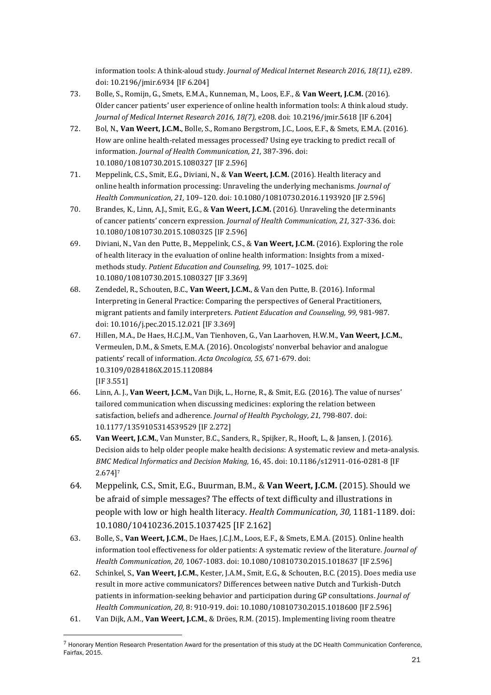information tools: A think-aloud study. *Journal of Medical Internet Research 2016, 18(11),* e289. doi: 10.2196/jmir.6934 [IF 6.204]

- 73. Bolle, S., Romijn, G., Smets, E.M.A., Kunneman, M., Loos, E.F., & **Van Weert, J.C.M.** (2016). Older cancer patients' user experience of online health information tools: A think aloud study. *Journal of Medical Internet Research 2016, 18(7),* e208. doi: 10.2196/jmir.5618 [IF 6.204]
- 72. Bol, N., **Van Weert, J.C.M.**, Bolle, S., Romano Bergstrom, J.C., Loos, E.F., & Smets, E.M.A. (2016). How are online health-related messages processed? Using eye tracking to predict recall of information. *Journal of Health Communication, 21,* 387-396. doi: 10.1080/10810730.2015.1080327 [IF 2.596]
- 71. Meppelink, C.S., Smit, E.G., Diviani, N., & **Van Weert, J.C.M.** (2016). Health literacy and online health information processing: Unraveling the underlying mechanisms. *Journal of Health Communication, 21,* 109–120. doi: 10.1080/10810730.2016.1193920 [IF 2.596]
- 70. Brandes, K., Linn, A.J., Smit, E.G., & **Van Weert, J.C.M.** (2016). Unraveling the determinants of cancer patients' concern expression*. Journal of Health Communication, 21,* 327-336. doi: 10.1080/10810730.2015.1080325 [IF 2.596]
- 69. Diviani, N., Van den Putte, B., Meppelink, C.S., & **Van Weert, J.C.M.** (2016). Exploring the role of health literacy in the evaluation of online health information: Insights from a mixedmethods study. *Patient Education and Counseling, 99,* 1017–1025. doi: 10.1080/10810730.2015.1080327 [IF 3.369]
- 68. Zendedel, R., Schouten, B.C., **Van Weert, J.C.M.**, & Van den Putte, B. (2016). Informal Interpreting in General Practice: Comparing the perspectives of General Practitioners, migrant patients and family interpreters. *Patient Education and Counseling, 99,* 981-987. doi: 10.1016/j.pec.2015.12.021 [IF 3.369]
- 67. Hillen, M.A., De Haes, H.C.J.M., Van Tienhoven, G., Van Laarhoven, H.W.M., **Van Weert, J.C.M.**, Vermeulen, D.M., & Smets, E.M.A. (2016). Oncologists' nonverbal behavior and analogue patients' recall of information. *Acta Oncologica, 55,* 671-679. doi: 10.3109/0284186X.2015.1120884 [IF 3.551]
- 66. Linn, A. J., **Van Weert, J.C.M.**, Van Dijk, L., Horne, R., & Smit, E.G. (2016). The value of nurses' tailored communication when discussing medicines: exploring the relation between satisfaction, beliefs and adherence. *Journal of Health Psychology, 21,* 798-807. doi: 10.1177/1359105314539529 [IF 2.272]
- **65. Van Weert, J.C.M.**, Van Munster, B.C., Sanders, R., Spijker, R., Hooft, L., & Jansen, J. (2016). Decision aids to help older people make health decisions: A systematic review and meta-analysis. *BMC Medical Informatics and Decision Making,* 16, 45. doi: 10.1186/s12911-016-0281-8 [IF 2.674] 7
- 64. Meppelink, C.S., Smit, E.G., Buurman, B.M., & **Van Weert, J.C.M.** (2015). Should we be afraid of simple messages? The effects of text difficulty and illustrations in people with low or high health literacy. *Health Communication, 30,* 1181-1189. doi: 10.1080/10410236.2015.1037425 [IF 2.162]
- 63. Bolle, S., **Van Weert, J.C.M.**, De Haes, J.C.J.M., Loos, E.F., & Smets, E.M.A. (2015). Online health information tool effectiveness for older patients: A systematic review of the literature*. Journal of Health Communication, 20,* 1067-1083. doi: 10.1080/10810730.2015.1018637 [IF 2.596]
- 62. Schinkel, S., **Van Weert, J.C.M.**, Kester, J.A.M., Smit, E.G., & Schouten, B.C. (2015). Does media use result in more active communicators? Differences between native Dutch and Turkish-Dutch patients in information-seeking behavior and participation during GP consultations. *Journal of Health Communication, 20,* 8: 910-919. doi: 10.1080/10810730.2015.1018600 [IF 2.596]
- 61. Van Dijk, A.M., **Van Weert, J.C.M.**, & Dröes, R.M. (2015). Implementing living room theatre

<sup>7</sup> Honorary Mention Research Presentation Award for the presentation of this study at the DC Health Communication Conference, Fairfax, 2015.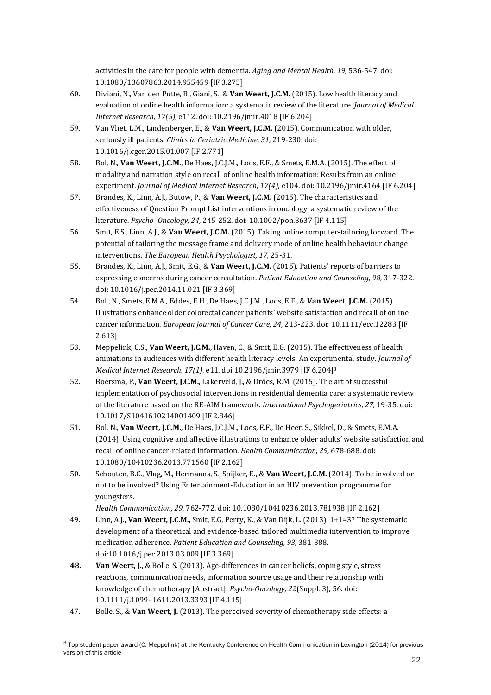activities in the care for people with dementia. *Aging and Mental Health, 19,* 536-547. doi: 10.1080/13607863.2014.955459 [IF 3.275]

- 60. Diviani, N., Van den Putte, B., Giani, S., & **Van Weert, J.C.M.** (2015). Low health literacy and evaluation of online health information: a systematic review of the literature. *Journal of Medical Internet Research, 17(5),* e112. doi: 10.2196/jmir.4018 [IF 6.204]
- 59. Van Vliet, L.M., Lindenberger, E., & **Van Weert, J.C.M.** (2015). Communication with older, seriously ill patients. *Clinics in Geriatric Medicine, 31,* 219-230. doi: 10.1016/j.cger.2015.01.007 [IF 2.771]
- 58. Bol, N., **Van Weert, J.C.M.**, De Haes, J.C.J.M., Loos, E.F., & Smets, E.M.A. (2015). The effect of modality and narration style on recall of online health information: Results from an online experiment. *Journal of Medical Internet Research, 17(4),* e104. doi: 10.2196/jmir.4164 [IF 6.204]
- 57. Brandes, K., Linn, A.J., Butow, P., & **Van Weert, J.C.M.** (2015). The characteristics and effectiveness of Question Prompt List interventions in oncology: a systematic review of the literature. *Psycho- Oncology, 24,* 245-252. doi: 10.1002/pon.3637 [IF 4.115]
- 56. Smit, E.S., Linn, A.J., & **Van Weert, J.C.M.** (2015). Taking online computer-tailoring forward. The potential of tailoring the message frame and delivery mode of online health behaviour change interventions. *The European Health Psychologist, 17,* 25-31.
- 55. Brandes, K., Linn, A.J., Smit, E.G., & **Van Weert, J.C.M.** (2015). Patients' reports of barriers to expressing concerns during cancer consultation. *Patient Education and Counseling, 98,* 317-322. doi: 10.1016/j.pec.2014.11.021 [IF 3.369]
- 54. Bol., N., Smets, E.M.A., Eddes, E.H., De Haes, J.C.J.M., Loos, E.F., & **Van Weert, J.C.M.** (2015). Illustrations enhance older colorectal cancer patients' website satisfaction and recall of online cancer information*. European Journal of Cancer Care, 24,* 213-223. doi: 10.1111/ecc.12283 [IF 2.613]
- 53. Meppelink, C.S., **Van Weert, J.C.M.**, Haven, C., & Smit, E.G. (2015). The effectiveness of health animations in audiences with different health literacy levels: An experimental study. *Journal of Medical Internet Research, 17(1),* e11. doi:10.2196/jmir.3979 [IF 6.204] 8
- 52. Boersma, P., **Van Weert, J.C.M.**, Lakerveld, J., & Dröes, R.M. (2015). The art of successful implementation of psychosocial interventions in residential dementia care: a systematic review of the literature based on the RE-AIM framework*. International Psychogeriatrics, 27,* 19-35. doi: 10.1017/S1041610214001409 [IF 2.846]
- 51. Bol, N., **Van Weert, J.C.M.**, De Haes, J.C.J.M., Loos, E.F., De Heer, S., Sikkel, D., & Smets, E.M.A. (2014). Using cognitive and affective illustrations to enhance older adults' website satisfaction and recall of online cancer-related information. *Health Communication, 29,* 678-688. doi: 10.1080/10410236.2013.771560 [IF 2.162]
- 50. Schouten, B.C., Vlug, M., Hermanns, S., Spijker, E., & **Van Weert, J.C.M.** (2014). To be involved or not to be involved? Using Entertainment-Education in an HIV prevention programme for youngsters.

*Health Communication, 29,* 762-772. doi: 10.1080/10410236.2013.781938 [IF 2.162]

- 49. Linn, A.J., **Van Weert, J.C.M.,** Smit, E.G, Perry, K., & Van Dijk, L. (2013). 1+1=3? The systematic development of a theoretical and evidence-based tailored multimedia intervention to improve medication adherence. *Patient Education and Counseling, 93,* 381-388. doi:10.1016/j.pec.2013.03.009 [IF 3.369]
- **48. Van Weert, J.**, & Bolle, S. (2013). Age-differences in cancer beliefs, coping style, stress reactions, communication needs, information source usage and their relationship with knowledge of chemotherapy [Abstract]. *Psycho-Oncology, 22*(Suppl. 3), 56. doi: 10.1111/j.1099- 1611.2013.3393 [IF 4.115]
- 47. Bolle, S., & **Van Weert, J.** (2013). The perceived severity of chemotherapy side effects: a

<sup>8</sup> Top student paper award (C. Meppelink) at the Kentucky Conference on Health Communication in Lexington (2014) for previous version of this article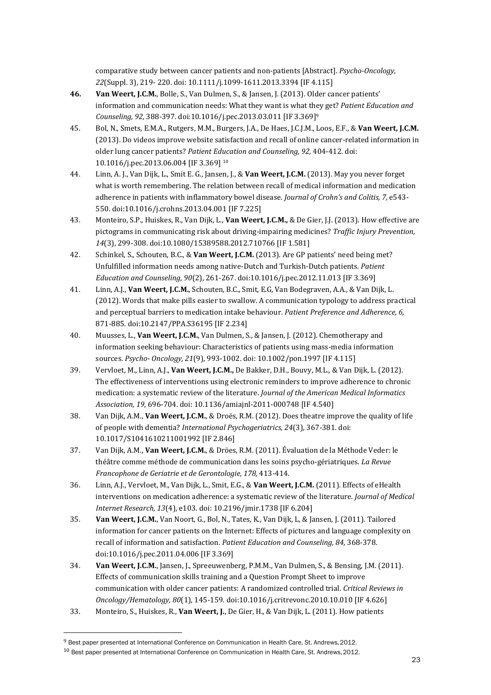comparative study between cancer patients and non-patients [Abstract]. *Psycho-Oncology, 22*(Suppl. 3), 219- 220. doi: 10.1111/j.1099-1611.2013.3394 [IF 4.115]

- **46. Van Weert, J.C.M.**, Bolle, S., Van Dulmen, S., & Jansen, J. (2013). Older cancer patients' information and communication needs: What they want is what they get? *Patient Education and Counseling, 92,* 388-397. doi:10.1016/j.pec.2013.03.011 [IF 3.369] 9
- 45. Bol, N., Smets, E.M.A., Rutgers, M.M., Burgers, J.A., De Haes, J.C.J.M., Loos, E.F., & **Van Weert, J.C.M.**  (2013). Do videos improve website satisfaction and recall of online cancer-related information in older lung cancer patients? *Patient Education and Counseling, 92,* 404-412. doi: 10.1016/j.pec.2013.06.004 [IF 3.369] <sup>10</sup>
- 44. Linn, A. J., Van Dijk, L., Smit E. G., Jansen, J., & **Van Weert, J.C.M.** (2013). May you never forget what is worth remembering. The relation between recall of medical information and medication adherence in patients with inflammatory bowel disease. *Journal of Crohn's and Colitis, 7,* e543- 550. doi:10.1016/j.crohns.2013.04.001 [IF 7.225]
- 43. Monteiro, S.P., Huiskes, R., Van Dijk, L., **Van Weert, J.C.M.,** & De Gier, J.J. (2013). How effective are pictograms in communicating risk about driving-impairing medicines? *Traffic Injury Prevention, 14*(3), 299-308. doi:10.1080/15389588.2012.710766 [IF 1.581]
- 42. Schinkel, S., Schouten, B.C., & **Van Weert, J.C.M.** (2013). Are GP patients' need being met? Unfulfilled information needs among native-Dutch and Turkish-Dutch patients. *Patient Education and Counseling, 90*(2), 261-267. doi:10.1016/j.pec.2012.11.013 [IF 3.369]
- 41. Linn, A.J., **Van Weert, J.C.M.**, Schouten, B.C., Smit, E.G, Van Bodegraven, A.A., & Van Dijk, L. (2012). Words that make pills easier to swallow. A communication typology to address practical and perceptual barriers to medication intake behaviour. *Patient Preference and Adherence, 6,*  871-885. doi:10.2147/PPA.S36195 [IF 2.234]
- 40. Muusses, L., **Van Weert, J.C.M.**, Van Dulmen, S., & Jansen, J. (2012). Chemotherapy and information seeking behaviour: Characteristics of patients using mass-media information sources. *Psycho- Oncology, 21*(9), 993-1002. doi: 10.1002/pon.1997 [IF 4.115]
- 39. Vervloet, M., Linn, A.J., **Van Weert, J.C.M.,** De Bakker, D.H., Bouvy, M.L., & Van Dijk, L. (2012). The effectiveness of interventions using electronic reminders to improve adherence to chronic medication: a systematic review of the literature. *Journal of the American Medical Informatics Association, 19,* 696-704. doi: 10.1136/amiajnl-2011-000748 [IF 4.540]
- 38. Van Dijk, A.M., **Van Weert, J.C.M.**, & Droës, R.M. (2012). Does theatre improve the quality of life of people with dementia? *International Psychogeriatrics, 24*(3), 367-381. doi: 10.1017/S1041610211001992 [IF 2.846]
- 37. Van Dijk, A.M., **Van Weert, J.C.M.**, & Dröes, R.M. (2011). Évaluation de la Méthode Veder: le théâtre comme méthode de communication dans les soins psycho-gériatriques. *La Revue Francophone de Geriatrie et de Gerontologie, 178,* 413-414.
- 36. Linn, A.J., Vervloet, M., Van Dijk, L., Smit, E.G., & **Van Weert, J.C.M.** (2011). Effects of eHealth interventions on medication adherence: a systematic review of the literature. *Journal of Medical Internet Research, 13*(4), e103. doi: 10.2196/jmir.1738 [IF 6.204]
- 35. **Van Weert, J.C.M.**, Van Noort, G., Bol, N., Tates, K., Van Dijk, L, & Jansen, J. (2011). Tailored information for cancer patients on the Internet: Effects of pictures and language complexity on recall of information and satisfaction. *Patient Education and Counseling, 84,* 368-378. doi:10.1016/j.pec.2011.04.006 [IF 3.369]
- 34. **Van Weert, J.C.M.**, Jansen, J., Spreeuwenberg, P.M.M., Van Dulmen, S., & Bensing, J.M. (2011). Effects of communication skills training and a Question Prompt Sheet to improve communication with older cancer patients: A randomized controlled trial. *Critical Reviews in Oncology/Hematology, 80*(1), 145-159. doi:10.1016/j.critrevonc.2010.10.010 [IF 4.626]
- 33. Monteiro, S., Huiskes, R., **Van Weert, J.**, De Gier, H., & Van Dijk, L. (2011). How patients

<sup>&</sup>lt;sup>9</sup> Best paper presented at International Conference on Communication in Health Care, St. Andrews, 2012.

 $^{10}$  Best paper presented at International Conference on Communication in Health Care, St. Andrews, 2012.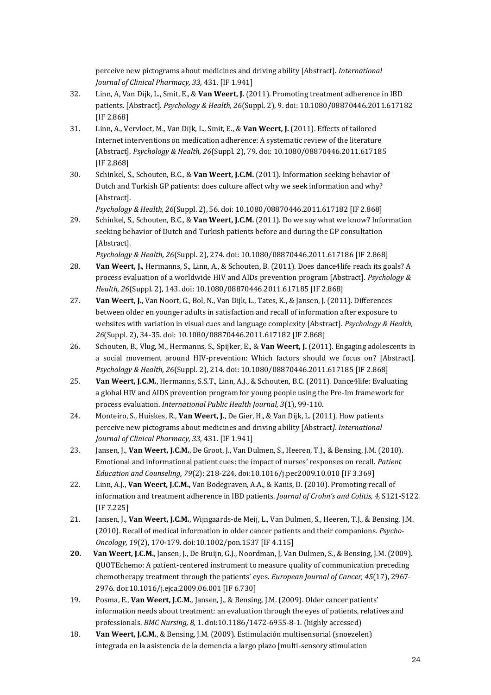perceive new pictograms about medicines and driving ability [Abstract]. *International Journal of Clinical Pharmacy, 33,* 431. [IF 1.941]

- 32. Linn, A, Van Dijk, L., Smit, E., & **Van Weert, J.** (2011). Promoting treatment adherence in IBD patients. [Abstract]. *Psychology & Health, 26*(Suppl. 2), 9. doi: 10.1080/08870446.2011.617182 [IF 2.868]
- 31. Linn, A., Vervloet, M., Van Dijk, L., Smit, E., & **Van Weert, J.** (2011). Effects of tailored Internet interventions on medication adherence: A systematic review of the literature [Abstract]. *Psychology & Health, 26*(Suppl. 2), 79. doi: 10.1080/08870446.2011.617185 [IF 2.868]
- 30. Schinkel, S., Schouten, B.C., & **Van Weert, J.C.M.** (2011). Information seeking behavior of Dutch and Turkish GP patients: does culture affect why we seek information and why? [Abstract].

*Psychology & Health, 26*(Suppl. 2), 56. doi: 10.1080/08870446.2011.617182 [IF 2.868]

29. Schinkel, S., Schouten, B.C., & **Van Weert, J.C.M.** (2011). Do we say what we know? Information seeking behavior of Dutch and Turkish patients before and during the GP consultation [Abstract].

*Psychology & Health, 26*(Suppl. 2), 274. doi: 10.1080/08870446.2011.617186 [IF 2.868]

- 28. **Van Weert, J.**, Hermanns, S., Linn, A., & Schouten, B. (2011). Does dance4life reach its goals? A process evaluation of a worldwide HIV and AIDs prevention program [Abstract]. *Psychology & Health, 26*(Suppl. 2), 143. doi: 10.1080/08870446.2011.617185 [IF 2.868]
- 27. **Van Weert, J.**, Van Noort, G., Bol, N., Van Dijk, L., Tates, K., & Jansen, J. (2011). Differences between older en younger adults in satisfaction and recall of information after exposure to websites with variation in visual cues and language complexity [Abstract]. *Psychology & Health, 26*(Suppl. 2), 34-35. doi: 10.1080/08870446.2011.617182 [IF 2.868]
- 26. Schouten, B., Vlug, M., Hermanns, S., Spijker, E., & **Van Weert, J.** (2011). Engaging adolescents in a social movement around HIV-prevention: Which factors should we focus on? [Abstract]. *Psychology & Health, 26*(Suppl. 2), 214. doi: 10.1080/08870446.2011.617185 [IF 2.868]
- 25. **Van Weert, J.C.M.**, Hermanns, S.S.T., Linn, A.J., & Schouten, B.C. (2011). Dance4life: Evaluating a global HIV and AIDS prevention program for young people using the Pre-Im framework for process evaluation. *International Public Health Journal, 3*(1), 99-110.
- 24. Monteiro, S., Huiskes, R., **Van Weert, J.**, De Gier, H., & Van Dijk, L. (2011). How patients perceive new pictograms about medicines and driving ability [Abstract*]. International Journal of Clinical Pharmacy, 33,* 431. [IF 1.941]
- 23. Jansen, J., **Van Weert, J.C.M.**, De Groot, J., Van Dulmen, S., Heeren, T.J., & Bensing, J.M. (2010). Emotional and informational patient cues: the impact of nurses' responses on recall. *Patient Education and Counseling, 79*(2): 218-224. doi:10.1016/j.pec2009.10.010 [IF 3.369]
- 22. Linn, A.J., **Van Weert, J.C.M.,** Van Bodegraven, A.A., & Kanis, D. (2010). Promoting recall of information and treatment adherence in IBD patients. *Journal of Crohn's and Colitis, 4,* S121-S122. [IF 7.225]
- 21. Jansen, J., **Van Weert, J.C.M.**, Wijngaards-de Meij, L., Van Dulmen, S., Heeren, T.J., & Bensing, J.M. (2010). Recall of medical information in older cancer patients and their companions. *Psycho-Oncology, 19*(2), 170-179. doi:10.1002/pon.1537 [IF 4.115]
- **20. Van Weert, J.C.M.**, Jansen, J., De Bruijn, G.J., Noordman, J, Van Dulmen, S., & Bensing, J.M. (2009). QUOTEchemo: A patient-centered instrument to measure quality of communication preceding chemotherapy treatment through the patients' eyes. *European Journal of Cancer, 45*(17), 2967- 2976. doi:10.1016/j.ejca.2009.06.001 [IF 6.730]
- 19. Posma, E., **Van Weert, J.C.M.**, Jansen, J., & Bensing, J.M. (2009). Older cancer patients' information needs about treatment: an evaluation through the eyes of patients, relatives and professionals. *BMC Nursing, 8,* 1. doi:10.1186/1472-6955-8-1. (highly accessed)
- 18. **Van Weert, J.C.M.**, & Bensing, J.M. (2009). Estimulación multisensorial (snoezelen) integrada en la asistencia de la demencia a largo plazo [multi-sensory stimulation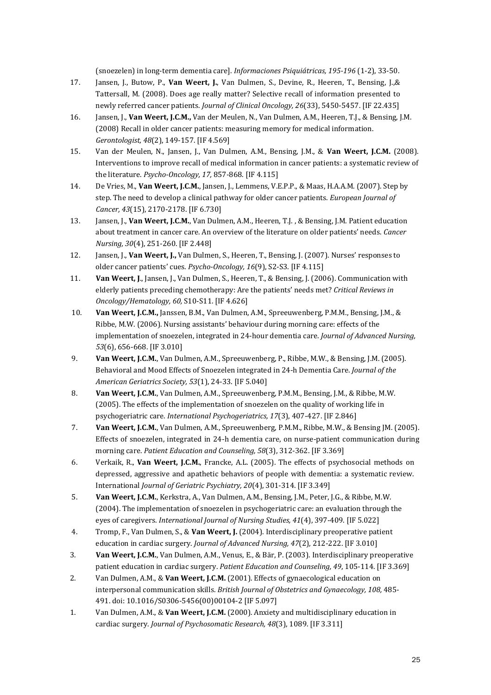(snoezelen) in long-term dementia care]. *Informaciones Psiquiátricas, 195-196* (1-2), 33-50.

- 17. Jansen, J., Butow, P., **Van Weert, J.**, Van Dulmen, S., Devine, R., Heeren, T., Bensing, J.,& Tattersall, M. (2008). Does age really matter? Selective recall of information presented to newly referred cancer patients. *Journal of Clinical Oncology, 26*(33), 5450-5457. [IF 22.435]
- 16. Jansen, J., **Van Weert, J.C.M.,** Van der Meulen, N., Van Dulmen, A.M., Heeren, T.J., & Bensing, J.M. (2008) Recall in older cancer patients: measuring memory for medical information. *Gerontologist, 48*(2), 149-157. [IF 4.569]
- 15. Van der Meulen, N., Jansen, J., Van Dulmen, A.M., Bensing, J.M., & **Van Weert, J.C.M.** (2008). Interventions to improve recall of medical information in cancer patients: a systematic review of the literature. *Psycho-Oncology, 17,* 857-868. [IF 4.115]
- 14. De Vries, M., **Van Weert, J.C.M.**, Jansen, J., Lemmens, V.E.P.P., & Maas, H.A.A.M. (2007). Step by step. The need to develop a clinical pathway for older cancer patients. *European Journal of Cancer, 43*(15), 2170-2178. [IF 6.730]
- 13. Jansen, J., **Van Weert, J.C.M.**, Van Dulmen, A.M., Heeren, T.J. , & Bensing, J.M. Patient education about treatment in cancer care. An overview of the literature on older patients' needs. *Cancer Nursing, 30*(4), 251-260. [IF 2.448]
- 12. Jansen, J., **Van Weert, J.,** Van Dulmen, S., Heeren, T., Bensing, J. (2007). Nurses' responses to older cancer patients' cues. *Psycho-Oncology, 16*(9), S2-S3. [IF 4.115]
- 11. **Van Weert, J**., Jansen, J., Van Dulmen, S., Heeren, T., & Bensing, J. (2006). Communication with elderly patients preceding chemotherapy: Are the patients' needs met? *Critical Reviews in Oncology/Hematology, 60,* S10-S11. [IF 4.626]
- 10. **Van Weert, J.C.M.,** Janssen, B.M., Van Dulmen, A.M., Spreeuwenberg, P.M.M., Bensing, J.M., & Ribbe, M.W. (2006). Nursing assistants' behaviour during morning care: effects of the implementation of snoezelen, integrated in 24-hour dementia care. *Journal of Advanced Nursing, 53*(6), 656-668. [IF 3.010]
- 9. **Van Weert, J.C.M.**, Van Dulmen, A.M., Spreeuwenberg, P., Ribbe, M.W., & Bensing, J.M. (2005). Behavioral and Mood Effects of Snoezelen integrated in 24-h Dementia Care. *Journal of the American Geriatrics Society, 53*(1), 24-33. [IF 5.040]
- 8. **Van Weert, J.C.M.**, Van Dulmen, A.M., Spreeuwenberg, P.M.M., Bensing, J.M., & Ribbe, M.W. (2005). The effects of the implementation of snoezelen on the quality of working life in psychogeriatric care. *International Psychogeriatrics, 17*(3), 407-427. [IF 2.846]
- 7. **Van Weert, J.C.M.**, Van Dulmen, A.M., Spreeuwenberg, P.M.M., Ribbe, M.W., & Bensing JM. (2005). Effects of snoezelen, integrated in 24-h dementia care, on nurse-patient communication during morning care. *Patient Education and Counseling, 58*(3), 312-362. [IF 3.369]
- 6. Verkaik, R., **Van Weert, J.C.M.**, Francke, A.L. (2005). The effects of psychosocial methods on depressed, aggressive and apathetic behaviors of people with dementia: a systematic review. International *Journal of Geriatric Psychiatry, 20*(4), 301-314. [IF 3.349]
- 5. **Van Weert, J.C.M.**, Kerkstra, A., Van Dulmen, A.M., Bensing, J.M., Peter, J.G., & Ribbe, M.W. (2004). The implementation of snoezelen in psychogeriatric care: an evaluation through the eyes of caregivers. *International Journal of Nursing Studies, 41*(4), 397-409. [IF 5.022]
- 4. Tromp, F., Van Dulmen, S., & **Van Weert, J.** (2004). Interdisciplinary preoperative patient education in cardiac surgery. *Journal of Advanced Nursing, 47*(2), 212-222. [IF 3.010]
- 3. **Van Weert, J.C.M.**, Van Dulmen, A.M., Venus, E., & Bär, P. (2003). Interdisciplinary preoperative patient education in cardiac surgery. *Patient Education and Counseling, 49*, 105-114. [IF 3.369]
- 2. Van Dulmen, A.M., & **Van Weert, J.C.M.** (2001). Effects of gynaecological education on interpersonal communication skills. *British Journal of Obstetrics and Gynaecology, 108,* 485- 491. doi: 10.1016/S0306-5456(00)00104-2 [IF 5.097]
- 1. Van Dulmen, A.M., & **Van Weert, J.C.M.** (2000). Anxiety and multidisciplinary education in cardiac surgery. *Journal of Psychosomatic Research, 48*(3), 1089. [IF 3.311]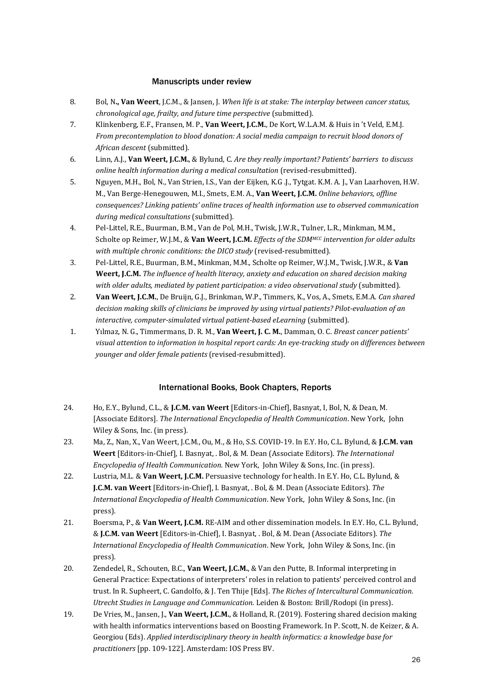## Manuscripts under review

- 8. Bol, N**., Van Weert**, J.C.M., & Jansen, J. *When life is at stake: The interplay between cancer status, chronological age, frailty, and future time perspective* (submitted).
- 7. Klinkenberg, E.F., Fransen, M. P., **Van Weert, J.C.M.**, De Kort, W.L.A.M. & Huis in 't Veld, E.M.J. *From precontemplation to blood donation: A social media campaign to recruit blood donors of African descent* (submitted).
- 6. Linn, A.J., **Van Weert, J.C.M.**, & Bylund, C. *Are they really important? Patients' barriers to discuss online health information during a medical consultation* (revised-resubmitted).
- 5. Nguyen, M.H., Bol, N., Van Strien, I.S., Van der Eijken, K.G .J., Tytgat. K.M. A. J., Van Laarhoven, H.W. M., Van Berge-Henegouwen, M.I., Smets, E.M. A., **Van Weert, J.C.M.** *Online behaviors, offline consequences? Linking patients' online traces of health information use to observed communication during medical consultations* (submitted).
- 4. Pel-Littel, R.E., Buurman, B.M., Van de Pol, M.H., Twisk, J.W.R., Tulner, L.R., Minkman, M.M., Scholte op Reimer, W.J.M., & **Van Weert, J.C.M.** *Effects of the SDMMCC intervention for older adults with multiple chronic conditions: the DICO study* (revised-resubmitted).
- 3. Pel-Littel, R.E., Buurman, B.M., Minkman, M.M., Scholte op Reimer, W.J.M., Twisk, J.W.R., & **Van Weert, J.C.M.** *The influence of health literacy, anxiety and education on shared decision making with older adults, mediated by patient participation: a video observational study* (submitted).
- 2. **Van Weert, J.C.M.**, De Bruijn, G.J., Brinkman, W.P., Timmers, K., Vos, A., Smets, E.M.A. *Can shared decision making skills of clinicians be improved by using virtual patients? Pilot-evaluation of an interactive, computer-simulated virtual patient-based eLearning* (submitted).
- 1. Yılmaz, N. G., Timmermans, D. R. M., **Van Weert, J. C. M.**, Damman, O. C. *Breast cancer patients' visual attention to information in hospital report cards: An eye-tracking study on differences between younger and older female patients* (revised-resubmitted).

## International Books, Book Chapters, Reports

- 24. Ho, E.Y., Bylund, C.L., & **J.C.M. van Weert** [Editors-in-Chief], Basnyat, I, Bol, N, & Dean, M. [Associate Editors]. *The International Encyclopedia of Health Communication*. New York, John Wiley & Sons, Inc. (in press).
- 23. Ma, Z., Nan, X., Van Weert, J.C.M., Ou, M., & Ho, S.S. COVID-19. In E.Y. Ho, C.L. Bylund, & **J.C.M. van Weert** [Editors-in-Chief], I. Basnyat, . Bol, & M. Dean (Associate Editors). *The International Encyclopedia of Health Communication*. New York, John Wiley & Sons, Inc. (in press).
- 22. Lustria, M.L. & **Van Weert, J.C.M.** Persuasive technology for health. In E.Y. Ho, C.L. Bylund, & **J.C.M. van Weert** [Editors-in-Chief], I. Basnyat, . Bol, & M. Dean (Associate Editors). *The International Encyclopedia of Health Communication*. New York, John Wiley & Sons, Inc. (in press).
- 21. Boersma, P., & **Van Weert, J.C.M.** RE-AIM and other dissemination models. In E.Y. Ho, C.L. Bylund, & **J.C.M. van Weert** [Editors-in-Chief], I. Basnyat, . Bol, & M. Dean (Associate Editors). *The International Encyclopedia of Health Communication*. New York, John Wiley & Sons, Inc. (in press).
- 20. Zendedel, R., Schouten, B.C., **Van Weert, J.C.M.**, & Van den Putte, B. Informal interpreting in General Practice: Expectations of interpreters' roles in relation to patients' perceived control and trust. In R. Supheert, C. Gandolfo, & J. Ten Thije [Eds]. *The Riches of Intercultural Communication. Utrecht Studies in Language and Communication.* Leiden & Boston: Brill/Rodopi (in press).
- 19. De Vries, M., Jansen, J., **Van Weert, J.C.M.**, & Holland, R. (2019). Fostering shared decision making with health informatics interventions based on Boosting Framework. In P. Scott, N. de Keizer, & A. Georgiou (Eds). *Applied interdisciplinary theory in health informatics: a knowledge base for practitioners* [pp. 109-122]. Amsterdam: IOS Press BV.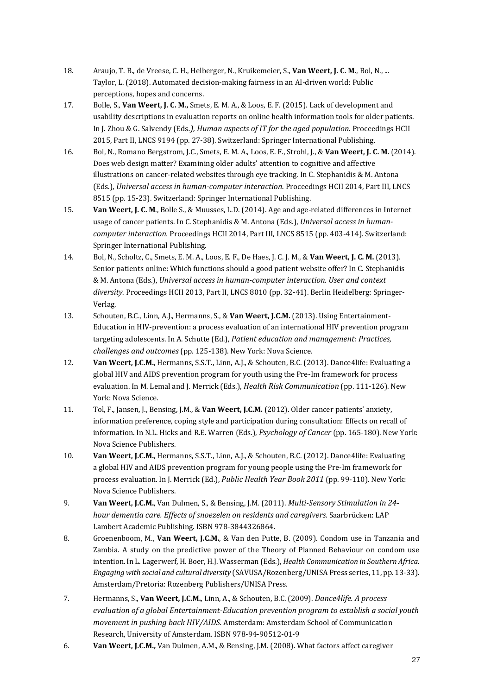- 18. Araujo, T. B., de Vreese, C. H., Helberger, N., Kruikemeier, S., **Van Weert, J. C. M.**, Bol, N., ... Taylor, L. (2018). Automated decision-making fairness in an AI-driven world: Public perceptions, hopes and concerns.
- 17. Bolle, S., **Van Weert, J. C. M.,** Smets, E. M. A., & Loos, E. F. (2015). Lack of development and usability descriptions in evaluation reports on online health information tools for older patients. In J. Zhou & G. Salvendy (Eds*.), Human aspects of IT for the aged population.* Proceedings HCII 2015, Part II, LNCS 9194 (pp. 27-38). Switzerland: Springer International Publishing.
- 16. Bol, N., Romano Bergstrom, J.C., Smets, E. M. A., Loos, E. F., Strohl, J., & **Van Weert, J. C. M.** (2014). Does web design matter? Examining older adults' attention to cognitive and affective illustrations on cancer-related websites through eye tracking. In C. Stephanidis & M. Antona (Eds.), *Universal access in human-computer interaction.* Proceedings HCII 2014, Part III, LNCS 8515 (pp. 15-23). Switzerland: Springer International Publishing.
- 15. **Van Weert, J. C. M**., Bolle S., & Muusses, L.D. (2014). Age and age-related differences in Internet usage of cancer patients. In C. Stephanidis & M. Antona (Eds.), *Universal access in humancomputer interaction.* Proceedings HCII 2014, Part III, LNCS 8515 (pp. 403-414). Switzerland: Springer International Publishing.
- 14. Bol, N., Scholtz, C., Smets, E. M. A., Loos, E. F., De Haes, J. C. J. M., & **Van Weert, J. C. M.** (2013). Senior patients online: Which functions should a good patient website offer? In C. Stephanidis & M. Antona (Eds.), *Universal access in human-computer interaction. User and context diversity.* Proceedings HCII 2013, Part II, LNCS 8010 (pp. 32-41). Berlin Heidelberg: Springer-Verlag.
- 13. Schouten, B.C., Linn, A.J., Hermanns, S., & **Van Weert, J.C.M.** (2013). Using Entertainment-Education in HIV-prevention: a process evaluation of an international HIV prevention program targeting adolescents. In A. Schutte (Ed.), *Patient education and management: Practices, challenges and outcomes* (pp. 125-138). New York: Nova Science.
- 12. **Van Weert, J.C.M.**, Hermanns, S.S.T., Linn, A.J., & Schouten, B.C. (2013). Dance4life: Evaluating a global HIV and AIDS prevention program for youth using the Pre-Im framework for process evaluation. In M. Lemal and J. Merrick (Eds.), *Health Risk Communication* (pp. 111-126). New York: Nova Science.
- 11. Tol, F., Jansen, J., Bensing, J.M., & **Van Weert, J.C.M.** (2012). Older cancer patients' anxiety, information preference, coping style and participation during consultation: Effects on recall of information. In N.L. Hicks and R.E. Warren (Eds.), *Psychology of Cancer* (pp. 165-180). New York: Nova Science Publishers.
- 10. **Van Weert, J.C.M.**, Hermanns, S.S.T., Linn, A.J., & Schouten, B.C. (2012). Dance4life: Evaluating a global HIV and AIDS prevention program for young people using the Pre-Im framework for process evaluation. In J. Merrick (Ed.), *Public Health Year Book 2011* (pp. 99-110). New York: Nova Science Publishers.
- 9. **Van Weert, J.C.M.**, Van Dulmen, S., & Bensing, J.M. (2011). *Multi-Sensory Stimulation in 24 hour dementia care. Effects of snoezelen on residents and caregivers.* Saarbrücken: LAP Lambert Academic Publishing. ISBN 978-3844326864.
- 8. Groenenboom, M., **Van Weert, J.C.M.**, & Van den Putte, B. (2009). Condom use in Tanzania and Zambia. A study on the predictive power of the Theory of Planned Behaviour on condom use intention. In L. Lagerwerf, H. Boer, H.J. Wasserman (Eds.), *Health Communication in Southern Africa. Engaging with social and cultural diversity* (SAVUSA/Rozenberg/UNISA Press series, 11, pp. 13-33). Amsterdam/Pretoria: Rozenberg Publishers/UNISA Press.
- 7. Hermanns, S., **Van Weert, J.C.M.**, Linn, A., & Schouten, B.C. (2009). *Dance4life. A process evaluation of a global Entertainment-Education prevention program to establish a social youth movement in pushing back HIV/AIDS.* Amsterdam: Amsterdam School of Communication Research, University of Amsterdam. ISBN 978-94-90512-01-9
- 6. **Van Weert, J.C.M.,** Van Dulmen, A.M., & Bensing, J.M. (2008). What factors affect caregiver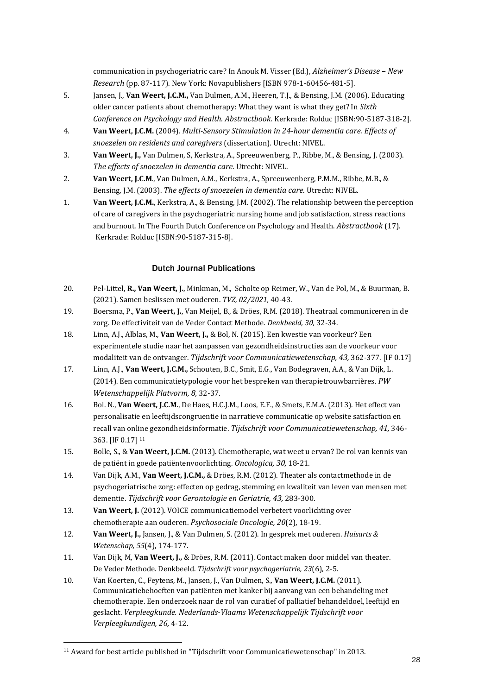communication in psychogeriatric care? In Anouk M. Visser (Ed.), *Alzheimer's Disease – New Research* (pp. 87-117). New York: Novapublishers [ISBN 978-1-60456-481-5].

- 5. Jansen, J., **Van Weert, J.C.M.,** Van Dulmen, A.M., Heeren, T.J., & Bensing, J.M. (2006). Educating older cancer patients about chemotherapy: What they want is what they get? In *Sixth Conference on Psychology and Health. Abstractbook.* Kerkrade: Rolduc [ISBN:90-5187-318-2].
- 4. **Van Weert, J.C.M.** (2004). *Multi-Sensory Stimulation in 24-hour dementia care. Effects of snoezelen on residents and caregivers* (dissertation). Utrecht: NIVEL.
- 3. **Van Weert, J.,** Van Dulmen, S, Kerkstra, A., Spreeuwenberg, P., Ribbe, M., & Bensing, J. (2003). *The effects of snoezelen in dementia care.* Utrecht: NIVEL.
- 2. **Van Weert, J.C.M**., Van Dulmen, A.M., Kerkstra, A., Spreeuwenberg, P.M.M., Ribbe, M.B., & Bensing, J.M. (2003). *The effects of snoezelen in dementia care.* Utrecht: NIVEL.
- 1. **Van Weert, J.C.M.**, Kerkstra, A., & Bensing, J.M. (2002). The relationship between the perception of care of caregivers in the psychogeriatric nursing home and job satisfaction, stress reactions and burnout. In The Fourth Dutch Conference on Psychology and Health. *Abstractbook* (17). Kerkrade: Rolduc [ISBN:90-5187-315-8].

## Dutch Journal Publications

- 20. Pel-Littel, **R., Van Weert, J.**, Minkman, M., Scholte op Reimer, W., Van de Pol, M., & Buurman, B. (2021). Samen beslissen met ouderen. *TVZ, 02/2021,* 40-43.
- 19. Boersma, P., **Van Weert, J.**, Van Meijel, B., & Dröes, R.M. (2018). Theatraal communiceren in de zorg. De effectiviteit van de Veder Contact Methode. *Denkbeeld, 30,* 32-34.
- 18. Linn, A.J., Alblas, M., **Van Weert, J.,** & Bol, N. (2015). Een kwestie van voorkeur? Een experimentele studie naar het aanpassen van gezondheidsinstructies aan de voorkeur voor modaliteit van de ontvanger. *Tijdschrift voor Communicatiewetenschap, 43,* 362-377. [IF 0.17]
- 17. Linn, A.J., **Van Weert, J.C.M.,** Schouten, B.C., Smit, E.G., Van Bodegraven, A.A., & Van Dijk, L. (2014). Een communicatietypologie voor het bespreken van therapietrouwbarrières. *PW Wetenschappelijk Platvorm, 8,* 32-37.
- 16. Bol. N., **Van Weert, J.C.M.**, De Haes, H.C.J.M., Loos, E.F., & Smets, E.M.A. (2013). Het effect van personalisatie en leeftijdscongruentie in narratieve communicatie op website satisfaction en recall van online gezondheidsinformatie. *Tijdschrift voor Communicatiewetenschap, 41,* 346- 363. [IF 0.17] <sup>11</sup>
- 15. Bolle, S., & **Van Weert, J.C.M.** (2013). Chemotherapie, wat weet u ervan? De rol van kennis van de patiënt in goede patiëntenvoorlichting. *Oncologica, 30,* 18-21.
- 14. Van Dijk, A.M., **Van Weert, J.C.M.,** & Dröes, R.M. (2012). Theater als contactmethode in de psychogeriatrische zorg: effecten op gedrag, stemming en kwaliteit van leven van mensen met dementie. *Tijdschrift voor Gerontologie en Geriatrie, 43,* 283-300.
- 13. **Van Weert, J.** (2012). VOICE communicatiemodel verbetert voorlichting over chemotherapie aan ouderen. *Psychosociale Oncologie, 20*(2), 18-19.
- 12. **Van Weert, J.,** Jansen, J., & Van Dulmen, S. (2012). In gesprek met ouderen. *Huisarts & Wetenschap, 55*(4), 174-177.
- 11. Van Dijk, M, **Van Weert, J.,** & Dröes, R.M. (2011). Contact maken door middel van theater. De Veder Methode. Denkbeeld. *Tijdschrift voor psychogeriatrie, 23*(6), 2-5.
- 10. Van Koerten, C., Feytens, M., Jansen, J., Van Dulmen, S., **Van Weert, J.C.M.** (2011). Communicatiebehoeften van patiënten met kanker bij aanvang van een behandeling met chemotherapie. Een onderzoek naar de rol van curatief of palliatief behandeldoel, leeftijd en geslacht. *Verpleegkunde. Nederlands-Vlaams Wetenschappelijk Tijdschrift voor Verpleegkundigen, 26,* 4-12.

<sup>11</sup> Award for best article published in "Tijdschrift voor Communicatiewetenschap" in 2013.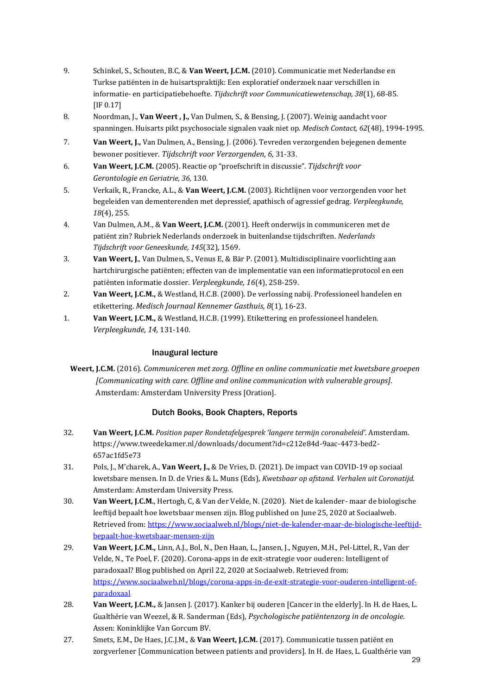- 9. Schinkel, S., Schouten, B.C, & **Van Weert, J.C.M.** (2010). Communicatie met Nederlandse en Turkse patiënten in de huisartspraktijk: Een exploratief onderzoek naar verschillen in informatie- en participatiebehoefte. *Tijdschrift voor Communicatiewetenschap, 38*(1), 68-85. [IF 0.17]
- 8. Noordman, J., **Van Weert , J.,** Van Dulmen, S., & Bensing, J. (2007). Weinig aandacht voor spanningen. Huisarts pikt psychosociale signalen vaak niet op. *Medisch Contact, 62*(48), 1994-1995.
- 7. **Van Weert, J.,** Van Dulmen, A., Bensing, J. (2006). Tevreden verzorgenden bejegenen demente bewoner positiever. *Tijdschrift voor Verzorgenden, 6,* 31-33.
- 6. **Van Weert, J.C.M.** (2005). Reactie op "proefschrift in discussie". *Tijdschrift voor Gerontologie en Geriatrie, 36,* 130.
- 5. Verkaik, R., Francke, A.L., & **Van Weert, J.C.M.** (2003). Richtlijnen voor verzorgenden voor het begeleiden van dementerenden met depressief, apathisch of agressief gedrag. *Verpleegkunde, 18*(4), 255.
- 4. Van Dulmen, A.M., & **Van Weert, J.C.M.** (2001). Heeft onderwijs in communiceren met de patiënt zin? Rubriek Nederlands onderzoek in buitenlandse tijdschriften. *Nederlands Tijdschrift voor Geneeskunde, 145*(32), 1569.
- 3. **Van Weert, J**., Van Dulmen, S., Venus E, & Bär P. (2001). Multidisciplinaire voorlichting aan hartchirurgische patiënten; effecten van de implementatie van een informatieprotocol en een patiënten informatie dossier. *Verpleegkunde, 16*(4), 258-259.
- 2. **Van Weert, J.C.M.,** & Westland, H.C.B. (2000). De verlossing nabij. Professioneel handelen en etikettering. *Medisch Journaal Kennemer Gasthuis, 8*(1), 16-23.
- 1. **Van Weert, J.C.M.,** & Westland, H.C.B. (1999). Etikettering en professioneel handelen. *Verpleegkunde, 14,* 131-140.

## Inaugural lecture

**Weert, J.C.M.** (2016). *Communiceren met zorg. Offline en online communicatie met kwetsbare groepen [Communicating with care. Offline and online communication with vulnerable groups].* Amsterdam: Amsterdam University Press [Oration].

## Dutch Books, Book Chapters, Reports

- 32. **Van Weert, J.C.M.** *Position paper Rondetafelgesprek 'langere termijn coronabeleid'*. Amsterdam. https://www.tweedekamer.nl/downloads/document?id=c212e84d-9aac-4473-bed2- 657ac1fd5e73
- 31. Pols, J., M'charek, A., **Van Weert, J.,** & De Vries, D. (2021). De impact van COVID-19 op sociaal kwetsbare mensen. In D. de Vries & L. Muns (Eds), *Kwetsbaar op afstand. Verhalen uit Coronatijd.*  Amsterdam: Amsterdam University Press.
- 30. **Van Weert, J.C.M.**, Hertogh, C, & Van der Velde, N. (2020). Niet de kalender- maar de biologische leeftijd bepaalt hoe kwetsbaar mensen zijn. Blog published on June 25, 2020 at Sociaalweb. Retrieved from: [https://www.sociaalweb.nl/blogs/niet-de-kalender-maar-de-biologische-leeftijd](https://www.sociaalweb.nl/blogs/niet-de-kalender-maar-de-biologische-leeftijd-bepaalt-hoe-kwetsbaar-mensen-zijn)[bepaalt-hoe-kwetsbaar-mensen-zijn](https://www.sociaalweb.nl/blogs/niet-de-kalender-maar-de-biologische-leeftijd-bepaalt-hoe-kwetsbaar-mensen-zijn)
- 29. **Van Weert, J.C.M.,** Linn, A.J., Bol, N., Den Haan, L., Jansen, J., Nguyen, M.H., Pel-Littel, R., Van der Velde, N., Te Poel, F. (2020). Corona-apps in de exit-strategie voor ouderen: Intelligent of paradoxaal? Blog published on April 22, 2020 at Sociaalweb. Retrieved from: [https://www.sociaalweb.nl/blogs/corona-apps-in-de-exit-strategie-voor-ouderen-intelligent-of](https://www.sociaalweb.nl/blogs/corona-apps-in-de-exit-strategie-voor-ouderen-intelligent-of-paradoxaal)[paradoxaal](https://www.sociaalweb.nl/blogs/corona-apps-in-de-exit-strategie-voor-ouderen-intelligent-of-paradoxaal)
- 28. **Van Weert, J.C.M.,** & Jansen J. (2017). Kanker bij ouderen [Cancer in the elderly]. In H. de Haes, L. Gualthérie van Weezel, & R. Sanderman (Eds), *Psychologische patiëntenzorg in de oncologie.*  Assen: Koninklijke Van Gorcum BV.
- 27. Smets, E.M., De Haes, J.C.J.M., & **Van Weert, J.C.M.** (2017). Communicatie tussen patiënt en zorgverlener [Communication between patients and providers]. In H. de Haes, L. Gualthérie van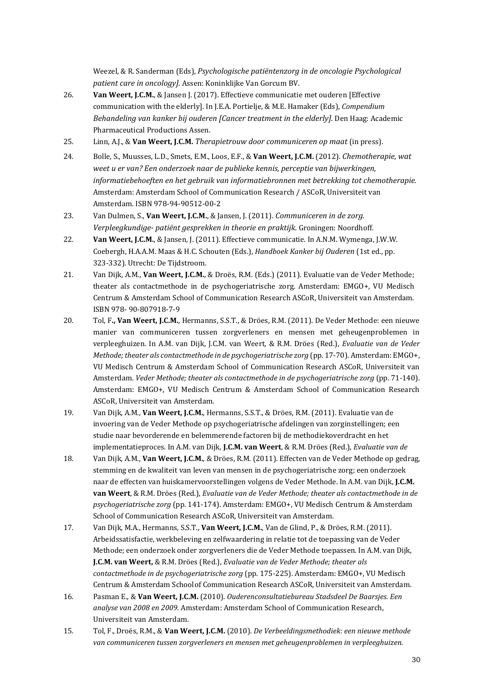Weezel, & R. Sanderman (Eds), *Psychologische patiëntenzorg in de oncologie Psychological patient care in oncology]*. Assen: Koninklijke Van Gorcum BV.

- 26. **Van Weert, J.C.M.**, & Jansen J. (2017). Effectieve communicatie met ouderen [Effective communication with the elderly]. In J.E.A. Portielje, & M.E. Hamaker (Eds), *Compendium Behandeling van kanker bij ouderen [Cancer treatment in the elderly].* Den Haag: Academic Pharmaceutical Productions Assen.
- 25. Linn, A.J., & **Van Weert, J.C.M.** *Therapietrouw door communiceren op maat* (in press).
- 24. Bolle, S., Muusses, L.D., Smets, E.M., Loos, E.F., & **Van Weert, J.C.M.** (2012). *Chemotherapie, wat weet u er van? Een onderzoek naar de publieke kennis, perceptie van bijwerkingen, informatiebehoeften en het gebruik van informatiebronnen met betrekking tot chemotherapie.*  Amsterdam: Amsterdam School of Communication Research / ASCoR, Universiteit van Amsterdam. ISBN 978-94-90512-00-2
- 23. Van Dulmen, S., **Van Weert, J.C.M.**, & Jansen, J. (2011). *Communiceren in de zorg. Verpleegkundige- patiënt gesprekken in theorie en praktijk.* Groningen: Noordhoff.
- 22. **Van Weert, J.C.M.**, & Jansen, J. (2011). Effectieve communicatie. In A.N.M. Wymenga, J.W.W. Coebergh, H.A.A.M. Maas & H.C. Schouten (Eds.), *Handboek Kanker bij Ouderen* (1st ed., pp. 323-332). Utrecht: De Tijdstroom.
- 21. Van Dijk, A.M., **Van Weert, J.C.M.**, & Droës, R.M. (Eds.) (2011). Evaluatie van de Veder Methode; theater als contactmethode in de psychogeriatrische zorg. Amsterdam: EMGO+, VU Medisch Centrum & Amsterdam School of Communication Research ASCoR, Universiteit van Amsterdam. ISBN 978- 90-807918-7-9
- 20. Tol, F**., Van Weert, J.C.M.**, Hermanns, S.S.T., & Dröes, R.M. (2011). De Veder Methode: een nieuwe manier van communiceren tussen zorgverleners en mensen met geheugenproblemen in verpleeghuizen. In A.M. van Dijk, J.C.M. van Weert, & R.M. Dröes (Red.), *Evaluatie van de Veder Methode; theater als contactmethode in de psychogeriatrische zorg* (pp. 17-70). Amsterdam: EMGO+, VU Medisch Centrum & Amsterdam School of Communication Research ASCoR, Universiteit van Amsterdam. *Veder Methode; theater als contactmethode in de psychogeriatrische zorg* (pp. 71-140). Amsterdam: EMGO+, VU Medisch Centrum & Amsterdam School of Communication Research ASCoR, Universiteit van Amsterdam.
- 19. Van Dijk, A.M., **Van Weert, J.C.M.**, Hermanns, S.S.T., & Dröes, R.M. (2011). Evaluatie van de invoering van de Veder Methode op psychogeriatrische afdelingen van zorginstellingen; een studie naar bevorderende en belemmerende factoren bij de methodiekoverdracht en het implementatieproces. In A.M. van Dijk, **J.C.M. van Weert**, & R.M. Dröes (Red.), *Evaluatie van de*
- 18. Van Dijk, A.M., **Van Weert, J.C.M.**, & Dröes, R.M. (2011). Effecten van de Veder Methode op gedrag, stemming en de kwaliteit van leven van mensen in de psychogeriatrische zorg; een onderzoek naar de effecten van huiskamervoorstellingen volgens de Veder Methode. In A.M. van Dijk, **J.C.M. van Weert**, & R.M. Dröes (Red.), *Evaluatie van de Veder Methode; theater als contactmethode in de psychogeriatrische zorg* (pp. 141-174). Amsterdam: EMGO+, VU Medisch Centrum & Amsterdam School of Communication Research ASCoR, Universiteit van Amsterdam.
- 17. Van Dijk, M.A., Hermanns, S.S.T., **Van Weert, J.C.M.**, Van de Glind, P., & Dröes, R.M. (2011). Arbeidssatisfactie, werkbeleving en zelfwaardering in relatie tot de toepassing van de Veder Methode; een onderzoek onder zorgverleners die de Veder Methode toepassen. In A.M. van Dijk, **J.C.M. van Weert,** & R.M. Dröes (Red.), *Evaluatie van de Veder Methode; theater als contactmethode in de psychogeriatrische zorg* (pp. 175-225). Amsterdam: EMGO+, VU Medisch Centrum & Amsterdam Schoolof Communication Research ASCoR, Universiteit van Amsterdam.
- 16. Pasman E., & **Van Weert, J.C.M.** (2010). *Ouderenconsultatiebureau Stadsdeel De Baarsjes. Een analyse van 2008 en 2009.* Amsterdam: Amsterdam School of Communication Research, Universiteit van Amsterdam.
- 15. Tol, F., Droës, R.M., & **Van Weert, J.C.M.** (2010). *De Verbeeldingsmethodiek: een nieuwe methode van communiceren tussen zorgverleners en mensen met geheugenproblemen in verpleeghuizen.*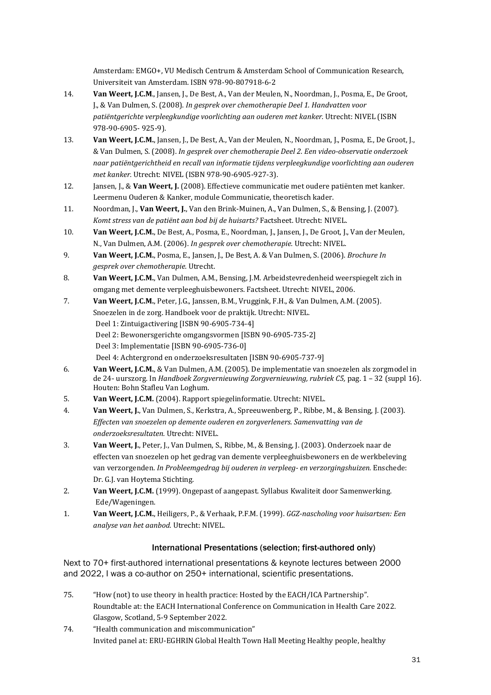Amsterdam: EMGO+, VU Medisch Centrum & Amsterdam School of Communication Research, Universiteit van Amsterdam. ISBN 978-90-807918-6-2

- 14. **Van Weert, J.C.M**., Jansen, J., De Best, A., Van der Meulen, N., Noordman, J., Posma, E., De Groot, J., & Van Dulmen, S. (2008). *In gesprek over chemotherapie Deel 1. Handvatten voor patiëntgerichte verpleegkundige voorlichting aan ouderen met kanker.* Utrecht: NIVEL (ISBN 978-90-6905- 925-9).
- 13. **Van Weert, J.C.M.**, Jansen, J., De Best, A., Van der Meulen, N., Noordman, J., Posma, E., De Groot, J., & Van Dulmen, S. (2008). *In gesprek over chemotherapie Deel 2. Een video-observatie onderzoek naar patiëntgerichtheid en recall van informatie tijdens verpleegkundige voorlichting aan ouderen met kanker.* Utrecht: NIVEL (ISBN 978-90-6905-927-3).
- 12. Jansen, J., & **Van Weert, J.** (2008). Effectieve communicatie met oudere patiënten met kanker. Leermenu Ouderen & Kanker, module Communicatie, theoretisch kader.
- 11. Noordman, J., **Van Weert, J.**, Van den Brink-Muinen, A., Van Dulmen, S., & Bensing, J. (2007). *Komt stress van de patiënt aan bod bij de huisarts?* Factsheet. Utrecht: NIVEL.
- 10. **Van Weert, J.C.M.**, De Best, A., Posma, E., Noordman, J., Jansen, J., De Groot, J., Van der Meulen, N., Van Dulmen, A.M. (2006). *In gesprek over chemotherapie.* Utrecht: NIVEL.
- 9. **Van Weert, J.C.M.**, Posma, E., Jansen, J., De Best, A. & Van Dulmen, S. (2006). *Brochure In gesprek over chemotherapie.* Utrecht.
- 8. **Van Weert, J.C.M.**, Van Dulmen, A.M., Bensing, J.M. Arbeidstevredenheid weerspiegelt zich in omgang met demente verpleeghuisbewoners. Factsheet. Utrecht: NIVEL, 2006.
- 7. **Van Weert, J.C.M.**, Peter, J.G., Janssen, B.M., Vruggink, F.H., & Van Dulmen, A.M. (2005). Snoezelen in de zorg. Handboek voor de praktijk. Utrecht: NIVEL. Deel 1: Zintuigactivering [ISBN 90-6905-734-4] Deel 2: Bewonersgerichte omgangsvormen [ISBN 90-6905-735-2] Deel 3: Implementatie [ISBN 90-6905-736-0] Deel 4: Achtergrond en onderzoeksresultaten [ISBN 90-6905-737-9]
- 6. **Van Weert, J.C.M.**, & Van Dulmen, A.M. (2005). De implementatie van snoezelen als zorgmodel in de 24- uurszorg. In *Handboek Zorgvernieuwing Zorgvernieuwing, rubriek C5,* pag. 1 – 32 (suppl 16). Houten: Bohn Stafleu Van Loghum.
- 5. **Van Weert, J.C.M.** (2004). Rapport spiegelinformatie. Utrecht: NIVEL.
- 4. **Van Weert, J.**, Van Dulmen, S., Kerkstra, A., Spreeuwenberg, P., Ribbe, M., & Bensing, J. (2003). *Effecten van snoezelen op demente ouderen en zorgverleners. Samenvatting van de onderzoeksresultaten.* Utrecht: NIVEL.
- 3. **Van Weert, J.**, Peter, J., Van Dulmen, S., Ribbe, M., & Bensing, J. (2003). Onderzoek naar de effecten van snoezelen op het gedrag van demente verpleeghuisbewoners en de werkbeleving van verzorgenden. *In Probleemgedrag bij ouderen in verpleeg- en verzorgingshuizen.* Enschede: Dr. G.J. van Hoytema Stichting.
- 2. **Van Weert, J.C.M.** (1999). Ongepast of aangepast. Syllabus Kwaliteit door Samenwerking. Ede/Wageningen.
- 1. **Van Weert, J.C.M.**, Heiligers, P., & Verhaak, P.F.M. (1999). *GGZ-nascholing voor huisartsen: Een analyse van het aanbod.* Utrecht: NIVEL.

## International Presentations (selection; first-authored only)

Next to 70+ first-authored international presentations & keynote lectures between 2000 and 2022, I was a co-author on 250+ international, scientific presentations.

- 75. "How (not) to use theory in health practice: Hosted by the EACH/ICA Partnership". Roundtable at: the EACH International Conference on Communication in Health Care 2022. Glasgow, Scotland, 5-9 September 2022.
- 74. "Health communication and miscommunication" Invited panel at: ERU-EGHRIN Global Health Town Hall Meeting Healthy people, healthy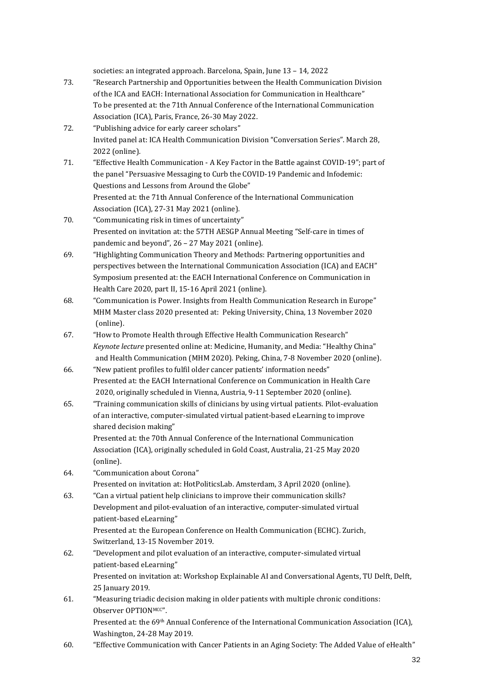societies: an integrated approach. Barcelona, Spain, June 13 – 14, 2022

- 73. "Research Partnership and Opportunities between the Health Communication Division of the ICA and EACH: International Association for Communication in Healthcare" To be presented at: the 71th Annual Conference of the International Communication Association (ICA), Paris, France, 26-30 May 2022.
- 72. "Publishing advice for early career scholars" Invited panel at: ICA Health Communication Division "Conversation Series". March 28, 2022 (online).
- 71. "Effective Health Communication A Key Factor in the Battle against COVID-19"; part of the panel "Persuasive Messaging to Curb the COVID-19 Pandemic and Infodemic: Questions and Lessons from Around the Globe" Presented at: the 71th Annual Conference of the International Communication Association (ICA), 27-31 May 2021 (online).
- 70. "Communicating risk in times of uncertainty" Presented on invitation at: the 57TH AESGP Annual Meeting "Self-care in times of pandemic and beyond", 26 – 27 May 2021 (online).
- 69. "Highlighting Communication Theory and Methods: Partnering opportunities and perspectives between the International Communication Association (ICA) and EACH" Symposium presented at: the EACH International Conference on Communication in Health Care 2020, part II, 15-16 April 2021 (online).
- 68. "Communication is Power. Insights from Health Communication Research in Europe" MHM Master class 2020 presented at: Peking University, China, 13 November 2020 (online).
- 67. "How to Promote Health through Effective Health Communication Research" *Keynote lecture* presented online at: Medicine, Humanity, and Media: "Healthy China" and Health Communication (MHM 2020). Peking, China, 7-8 November 2020 (online).
- 66. "New patient profiles to fulfil older cancer patients' information needs" Presented at: the EACH International Conference on Communication in Health Care 2020, originally scheduled in Vienna, Austria, 9-11 September 2020 (online).
- 65. "Training communication skills of clinicians by using virtual patients. Pilot-evaluation of an interactive, computer-simulated virtual patient-based eLearning to improve shared decision making"

Presented at: the 70th Annual Conference of the International Communication Association (ICA), originally scheduled in Gold Coast, Australia, 21-25 May 2020 (online).

- 64. "Communication about Corona" Presented on invitation at: HotPoliticsLab. Amsterdam, 3 April 2020 (online).
- 63. "Can a virtual patient help clinicians to improve their communication skills? Development and pilot-evaluation of an interactive, computer-simulated virtual patient-based eLearning" Presented at: the European Conference on Health Communication (ECHC). Zurich,
	- Switzerland, 13-15 November 2019.
- 62. "Development and pilot evaluation of an interactive, computer-simulated virtual patient-based eLearning" Presented on invitation at: Workshop Explainable AI and Conversational Agents, TU Delft, Delft, 25 January 2019.
- 61. "Measuring triadic decision making in older patients with multiple chronic conditions: Observer OPTIONMCC". Presented at: the 69<sup>th</sup> Annual Conference of the International Communication Association (ICA), Washington, 24-28 May 2019.
- 60. "Effective Communication with Cancer Patients in an Aging Society: The Added Value of eHealth"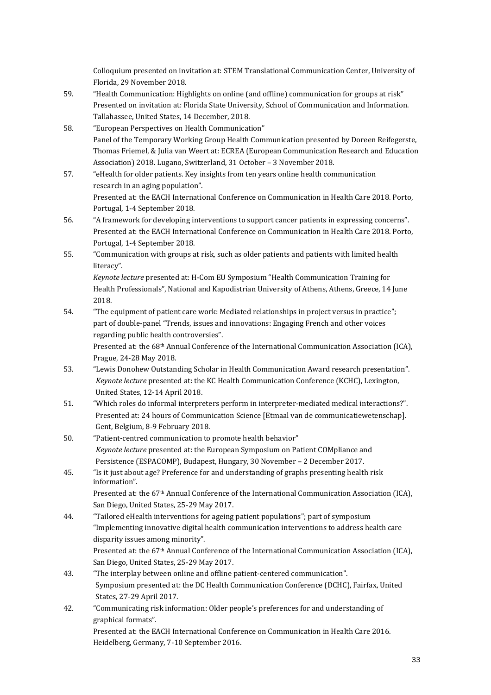Colloquium presented on invitation at: STEM Translational Communication Center, University of Florida, 29 November 2018.

- 59. "Health Communication: Highlights on online (and offline) communication for groups at risk" Presented on invitation at: Florida State University, School of Communication and Information. Tallahassee, United States, 14 December, 2018.
- 58. "European Perspectives on Health Communication" Panel of the Temporary Working Group Health Communication presented by Doreen Reifegerste, Thomas Friemel, & Julia van Weert at: ECREA (European Communication Research and Education Association) 2018. Lugano, Switzerland, 31 October – 3 November 2018.
- 57. "eHealth for older patients. Key insights from ten years online health communication research in an aging population". Presented at: the EACH International Conference on Communication in Health Care 2018. Porto, Portugal, 1-4 September 2018.
- 56. "A framework for developing interventions to support cancer patients in expressing concerns". Presented at: the EACH International Conference on Communication in Health Care 2018. Porto, Portugal, 1-4 September 2018.
- 55. "Communication with groups at risk, such as older patients and patients with limited health literacy".

*Keynote lecture* presented at: H-Com EU Symposium "Health Communication Training for Health Professionals", National and Kapodistrian University of Athens, Athens, Greece, 14 June 2018.

54. "The equipment of patient care work: Mediated relationships in project versus in practice"; part of double-panel "Trends, issues and innovations: Engaging French and other voices regarding public health controversies".

Presented at: the 68<sup>th</sup> Annual Conference of the International Communication Association (ICA), Prague, 24-28 May 2018.

- 53. "Lewis Donohew Outstanding Scholar in Health Communication Award research presentation". *Keynote lecture* presented at: the KC Health Communication Conference (KCHC), Lexington, United States, 12-14 April 2018.
- 51. "Which roles do informal interpreters perform in interpreter-mediated medical interactions?". Presented at: 24 hours of Communication Science [Etmaal van de communicatiewetenschap]. Gent, Belgium, 8-9 February 2018.
- 50. "Patient-centred communication to promote health behavior" *Keynote lecture* presented at: the European Symposium on Patient COMpliance and Persistence (ESPACOMP), Budapest, Hungary, 30 November – 2 December 2017.
- 45. "Is it just about age? Preference for and understanding of graphs presenting health risk information". Presented at: the 67<sup>th</sup> Annual Conference of the International Communication Association (ICA),
- San Diego, United States, 25-29 May 2017. 44. "Tailored eHealth interventions for ageing patient populations"; part of symposium "Implementing innovative digital health communication interventions to address health care disparity issues among minority". Presented at: the 67<sup>th</sup> Annual Conference of the International Communication Association (ICA), San Diego, United States, 25-29 May 2017.
- 43. "The interplay between online and offline patient-centered communication". Symposium presented at: the DC Health Communication Conference (DCHC), Fairfax, United States, 27-29 April 2017.
- 42. "Communicating risk information: Older people's preferences for and understanding of graphical formats". Presented at: the EACH International Conference on Communication in Health Care 2016. Heidelberg, Germany, 7-10 September 2016.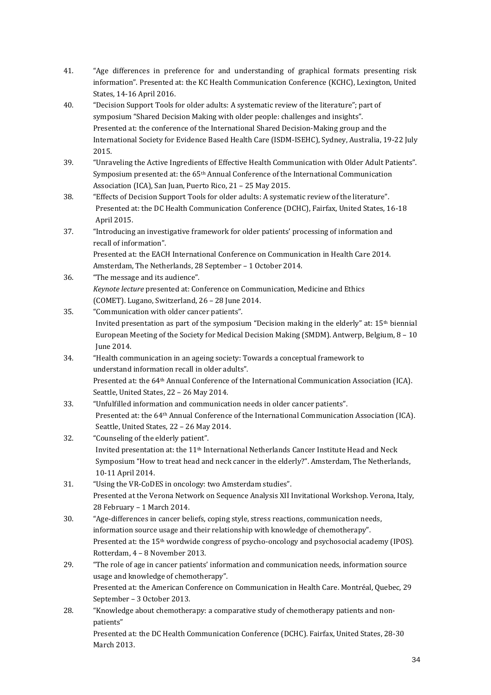- 41. "Age differences in preference for and understanding of graphical formats presenting risk information". Presented at: the KC Health Communication Conference (KCHC), Lexington, United States, 14-16 April 2016.
- 40. "Decision Support Tools for older adults: A systematic review of the literature"; part of symposium "Shared Decision Making with older people: challenges and insights". Presented at: the conference of the International Shared Decision-Making group and the International Society for Evidence Based Health Care (ISDM-ISEHC), Sydney, Australia, 19-22 July 2015.
- 39. "Unraveling the Active Ingredients of Effective Health Communication with Older Adult Patients". Symposium presented at: the  $65<sup>th</sup>$  Annual Conference of the International Communication Association (ICA), San Juan, Puerto Rico, 21 – 25 May 2015.
- 38. "Effects of Decision Support Tools for older adults: A systematic review of the literature". Presented at: the DC Health Communication Conference (DCHC), Fairfax, United States, 16-18 April 2015.
- 37. "Introducing an investigative framework for older patients' processing of information and recall of information". Presented at: the EACH International Conference on Communication in Health Care 2014.

Amsterdam, The Netherlands, 28 September – 1 October 2014.

- 36. "The message and its audience". *Keynote lecture* presented at: Conference on Communication, Medicine and Ethics (COMET). Lugano, Switzerland, 26 – 28 June 2014.
- 35. "Communication with older cancer patients". Invited presentation as part of the symposium "Decision making in the elderly" at: 15th biennial European Meeting of the Society for Medical Decision Making (SMDM). Antwerp, Belgium, 8 – 10 June 2014.
- 34. "Health communication in an ageing society: Towards a conceptual framework to understand information recall in older adults". Presented at: the 64th Annual Conference of the International Communication Association (ICA). Seattle, United States, 22 – 26 May 2014.
- 33. "Unfulfilled information and communication needs in older cancer patients". Presented at: the 64th Annual Conference of the International Communication Association (ICA). Seattle, United States, 22 – 26 May 2014.
- 32. "Counseling of the elderly patient". Invited presentation at: the 11th International Netherlands Cancer Institute Head and Neck Symposium "How to treat head and neck cancer in the elderly?". Amsterdam, The Netherlands, 10-11 April 2014.
- 31. "Using the VR-CoDES in oncology: two Amsterdam studies". Presented at the Verona Network on Sequence Analysis XII Invitational Workshop. Verona, Italy, 28 February – 1 March 2014.
- 30. "Age-differences in cancer beliefs, coping style, stress reactions, communication needs, information source usage and their relationship with knowledge of chemotherapy". Presented at: the 15<sup>th</sup> wordwide congress of psycho-oncology and psychosocial academy (IPOS). Rotterdam, 4 – 8 November 2013.
- 29. "The role of age in cancer patients' information and communication needs, information source usage and knowledge of chemotherapy". Presented at: the American Conference on Communication in Health Care. Montréal, Quebec, 29 September – 3 October 2013.
- 28. "Knowledge about chemotherapy: a comparative study of chemotherapy patients and nonpatients" Presented at: the DC Health Communication Conference (DCHC). Fairfax, United States, 28-30 March 2013.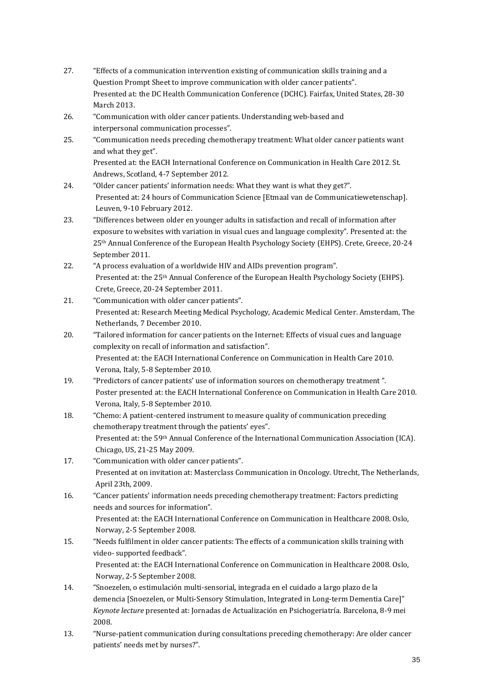- 27. "Effects of a communication intervention existing of communication skills training and a Question Prompt Sheet to improve communication with older cancer patients". Presented at: the DC Health Communication Conference (DCHC). Fairfax, United States, 28-30 March 2013.
- 26. "Communication with older cancer patients. Understanding web-based and interpersonal communication processes".
- 25. "Communication needs preceding chemotherapy treatment: What older cancer patients want and what they get". Presented at: the EACH International Conference on Communication in Health Care 2012. St.

Andrews, Scotland, 4-7 September 2012.

- 24. "Older cancer patients' information needs: What they want is what they get?". Presented at: 24 hours of Communication Science [Etmaal van de Communicatiewetenschap]. Leuven, 9-10 February 2012.
- 23. "Differences between older en younger adults in satisfaction and recall of information after exposure to websites with variation in visual cues and language complexity". Presented at: the 25th Annual Conference of the European Health Psychology Society (EHPS). Crete, Greece, 20-24 September 2011.
- 22. "A process evaluation of a worldwide HIV and AIDs prevention program". Presented at: the 25<sup>th</sup> Annual Conference of the European Health Psychology Society (EHPS). Crete, Greece, 20-24 September 2011.
- 21. "Communication with older cancer patients". Presented at: Research Meeting Medical Psychology, Academic Medical Center. Amsterdam, The Netherlands, 7 December 2010.
- 20. "Tailored information for cancer patients on the Internet: Effects of visual cues and language complexity on recall of information and satisfaction". Presented at: the EACH International Conference on Communication in Health Care 2010. Verona, Italy, 5-8 September 2010.
- 19. "Predictors of cancer patients' use of information sources on chemotherapy treatment ". Poster presented at: the EACH International Conference on Communication in Health Care 2010. Verona, Italy, 5-8 September 2010.
- 18. "Chemo: A patient-centered instrument to measure quality of communication preceding chemotherapy treatment through the patients' eyes". Presented at: the 59<sup>th</sup> Annual Conference of the International Communication Association (ICA). Chicago, US, 21-25 May 2009.
- 17. "Communication with older cancer patients". Presented at on invitation at: Masterclass Communication in Oncology. Utrecht, The Netherlands, April 23th, 2009.
- 16. "Cancer patients' information needs preceding chemotherapy treatment: Factors predicting needs and sources for information".

Presented at: the EACH International Conference on Communication in Healthcare 2008. Oslo, Norway, 2-5 September 2008.

15. "Needs fulfilment in older cancer patients: The effects of a communication skills training with video- supported feedback".

Presented at: the EACH International Conference on Communication in Healthcare 2008. Oslo, Norway, 2-5 September 2008.

- 14. "Snoezelen, o estimulación multi-sensorial, integrada en el cuidado a largo plazo de la demencia [Snoezelen, or Multi-Sensory Stimulation, Integrated in Long-term Dementia Care]" *Keynote lecture* presented at: Jornadas de Actualización en Psichogeriatría. Barcelona, 8-9 mei 2008.
- 13. "Nurse-patient communication during consultations preceding chemotherapy: Are older cancer patients' needs met by nurses?".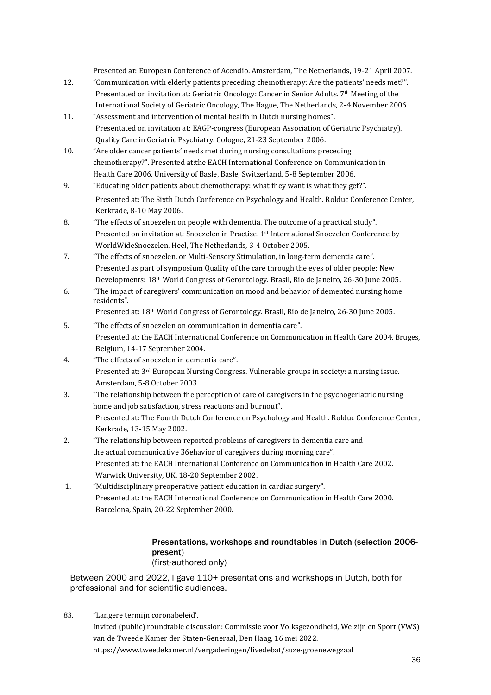Presented at: European Conference of Acendio. Amsterdam, The Netherlands, 19-21 April 2007.

- 12. "Communication with elderly patients preceding chemotherapy: Are the patients' needs met?". Presentated on invitation at: Geriatric Oncology: Cancer in Senior Adults. 7<sup>th</sup> Meeting of the International Society of Geriatric Oncology, The Hague, The Netherlands, 2-4 November 2006.
- 11. "Assessment and intervention of mental health in Dutch nursing homes". Presentated on invitation at: EAGP-congress (European Association of Geriatric Psychiatry). Quality Care in Geriatric Psychiatry. Cologne, 21-23 September 2006.
- 10. "Are older cancer patients' needs met during nursing consultations preceding chemotherapy?". Presented at:the EACH International Conference on Communication in Health Care 2006. University of Basle, Basle, Switzerland, 5-8 September 2006.
- 9. "Educating older patients about chemotherapy: what they want is what they get?". Presented at: The Sixth Dutch Conference on Psychology and Health. Rolduc Conference Center, Kerkrade, 8-10 May 2006.
- 8. "The effects of snoezelen on people with dementia. The outcome of a practical study". Presented on invitation at: Snoezelen in Practise. 1st International Snoezelen Conference by WorldWideSnoezelen. Heel, The Netherlands, 3-4 October 2005.
- 7. "The effects of snoezelen, or Multi-Sensory Stimulation, in long-term dementia care". Presented as part of symposium Quality of the care through the eyes of older people: New Developments: 18th World Congress of Gerontology. Brasil, Rio de Janeiro, 26-30 June 2005.
- 6. "The impact of caregivers' communication on mood and behavior of demented nursing home residents".

Presented at: 18th World Congress of Gerontology. Brasil, Rio de Janeiro, 26-30 June 2005.

- 5. "The effects of snoezelen on communication in dementia care". Presented at: the EACH International Conference on Communication in Health Care 2004. Bruges, Belgium, 14-17 September 2004.
- 4. "The effects of snoezelen in dementia care". Presented at: 3rd European Nursing Congress. Vulnerable groups in society: a nursing issue. Amsterdam, 5-8 October 2003.
- 3. "The relationship between the perception of care of caregivers in the psychogeriatric nursing home and job satisfaction, stress reactions and burnout". Presented at: The Fourth Dutch Conference on Psychology and Health. Rolduc Conference Center, Kerkrade, 13-15 May 2002.
- 2. "The relationship between reported problems of caregivers in dementia care and the actual communicative 36ehavior of caregivers during morning care". Presented at: the EACH International Conference on Communication in Health Care 2002. Warwick University, UK, 18-20 September 2002.
- 1. "Multidisciplinary preoperative patient education in cardiac surgery". Presented at: the EACH International Conference on Communication in Health Care 2000. Barcelona, Spain, 20-22 September 2000.

## Presentations, workshops and roundtables in Dutch (selection 2006 present) (first-authored only)

Between 2000 and 2022, I gave 110+ presentations and workshops in Dutch, both for professional and for scientific audiences.

83. "Langere termijn coronabeleid'. Invited (public) roundtable discussion: Commissie voor Volksgezondheid, Welzijn en Sport (VWS) van de Tweede Kamer der Staten-Generaal, Den Haag, 16 mei 2022. https://www.tweedekamer.nl/vergaderingen/livedebat/suze-groenewegzaal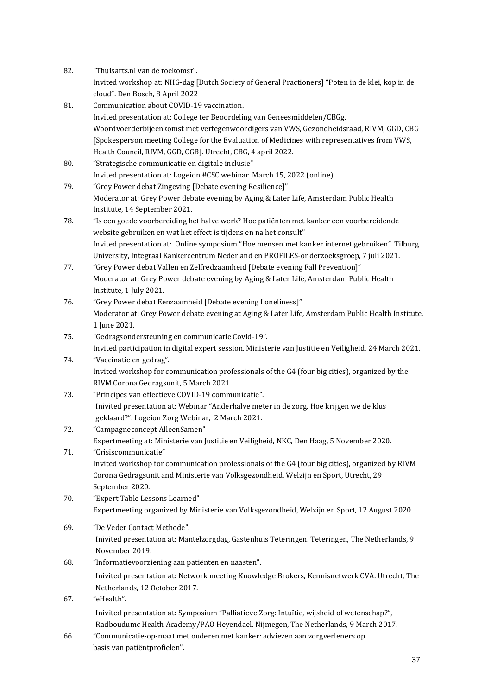| 82. | "Thuisarts.nl van de toekomst".                                                                        |
|-----|--------------------------------------------------------------------------------------------------------|
|     | Invited workshop at: NHG-dag [Dutch Society of General Practioners] "Poten in de klei, kop in de       |
|     | cloud". Den Bosch, 8 April 2022                                                                        |
| 81. | Communication about COVID-19 vaccination.                                                              |
|     | Invited presentation at: College ter Beoordeling van Geneesmiddelen/CBGg.                              |
|     | Woordvoerderbijeenkomst met vertegenwoordigers van VWS, Gezondheidsraad, RIVM, GGD, CBG                |
|     | [Spokesperson meeting College for the Evaluation of Medicines with representatives from VWS,           |
|     | Health Council, RIVM, GGD, CGB]. Utrecht, CBG, 4 april 2022.                                           |
| 80. | "Strategische communicatie en digitale inclusie"                                                       |
|     | Invited presentation at: Logeion #CSC webinar. March 15, 2022 (online).                                |
| 79. | "Grey Power debat Zingeving [Debate evening Resilience]"                                               |
|     | Moderator at: Grey Power debate evening by Aging & Later Life, Amsterdam Public Health                 |
|     | Institute, 14 September 2021.                                                                          |
| 78. | "Is een goede voorbereiding het halve werk? Hoe patiënten met kanker een voorbereidende                |
|     | website gebruiken en wat het effect is tijdens en na het consult"                                      |
|     | Invited presentation at: Online symposium "Hoe mensen met kanker internet gebruiken". Tilburg          |
|     | University, Integraal Kankercentrum Nederland en PROFILES-onderzoeksgroep, 7 juli 2021.                |
| 77. | "Grey Power debat Vallen en Zelfredzaamheid [Debate evening Fall Prevention]"                          |
|     | Moderator at: Grey Power debate evening by Aging & Later Life, Amsterdam Public Health                 |
|     | Institute, 1 July 2021.                                                                                |
| 76. | "Grey Power debat Eenzaamheid [Debate evening Loneliness]"                                             |
|     | Moderator at: Grey Power debate evening at Aging & Later Life, Amsterdam Public Health Institute,      |
|     | 1 June 2021.                                                                                           |
| 75. | "Gedragsondersteuning en communicatie Covid-19".                                                       |
|     | Invited participation in digital expert session. Ministerie van Justitie en Veiligheid, 24 March 2021. |
| 74. | "Vaccinatie en gedrag".                                                                                |
|     | Invited workshop for communication professionals of the G4 (four big cities), organized by the         |
|     | RIVM Corona Gedragsunit, 5 March 2021.                                                                 |
| 73. | "Principes van effectieve COVID-19 communicatie".                                                      |
|     | Inivited presentation at: Webinar "Anderhalve meter in de zorg. Hoe krijgen we de klus                 |
|     | geklaard?". Logeion Zorg Webinar, 2 March 2021.                                                        |
| 72. | "Campagneconcept AlleenSamen"                                                                          |
|     | Expertmeeting at: Ministerie van Justitie en Veiligheid, NKC, Den Haag, 5 November 2020.               |
| 71. | "Crisiscommunicatie"                                                                                   |
|     | Invited workshop for communication professionals of the G4 (four big cities), organized by RIVM        |
|     | Corona Gedragsunit and Ministerie van Volksgezondheid, Welzijn en Sport, Utrecht, 29                   |
|     | September 2020.                                                                                        |
| 70. | "Expert Table Lessons Learned"                                                                         |
|     | Expertmeeting organized by Ministerie van Volksgezondheid, Welzijn en Sport, 12 August 2020.           |
|     |                                                                                                        |
| 69. | "De Veder Contact Methode".                                                                            |
|     | Inivited presentation at: Mantelzorgdag, Gastenhuis Teteringen. Teteringen, The Netherlands, 9         |
|     | November 2019.                                                                                         |
| 68. | "Informatievoorziening aan patiënten en naasten".                                                      |
|     | Inivited presentation at: Network meeting Knowledge Brokers, Kennisnetwerk CVA. Utrecht, The           |
|     | Netherlands, 12 October 2017.                                                                          |
| 67. | "eHealth".                                                                                             |
|     | Inivited presentation at: Symposium "Palliatieve Zorg: Intuïtie, wijsheid of wetenschap?",             |
|     | Radboudumc Health Academy/PAO Heyendael. Nijmegen, The Netherlands, 9 March 2017.                      |
| 66. | "Communicatie-op-maat met ouderen met kanker: adviezen aan zorgverleners op                            |
|     | basis van patiëntprofielen".                                                                           |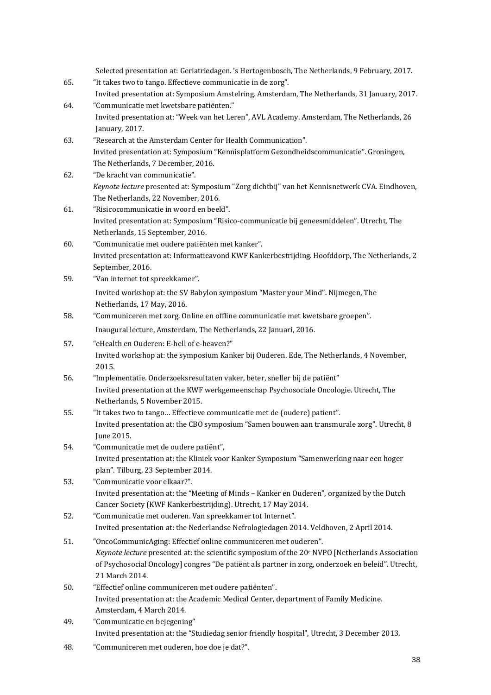Selected presentation at: Geriatriedagen. 's Hertogenbosch, The Netherlands, 9 February, 2017. 65. "It takes two to tango. Effectieve communicatie in de zorg". Invited presentation at: Symposium Amstelring. Amsterdam, The Netherlands, 31 January, 2017. 64. "Communicatie met kwetsbare patiënten." Invited presentation at: "Week van het Leren", AVL Academy. Amsterdam, The Netherlands, 26 January, 2017. 63. "Research at the Amsterdam Center for Health Communication". Invited presentation at: Symposium "Kennisplatform Gezondheidscommunicatie". Groningen, The Netherlands, 7 December, 2016. 62. "De kracht van communicatie". *Keynote lecture* presented at: Symposium "Zorg dichtbij" van het Kennisnetwerk CVA. Eindhoven, The Netherlands, 22 November, 2016. 61. "Risicocommunicatie in woord en beeld". Invited presentation at: Symposium "Risico-communicatie bij geneesmiddelen". Utrecht, The Netherlands, 15 September, 2016. 60. "Communicatie met oudere patiënten met kanker". Invited presentation at: Informatieavond KWF Kankerbestrijding. Hoofddorp, The Netherlands, 2 September, 2016. 59. "Van internet tot spreekkamer". Invited workshop at: the SV Babylon symposium "Master your Mind". Nijmegen, The Netherlands, 17 May, 2016. 58. "Communiceren met zorg. Online en offline communicatie met kwetsbare groepen". Inaugural lecture, Amsterdam, The Netherlands, 22 Januari, 2016. 57. "eHealth en Ouderen: E-hell of e-heaven?" Invited workshop at: the symposium Kanker bij Ouderen. Ede, The Netherlands, 4 November, 2015. 56. "Implementatie. Onderzoeksresultaten vaker, beter, sneller bij de patiënt" Invited presentation at the KWF werkgemeenschap Psychosociale Oncologie. Utrecht, The Netherlands, 5 November 2015. 55. "It takes two to tango… Effectieve communicatie met de (oudere) patient". Invited presentation at: the CBO symposium "Samen bouwen aan transmurale zorg". Utrecht, 8 June 2015. 54. "Communicatie met de oudere patiënt", Invited presentation at: the Kliniek voor Kanker Symposium "Samenwerking naar een hoger plan". Tilburg, 23 September 2014. 53. "Communicatie voor elkaar?". Invited presentation at: the "Meeting of Minds – Kanker en Ouderen", organized by the Dutch Cancer Society (KWF Kankerbestrijding). Utrecht, 17 May 2014. 52. "Communicatie met ouderen. Van spreekkamer tot Internet". Invited presentation at: the Nederlandse Nefrologiedagen 2014. Veldhoven, 2 April 2014. 51. "OncoCommunicAging: Effectief online communiceren met ouderen". *Keynote lecture* presented at: the scientific symposium of the 20<sup>e</sup> NVPO [Netherlands Association of Psychosocial Oncology] congres "De patiënt als partner in zorg, onderzoek en beleid". Utrecht, 21 March 2014. 50. "Effectief online communiceren met oudere patiënten". Invited presentation at: the Academic Medical Center, department of Family Medicine. Amsterdam, 4 March 2014. 49. "Communicatie en bejegening" Invited presentation at: the "Studiedag senior friendly hospital", Utrecht, 3 December 2013. 48. "Communiceren met ouderen, hoe doe je dat?".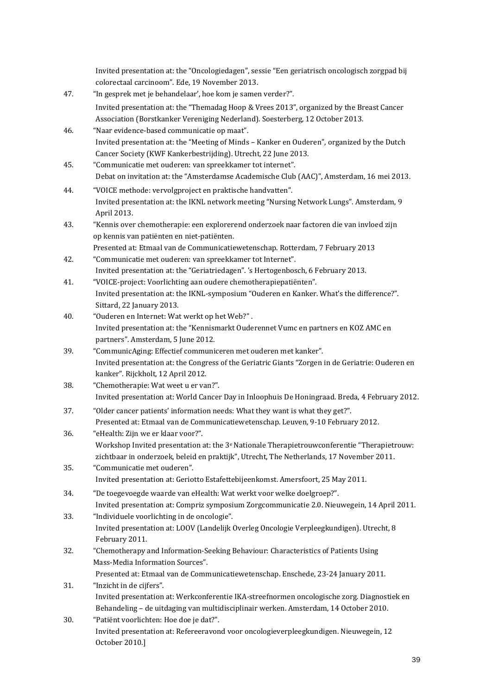Invited presentation at: the "Oncologiedagen", sessie "Een geriatrisch oncologisch zorgpad bij colorectaal carcinoom". Ede, 19 November 2013.

- 47. "In gesprek met je behandelaar', hoe kom je samen verder?". Invited presentation at: the "Themadag Hoop & Vrees 2013", organized by the Breast Cancer Association (Borstkanker Vereniging Nederland). Soesterberg, 12 October 2013.
- 46. "Naar evidence-based communicatie op maat". Invited presentation at: the "Meeting of Minds – Kanker en Ouderen", organized by the Dutch Cancer Society (KWF Kankerbestrijding). Utrecht, 22 June 2013.
- 45. "Communicatie met ouderen: van spreekkamer tot internet". Debat on invitation at: the "Amsterdamse Academische Club (AAC)", Amsterdam, 16 mei 2013.
- 44. "VOICE methode: vervolgproject en praktische handvatten". Invited presentation at: the IKNL network meeting "Nursing Network Lungs". Amsterdam, 9 April 2013.
- 43. "Kennis over chemotherapie: een explorerend onderzoek naar factoren die van invloed zijn op kennis van patiënten en niet-patiënten.

Presented at: Etmaal van de Communicatiewetenschap. Rotterdam, 7 February 2013 42. "Communicatie met ouderen: van spreekkamer tot Internet".

- Invited presentation at: the "Geriatriedagen". 's Hertogenbosch, 6 February 2013.
- 41. "VOICE-project: Voorlichting aan oudere chemotherapiepatiënten". Invited presentation at: the IKNL-symposium "Ouderen en Kanker. What's the difference?". Sittard, 22 January 2013.
- 40. "Ouderen en Internet: Wat werkt op het Web?" . Invited presentation at: the "Kennismarkt Ouderennet Vumc en partners en KOZ AMC en partners". Amsterdam, 5 June 2012.
- 39. "CommunicAging: Effectief communiceren met ouderen met kanker". Invited presentation at: the Congress of the Geriatric Giants "Zorgen in de Geriatrie: Ouderen en kanker". Rijckholt, 12 April 2012.
- 38. "Chemotherapie: Wat weet u er van?". Invited presentation at: World Cancer Day in Inloophuis De Honingraad. Breda, 4 February 2012.
- 37. "Older cancer patients' information needs: What they want is what they get?". Presented at: Etmaal van de Communicatiewetenschap. Leuven, 9-10 February 2012.
- 36. "eHealth: Zijn we er klaar voor?". Workshop Invited presentation at: the 3<sup>e</sup> Nationale Therapietrouwconferentie "Therapietrouw: zichtbaar in onderzoek, beleid en praktijk", Utrecht, The Netherlands, 17 November 2011.
- 35. "Communicatie met ouderen". Invited presentation at: Geriotto Estafettebijeenkomst. Amersfoort, 25 May 2011.
- 34. "De toegevoegde waarde van eHealth: Wat werkt voor welke doelgroep?". Invited presentation at: Compriz symposium Zorgcommunicatie 2.0. Nieuwegein, 14 April 2011.
- 33. "Individuele voorlichting in de oncologie". Invited presentation at: LOOV (Landelijk Overleg Oncologie Verpleegkundigen). Utrecht, 8 February 2011.
- 32. "Chemotherapy and Information-Seeking Behaviour: Characteristics of Patients Using Mass-Media Information Sources".

Presented at: Etmaal van de Communicatiewetenschap. Enschede, 23-24 January 2011.

- 31. "Inzicht in de cijfers". Invited presentation at: Werkconferentie IKA-streefnormen oncologische zorg. Diagnostiek en Behandeling – de uitdaging van multidisciplinair werken. Amsterdam, 14 October 2010. 30. "Patiënt voorlichten: Hoe doe je dat?".
	- Invited presentation at: Refereeravond voor oncologieverpleegkundigen. Nieuwegein, 12 October 2010.]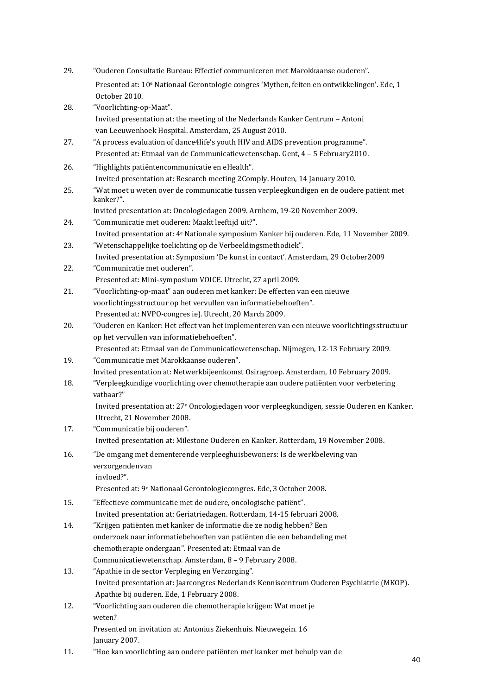| 29. | "Ouderen Consultatie Bureau: Effectief communiceren met Marokkaanse ouderen".                                                                                     |
|-----|-------------------------------------------------------------------------------------------------------------------------------------------------------------------|
|     | Presented at: 10 <sup>e</sup> Nationaal Gerontologie congres 'Mythen, feiten en ontwikkelingen'. Ede, 1<br>October 2010.                                          |
| 28. | "Voorlichting-op-Maat".                                                                                                                                           |
|     | Invited presentation at: the meeting of the Nederlands Kanker Centrum - Antoni<br>van Leeuwenhoek Hospital. Amsterdam, 25 August 2010.                            |
| 27. | "A process evaluation of dance4life's youth HIV and AIDS prevention programme".<br>Presented at: Etmaal van de Communicatiewetenschap. Gent, 4 - 5 February 2010. |
| 26. | "Highlights patiëntencommunicatie en eHealth".                                                                                                                    |
|     | Invited presentation at: Research meeting 2Comply. Houten, 14 January 2010.                                                                                       |
| 25. | "Wat moet u weten over de communicatie tussen verpleegkundigen en de oudere patiënt met<br>kanker?".                                                              |
|     | Invited presentation at: Oncologiedagen 2009. Arnhem, 19-20 November 2009.                                                                                        |
| 24. | "Communicatie met ouderen: Maakt leeftijd uit?".                                                                                                                  |
|     | Invited presentation at: 4 <sup>e</sup> Nationale symposium Kanker bij ouderen. Ede, 11 November 2009.                                                            |
| 23. | "Wetenschappelijke toelichting op de Verbeeldingsmethodiek".                                                                                                      |
|     | Invited presentation at: Symposium 'De kunst in contact'. Amsterdam, 29 October2009                                                                               |
| 22. | "Communicatie met ouderen".                                                                                                                                       |
|     | Presented at: Mini-symposium VOICE. Utrecht, 27 april 2009.                                                                                                       |
| 21. | "Voorlichting-op-maat" aan ouderen met kanker: De effecten van een nieuwe                                                                                         |
|     | voorlichtingsstructuur op het vervullen van informatiebehoeften".                                                                                                 |
|     | Presented at: NVPO-congres ie). Utrecht, 20 March 2009.                                                                                                           |
| 20. | "Ouderen en Kanker: Het effect van het implementeren van een nieuwe voorlichtingsstructuur                                                                        |
|     | op het vervullen van informatiebehoeften".                                                                                                                        |
|     | Presented at: Etmaal van de Communicatiewetenschap. Nijmegen, 12-13 February 2009.                                                                                |
| 19. | "Communicatie met Marokkaanse ouderen".                                                                                                                           |
|     | Invited presentation at: Netwerkbijeenkomst Osiragroep. Amsterdam, 10 February 2009.                                                                              |
| 18. | "Verpleegkundige voorlichting over chemotherapie aan oudere patiënten voor verbetering<br>vatbaar?"                                                               |
|     | Invited presentation at: 27 <sup>e</sup> Oncologiedagen voor verpleegkundigen, sessie Ouderen en Kanker.<br>Utrecht, 21 November 2008.                            |
| 17. | "Communicatie bij ouderen".                                                                                                                                       |
|     | Invited presentation at: Milestone Ouderen en Kanker. Rotterdam, 19 November 2008.                                                                                |
| 16. | "De omgang met dementerende verpleeghuisbewoners: Is de werkbeleving van<br>verzorgendenvan                                                                       |
|     | invloed?".                                                                                                                                                        |
|     | Presented at: 9 <sup>e</sup> Nationaal Gerontologiecongres. Ede, 3 October 2008.                                                                                  |
| 15. | "Effectieve communicatie met de oudere, oncologische patiënt".                                                                                                    |
|     | Invited presentation at: Geriatriedagen. Rotterdam, 14-15 februari 2008.                                                                                          |
| 14. | "Krijgen patiënten met kanker de informatie die ze nodig hebben? Een                                                                                              |
|     | onderzoek naar informatiebehoeften van patiënten die een behandeling met                                                                                          |
|     | chemotherapie ondergaan". Presented at: Etmaal van de                                                                                                             |
|     | Communicatiewetenschap. Amsterdam, 8 - 9 February 2008.                                                                                                           |
| 13. | "Apathie in de sector Verpleging en Verzorging".                                                                                                                  |
|     | Invited presentation at: Jaarcongres Nederlands Kenniscentrum Ouderen Psychiatrie (MKOP).                                                                         |
|     | Apathie bij ouderen. Ede, 1 February 2008.                                                                                                                        |
| 12. | "Voorlichting aan ouderen die chemotherapie krijgen: Wat moet je<br>weten?                                                                                        |
|     | Presented on invitation at: Antonius Ziekenhuis. Nieuwegein. 16<br>January 2007.                                                                                  |
| 11. | "Hoe kan voorlichting aan oudere patiënten met kanker met behulp van de                                                                                           |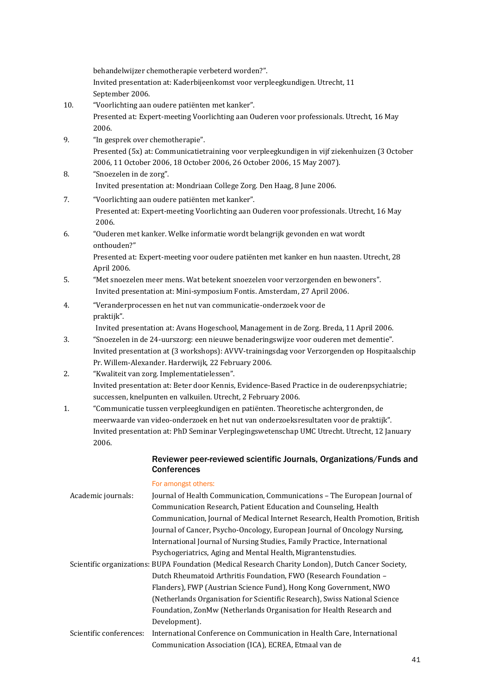behandelwijzer chemotherapie verbeterd worden?". Invited presentation at: Kaderbijeenkomst voor verpleegkundigen. Utrecht, 11 September 2006.

- 10. "Voorlichting aan oudere patiënten met kanker". Presented at: Expert-meeting Voorlichting aan Ouderen voor professionals. Utrecht, 16 May 2006.
- 9. "In gesprek over chemotherapie". Presented (5x) at: Communicatietraining voor verpleegkundigen in vijf ziekenhuizen (3 October 2006, 11 October 2006, 18 October 2006, 26 October 2006, 15 May 2007).
- 8. "Snoezelen in de zorg". Invited presentation at: Mondriaan College Zorg. Den Haag, 8 June 2006.
- 7. "Voorlichting aan oudere patiënten met kanker". Presented at: Expert-meeting Voorlichting aan Ouderen voor professionals. Utrecht, 16 May 2006.
- 6. "Ouderen met kanker. Welke informatie wordt belangrijk gevonden en wat wordt onthouden?"

Presented at: Expert-meeting voor oudere patiënten met kanker en hun naasten. Utrecht, 28 April 2006.

- 5. "Met snoezelen meer mens. Wat betekent snoezelen voor verzorgenden en bewoners". Invited presentation at: Mini-symposium Fontis. Amsterdam, 27 April 2006.
- 4. "Veranderprocessen en het nut van communicatie-onderzoek voor de praktijk".

Invited presentation at: Avans Hogeschool, Management in de Zorg. Breda, 11 April 2006.

- 3. "Snoezelen in de 24-uurszorg: een nieuwe benaderingswijze voor ouderen met dementie". Invited presentation at (3 workshops): AVVV-trainingsdag voor Verzorgenden op Hospitaalschip Pr. Willem-Alexander. Harderwijk, 22 February 2006.
- 2. "Kwaliteit van zorg. Implementatielessen". Invited presentation at: Beter door Kennis, Evidence-Based Practice in de ouderenpsychiatrie; successen, knelpunten en valkuilen. Utrecht, 2 February 2006.
- 1. "Communicatie tussen verpleegkundigen en patiënten. Theoretische achtergronden, de meerwaarde van video-onderzoek en het nut van onderzoeksresultaten voor de praktijk". Invited presentation at: PhD Seminar Verplegingswetenschap UMC Utrecht. Utrecht, 12 January 2006.

## Reviewer peer-reviewed scientific Journals, Organizations/Funds and **Conferences**

For amongst others:

| Academic journals:      | Journal of Health Communication, Communications – The European Journal of                          |
|-------------------------|----------------------------------------------------------------------------------------------------|
|                         | Communication Research, Patient Education and Counseling, Health                                   |
|                         | Communication, Journal of Medical Internet Research, Health Promotion, British                     |
|                         | Journal of Cancer, Psycho-Oncology, European Journal of Oncology Nursing,                          |
|                         | International Journal of Nursing Studies, Family Practice, International                           |
|                         | Psychogeriatrics, Aging and Mental Health, Migrantenstudies.                                       |
|                         | Scientific organizations: BUPA Foundation (Medical Research Charity London), Dutch Cancer Society, |
|                         | Dutch Rheumatoid Arthritis Foundation, FWO (Research Foundation -                                  |
|                         | Flanders), FWP (Austrian Science Fund), Hong Kong Government, NWO                                  |
|                         | (Netherlands Organisation for Scientific Research), Swiss National Science                         |
|                         | Foundation, ZonMw (Netherlands Organisation for Health Research and                                |
|                         | Development).                                                                                      |
| Scientific conferences: | International Conference on Communication in Health Care, International                            |
|                         | Communication Association (ICA), ECREA, Etmaal van de                                              |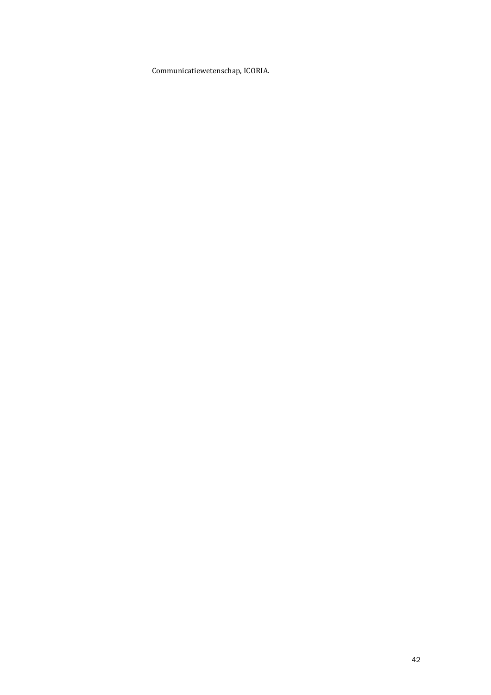Communicatiewetenschap, ICORIA.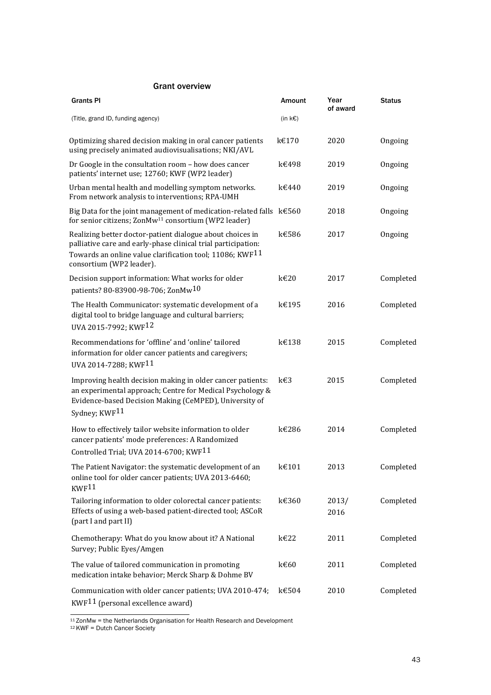## Grant overview

| <b>Grants PI</b>                                                                                                                                                                                                         | Amount            | Year<br>of award | <b>Status</b> |
|--------------------------------------------------------------------------------------------------------------------------------------------------------------------------------------------------------------------------|-------------------|------------------|---------------|
| (Title, grand ID, funding agency)                                                                                                                                                                                        | (in $k\epsilon$ ) |                  |               |
| Optimizing shared decision making in oral cancer patients<br>using precisely animated audiovisualisations; NKI/AVL                                                                                                       | k€170             | 2020             | Ongoing       |
| Dr Google in the consultation room - how does cancer<br>patients' internet use; 12760; KWF (WP2 leader)                                                                                                                  | k€498             | 2019             | Ongoing       |
| Urban mental health and modelling symptom networks.<br>From network analysis to interventions; RPA-UMH                                                                                                                   | k€440             | 2019             | Ongoing       |
| Big Data for the joint management of medication-related falls k€560<br>for senior citizens; ZonMw <sup>11</sup> consortium (WP2 leader)                                                                                  |                   | 2018             | Ongoing       |
| Realizing better doctor-patient dialogue about choices in<br>palliative care and early-phase clinical trial participation:<br>Towards an online value clarification tool; 11086; KWF $^{11}$<br>consortium (WP2 leader). | k€586             | 2017             | Ongoing       |
| Decision support information: What works for older<br>patients? 80-83900-98-706; ZonMw <sup>10</sup>                                                                                                                     | $k \in 20$        | 2017             | Completed     |
| The Health Communicator: systematic development of a<br>digital tool to bridge language and cultural barriers;<br>UVA 2015-7992; KWF12                                                                                   | k€195             | 2016             | Completed     |
| Recommendations for 'offline' and 'online' tailored<br>information for older cancer patients and caregivers;<br>UVA 2014-7288; KWF11                                                                                     | k€138             | 2015             | Completed     |
| Improving health decision making in older cancer patients:<br>an experimental approach; Centre for Medical Psychology &<br>Evidence-based Decision Making (CeMPED), University of<br>Sydney; KWF11                       | $k \in 3$         | 2015             | Completed     |
| How to effectively tailor website information to older<br>cancer patients' mode preferences: A Randomized<br>Controlled Trial; UVA 2014-6700; KWF11                                                                      | k€286             | 2014             | Completed     |
| The Patient Navigator: the systematic development of an $k \in \{101\}$<br>online tool for older cancer patients; UVA 2013-6460;<br>KWF <sup>11</sup>                                                                    |                   | 2013             | Completed     |
| Tailoring information to older colorectal cancer patients:<br>Effects of using a web-based patient-directed tool; ASCoR<br>(part I and part II)                                                                          | k€360             | 2013/<br>2016    | Completed     |
| Chemotherapy: What do you know about it? A National<br>Survey; Public Eyes/Amgen                                                                                                                                         | k€22              | 2011             | Completed     |
| The value of tailored communication in promoting<br>medication intake behavior; Merck Sharp & Dohme BV                                                                                                                   | k€60              | 2011             | Completed     |
| Communication with older cancer patients; UVA 2010-474;<br>$KWF11$ (personal excellence award)                                                                                                                           | k€504             | 2010             | Completed     |

<sup>11</sup> ZonMw = the Netherlands Organisation for Health Research and Development

<span id="page-42-0"></span>12 KWF = Dutch Cancer Society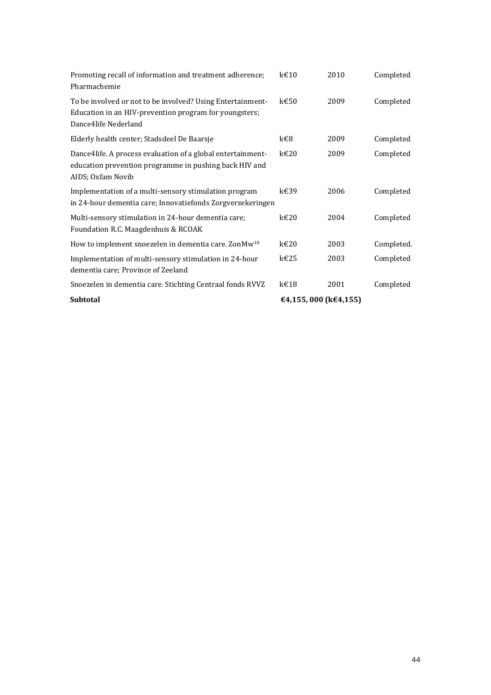| Subtotal                                                                                                                                     | €4,155,000 (k€4,155) |      |            |
|----------------------------------------------------------------------------------------------------------------------------------------------|----------------------|------|------------|
| Snoezelen in dementia care. Stichting Centraal fonds RVVZ                                                                                    | k€18                 | 2001 | Completed  |
| Implementation of multi-sensory stimulation in 24-hour<br>dementia care; Province of Zeeland                                                 | k€25                 | 2003 | Completed  |
| How to implement snoezelen in dementia care. Zon $Mw^{10}$                                                                                   | $k \in 20$           | 2003 | Completed. |
| Multi-sensory stimulation in 24-hour dementia care;<br>Foundation R.C. Maagdenhuis & RCOAK                                                   | $k \in 20$           | 2004 | Completed  |
| Implementation of a multi-sensory stimulation program<br>in 24-hour dementia care; Innovatiefonds Zorgverzekeringen                          | k€39                 | 2006 | Completed  |
| Dance4life. A process evaluation of a global entertainment-<br>education prevention programme in pushing back HIV and<br>AIDS; Oxfam Novib   | $k \in 20$           | 2009 | Completed  |
| Elderly health center; Stadsdeel De Baarsje                                                                                                  | k€8                  | 2009 | Completed  |
| To be involved or not to be involved? Using Entertainment-<br>Education in an HIV-prevention program for youngsters;<br>Dance4life Nederland | $k \in 50$           | 2009 | Completed  |
| Promoting recall of information and treatment adherence;<br>Pharmachemie                                                                     | $k \in 10$           | 2010 | Completed  |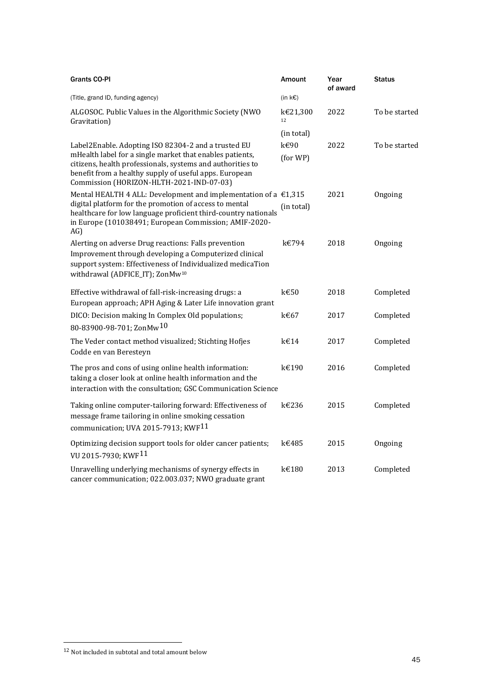| <b>Grants CO-PI</b>                                                                                                                                                                                                                                                                 | Amount            | Year<br>of award | <b>Status</b> |
|-------------------------------------------------------------------------------------------------------------------------------------------------------------------------------------------------------------------------------------------------------------------------------------|-------------------|------------------|---------------|
| (Title, grand ID, funding agency)                                                                                                                                                                                                                                                   | (in $k\epsilon$ ) |                  |               |
| ALGOSOC. Public Values in the Algorithmic Society (NWO<br>Gravitation)                                                                                                                                                                                                              | k€21,300<br>12    | 2022             | To be started |
|                                                                                                                                                                                                                                                                                     | (in total)        |                  |               |
| Label2Enable. Adopting ISO 82304-2 and a trusted EU<br>mHealth label for a single market that enables patients,<br>citizens, health professionals, systems and authorities to<br>benefit from a healthy supply of useful apps. European<br>Commission (HORIZON-HLTH-2021-IND-07-03) | k€90<br>(for WP)  | 2022             | To be started |
| Mental HEALTH 4 ALL: Development and implementation of a $\epsilon$ 1,315<br>digital platform for the promotion of access to mental<br>healthcare for low language proficient third-country nationals<br>in Europe (101038491; European Commission; AMIF-2020-<br>AG)               | (in total)        | 2021             | Ongoing       |
| Alerting on adverse Drug reactions: Falls prevention<br>Improvement through developing a Computerized clinical<br>support system: Effectiveness of Individualized medicaTion<br>withdrawal (ADFICE_IT); ZonMw <sup>10</sup>                                                         | k€794             | 2018             | Ongoing       |
| Effective withdrawal of fall-risk-increasing drugs: a<br>European approach; APH Aging & Later Life innovation grant                                                                                                                                                                 | $k \in 50$        | 2018             | Completed     |
| DICO: Decision making In Complex Old populations;<br>80-83900-98-701; ZonMw <sup>10</sup>                                                                                                                                                                                           | k€67              | 2017             | Completed     |
| The Veder contact method visualized; Stichting Hofjes<br>Codde en van Beresteyn                                                                                                                                                                                                     | k€14              | 2017             | Completed     |
| The pros and cons of using online health information:<br>taking a closer look at online health information and the<br>interaction with the consultation; GSC Communication Science                                                                                                  | k€190             | 2016             | Completed     |
| Taking online computer-tailoring forward: Effectiveness of<br>message frame tailoring in online smoking cessation<br>communication; UVA 2015-7913; KWF <sup>11</sup>                                                                                                                | k€236             | 2015             | Completed     |
| Optimizing decision support tools for older cancer patients;<br>VU 2015-7930; KWF <sup>11</sup>                                                                                                                                                                                     | k€485             | 2015             | Ongoing       |
| Unravelling underlying mechanisms of synergy effects in<br>cancer communication; 022.003.037; NWO graduate grant                                                                                                                                                                    | k€180             | 2013             | Completed     |

 $^{\rm 12}$  Not included in subtotal and total amount below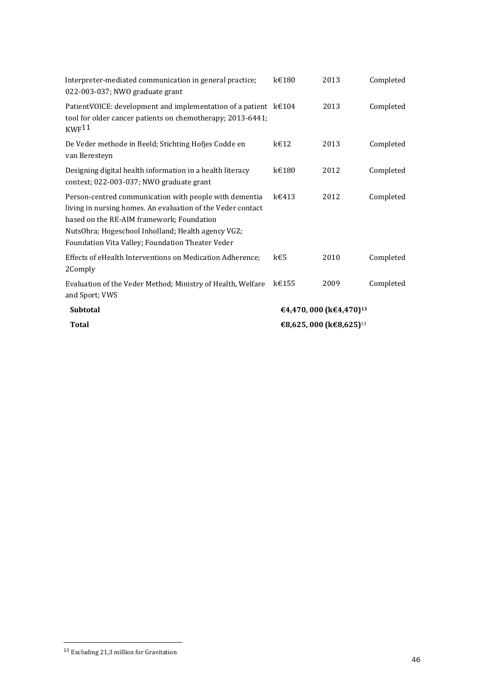| Interpreter-mediated communication in general practice;<br>022-003-037; NWO graduate grant                                                                                                                                                                                   | k€180                               | 2013 | Completed |
|------------------------------------------------------------------------------------------------------------------------------------------------------------------------------------------------------------------------------------------------------------------------------|-------------------------------------|------|-----------|
| Patient VOICE: development and implementation of a patient $k \in 104$<br>tool for older cancer patients on chemotherapy; 2013-6441;<br>KWF <sup>11</sup>                                                                                                                    |                                     | 2013 | Completed |
| De Veder methode in Beeld; Stichting Hofjes Codde en<br>van Beresteyn                                                                                                                                                                                                        | $k \in 12$                          | 2013 | Completed |
| Designing digital health information in a health literacy<br>context; 022-003-037; NWO graduate grant                                                                                                                                                                        | k€180                               | 2012 | Completed |
| Person-centred communication with people with dementia<br>living in nursing homes. An evaluation of the Veder contact<br>based on the RE-AIM framework; Foundation<br>NutsOhra; Hogeschool Inholland; Health agency VGZ;<br>Foundation Vita Valley; Foundation Theater Veder | $k \in 413$                         | 2012 | Completed |
| Effects of eHealth Interventions on Medication Adherence;<br>2Comply                                                                                                                                                                                                         | k€5                                 | 2010 | Completed |
| Evaluation of the Veder Method; Ministry of Health, Welfare<br>and Sport; VWS                                                                                                                                                                                                | k€155                               | 2009 | Completed |
| <b>Subtotal</b>                                                                                                                                                                                                                                                              | €4,470, 000 (k€4,470) <sup>13</sup> |      |           |
| Total                                                                                                                                                                                                                                                                        | €8,625, 000 (k€8,625) <sup>13</sup> |      |           |

<sup>13</sup> Excluding 21,3 million for Gravitation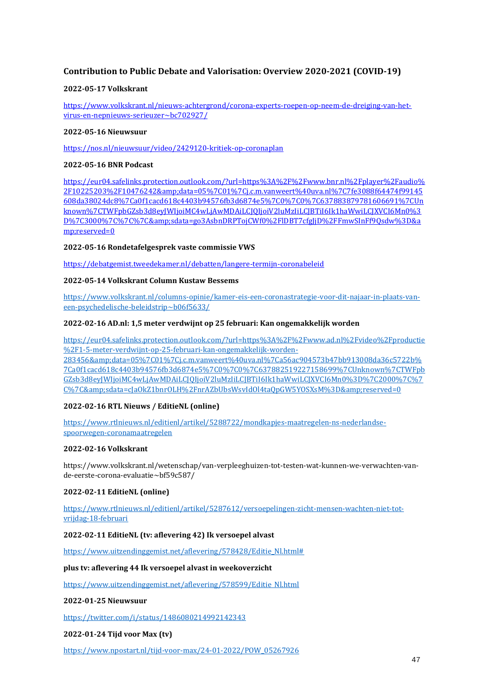## **Contribution to Public Debate and Valorisation: Overview 2020-2021 (COVID-19)**

## **2022-05-17 Volkskrant**

[https://www.volkskrant.nl/nieuws-achtergrond/corona-experts-roepen-op-neem-de-dreiging-van-het](https://www.volkskrant.nl/nieuws-achtergrond/corona-experts-roepen-op-neem-de-dreiging-van-het-virus-en-nepnieuws-serieuzer~bc702927/)[virus-en-nepnieuws-serieuzer~bc702927/](https://www.volkskrant.nl/nieuws-achtergrond/corona-experts-roepen-op-neem-de-dreiging-van-het-virus-en-nepnieuws-serieuzer~bc702927/)

## **2022-05-16 Nieuwsuur**

<https://nos.nl/nieuwsuur/video/2429120-kritiek-op-coronaplan>

## **2022-05-16 BNR Podcast**

[https://eur04.safelinks.protection.outlook.com/?url=https%3A%2F%2Fwww.bnr.nl%2Fplayer%2Faudio%](https://eur04.safelinks.protection.outlook.com/?url=https%3A%2F%2Fwww.bnr.nl%2Fplayer%2Faudio%2F10225203%2F10476242&data=05%7C01%7Cj.c.m.vanweert%40uva.nl%7C7fe3088f64474f99145608da38024dc8%7Ca0f1cacd618c4403b94576fb3d6874e5%7C0%7C0%7C637883879781606691%7CUnknown%7CTWFpbGZsb3d8eyJWIjoiMC4wLjAwMDAiLCJQIjoiV2luMzIiLCJBTiI6Ik1haWwiLCJXVCI6Mn0%3D%7C3000%7C%7C%7C&sdata=go3AsbnDRPTojCWf0%2FlDBT7cfgJjD%2FFmwSInFf9Qsdw%3D&reserved=0) [2F10225203%2F10476242&data=05%7C01%7Cj.c.m.vanweert%40uva.nl%7C7fe3088f64474f99145](https://eur04.safelinks.protection.outlook.com/?url=https%3A%2F%2Fwww.bnr.nl%2Fplayer%2Faudio%2F10225203%2F10476242&data=05%7C01%7Cj.c.m.vanweert%40uva.nl%7C7fe3088f64474f99145608da38024dc8%7Ca0f1cacd618c4403b94576fb3d6874e5%7C0%7C0%7C637883879781606691%7CUnknown%7CTWFpbGZsb3d8eyJWIjoiMC4wLjAwMDAiLCJQIjoiV2luMzIiLCJBTiI6Ik1haWwiLCJXVCI6Mn0%3D%7C3000%7C%7C%7C&sdata=go3AsbnDRPTojCWf0%2FlDBT7cfgJjD%2FFmwSInFf9Qsdw%3D&reserved=0) [608da38024dc8%7Ca0f1cacd618c4403b94576fb3d6874e5%7C0%7C0%7C637883879781606691%7CUn](https://eur04.safelinks.protection.outlook.com/?url=https%3A%2F%2Fwww.bnr.nl%2Fplayer%2Faudio%2F10225203%2F10476242&data=05%7C01%7Cj.c.m.vanweert%40uva.nl%7C7fe3088f64474f99145608da38024dc8%7Ca0f1cacd618c4403b94576fb3d6874e5%7C0%7C0%7C637883879781606691%7CUnknown%7CTWFpbGZsb3d8eyJWIjoiMC4wLjAwMDAiLCJQIjoiV2luMzIiLCJBTiI6Ik1haWwiLCJXVCI6Mn0%3D%7C3000%7C%7C%7C&sdata=go3AsbnDRPTojCWf0%2FlDBT7cfgJjD%2FFmwSInFf9Qsdw%3D&reserved=0) [known%7CTWFpbGZsb3d8eyJWIjoiMC4wLjAwMDAiLCJQIjoiV2luMzIiLCJBTiI6Ik1haWwiLCJXVCI6Mn0%3](https://eur04.safelinks.protection.outlook.com/?url=https%3A%2F%2Fwww.bnr.nl%2Fplayer%2Faudio%2F10225203%2F10476242&data=05%7C01%7Cj.c.m.vanweert%40uva.nl%7C7fe3088f64474f99145608da38024dc8%7Ca0f1cacd618c4403b94576fb3d6874e5%7C0%7C0%7C637883879781606691%7CUnknown%7CTWFpbGZsb3d8eyJWIjoiMC4wLjAwMDAiLCJQIjoiV2luMzIiLCJBTiI6Ik1haWwiLCJXVCI6Mn0%3D%7C3000%7C%7C%7C&sdata=go3AsbnDRPTojCWf0%2FlDBT7cfgJjD%2FFmwSInFf9Qsdw%3D&reserved=0) [D%7C3000%7C%7C%7C&sdata=go3AsbnDRPTojCWf0%2FlDBT7cfgJjD%2FFmwSInFf9Qsdw%3D&a](https://eur04.safelinks.protection.outlook.com/?url=https%3A%2F%2Fwww.bnr.nl%2Fplayer%2Faudio%2F10225203%2F10476242&data=05%7C01%7Cj.c.m.vanweert%40uva.nl%7C7fe3088f64474f99145608da38024dc8%7Ca0f1cacd618c4403b94576fb3d6874e5%7C0%7C0%7C637883879781606691%7CUnknown%7CTWFpbGZsb3d8eyJWIjoiMC4wLjAwMDAiLCJQIjoiV2luMzIiLCJBTiI6Ik1haWwiLCJXVCI6Mn0%3D%7C3000%7C%7C%7C&sdata=go3AsbnDRPTojCWf0%2FlDBT7cfgJjD%2FFmwSInFf9Qsdw%3D&reserved=0) [mp;reserved=0](https://eur04.safelinks.protection.outlook.com/?url=https%3A%2F%2Fwww.bnr.nl%2Fplayer%2Faudio%2F10225203%2F10476242&data=05%7C01%7Cj.c.m.vanweert%40uva.nl%7C7fe3088f64474f99145608da38024dc8%7Ca0f1cacd618c4403b94576fb3d6874e5%7C0%7C0%7C637883879781606691%7CUnknown%7CTWFpbGZsb3d8eyJWIjoiMC4wLjAwMDAiLCJQIjoiV2luMzIiLCJBTiI6Ik1haWwiLCJXVCI6Mn0%3D%7C3000%7C%7C%7C&sdata=go3AsbnDRPTojCWf0%2FlDBT7cfgJjD%2FFmwSInFf9Qsdw%3D&reserved=0)

## **2022-05-16 Rondetafelgesprek vaste commissie VWS**

<https://debatgemist.tweedekamer.nl/debatten/langere-termijn-coronabeleid>

## **2022-05-14 Volkskrant Column Kustaw Bessems**

[https://www.volkskrant.nl/columns-opinie/kamer-eis-een-coronastrategie-voor-dit-najaar-in-plaats-van](https://www.volkskrant.nl/columns-opinie/kamer-eis-een-coronastrategie-voor-dit-najaar-in-plaats-van-een-psychedelische-beleidstrip~b06f5633/)[een-psychedelische-beleidstrip~b06f5633/](https://www.volkskrant.nl/columns-opinie/kamer-eis-een-coronastrategie-voor-dit-najaar-in-plaats-van-een-psychedelische-beleidstrip~b06f5633/)

## **2022-02-16 AD.nl: 1,5 meter verdwijnt op 25 februari: Kan ongemakkelijk worden**

[https://eur04.safelinks.protection.outlook.com/?url=https%3A%2F%2Fwww.ad.nl%2Fvideo%2Fproductie](https://eur04.safelinks.protection.outlook.com/?url=https%3A%2F%2Fwww.ad.nl%2Fvideo%2Fproductie%2F1-5-meter-verdwijnt-op-25-februari-kan-ongemakkelijk-worden-283456&data=05%7C01%7Cj.c.m.vanweert%40uva.nl%7Ca56ac904573b47bb913008da36c5722b%7Ca0f1cacd618c4403b94576fb3d6874e5%7C0%7C0%7C637882519227158699%7CUnknown%7CTWFpbGZsb3d8eyJWIjoiMC4wLjAwMDAiLCJQIjoiV2luMzIiLCJBTiI6Ik1haWwiLCJXVCI6Mn0%3D%7C2000%7C%7C%7C&sdata=cJaOkZ1bnrOLH%2FnrAZbUbsWsvIdOl4taQpGW5YOSXsM%3D&reserved=0) [%2F1-5-meter-verdwijnt-op-25-februari-kan-ongemakkelijk-worden-](https://eur04.safelinks.protection.outlook.com/?url=https%3A%2F%2Fwww.ad.nl%2Fvideo%2Fproductie%2F1-5-meter-verdwijnt-op-25-februari-kan-ongemakkelijk-worden-283456&data=05%7C01%7Cj.c.m.vanweert%40uva.nl%7Ca56ac904573b47bb913008da36c5722b%7Ca0f1cacd618c4403b94576fb3d6874e5%7C0%7C0%7C637882519227158699%7CUnknown%7CTWFpbGZsb3d8eyJWIjoiMC4wLjAwMDAiLCJQIjoiV2luMzIiLCJBTiI6Ik1haWwiLCJXVCI6Mn0%3D%7C2000%7C%7C%7C&sdata=cJaOkZ1bnrOLH%2FnrAZbUbsWsvIdOl4taQpGW5YOSXsM%3D&reserved=0)

[283456&data=05%7C01%7Cj.c.m.vanweert%40uva.nl%7Ca56ac904573b47bb913008da36c5722b%](https://eur04.safelinks.protection.outlook.com/?url=https%3A%2F%2Fwww.ad.nl%2Fvideo%2Fproductie%2F1-5-meter-verdwijnt-op-25-februari-kan-ongemakkelijk-worden-283456&data=05%7C01%7Cj.c.m.vanweert%40uva.nl%7Ca56ac904573b47bb913008da36c5722b%7Ca0f1cacd618c4403b94576fb3d6874e5%7C0%7C0%7C637882519227158699%7CUnknown%7CTWFpbGZsb3d8eyJWIjoiMC4wLjAwMDAiLCJQIjoiV2luMzIiLCJBTiI6Ik1haWwiLCJXVCI6Mn0%3D%7C2000%7C%7C%7C&sdata=cJaOkZ1bnrOLH%2FnrAZbUbsWsvIdOl4taQpGW5YOSXsM%3D&reserved=0) [7Ca0f1cacd618c4403b94576fb3d6874e5%7C0%7C0%7C637882519227158699%7CUnknown%7CTWFpb](https://eur04.safelinks.protection.outlook.com/?url=https%3A%2F%2Fwww.ad.nl%2Fvideo%2Fproductie%2F1-5-meter-verdwijnt-op-25-februari-kan-ongemakkelijk-worden-283456&data=05%7C01%7Cj.c.m.vanweert%40uva.nl%7Ca56ac904573b47bb913008da36c5722b%7Ca0f1cacd618c4403b94576fb3d6874e5%7C0%7C0%7C637882519227158699%7CUnknown%7CTWFpbGZsb3d8eyJWIjoiMC4wLjAwMDAiLCJQIjoiV2luMzIiLCJBTiI6Ik1haWwiLCJXVCI6Mn0%3D%7C2000%7C%7C%7C&sdata=cJaOkZ1bnrOLH%2FnrAZbUbsWsvIdOl4taQpGW5YOSXsM%3D&reserved=0) [GZsb3d8eyJWIjoiMC4wLjAwMDAiLCJQIjoiV2luMzIiLCJBTiI6Ik1haWwiLCJXVCI6Mn0%3D%7C2000%7C%7](https://eur04.safelinks.protection.outlook.com/?url=https%3A%2F%2Fwww.ad.nl%2Fvideo%2Fproductie%2F1-5-meter-verdwijnt-op-25-februari-kan-ongemakkelijk-worden-283456&data=05%7C01%7Cj.c.m.vanweert%40uva.nl%7Ca56ac904573b47bb913008da36c5722b%7Ca0f1cacd618c4403b94576fb3d6874e5%7C0%7C0%7C637882519227158699%7CUnknown%7CTWFpbGZsb3d8eyJWIjoiMC4wLjAwMDAiLCJQIjoiV2luMzIiLCJBTiI6Ik1haWwiLCJXVCI6Mn0%3D%7C2000%7C%7C%7C&sdata=cJaOkZ1bnrOLH%2FnrAZbUbsWsvIdOl4taQpGW5YOSXsM%3D&reserved=0) C%7C&sdata=cJaOkZ1bnrOLH%2FnrAZbUbsWsvIdOl4taOpGW5YOSXsM%3D&reserved=0

## **2022-02-16 RTL Nieuws / EditieNL (online)**

[https://www.rtlnieuws.nl/editienl/artikel/5288722/mondkapjes-maatregelen-ns-nederlandse](https://www.rtlnieuws.nl/editienl/artikel/5288722/mondkapjes-maatregelen-ns-nederlandse-spoorwegen-coronamaatregelen)[spoorwegen-coronamaatregelen](https://www.rtlnieuws.nl/editienl/artikel/5288722/mondkapjes-maatregelen-ns-nederlandse-spoorwegen-coronamaatregelen)

## **2022-02-16 Volkskrant**

https://www.volkskrant.nl/wetenschap/van-verpleeghuizen-tot-testen-wat-kunnen-we-verwachten-vande-eerste-corona-evaluatie~bf59c587/

## **2022-02-11 EditieNL (online)**

[https://www.rtlnieuws.nl/editienl/artikel/5287612/versoepelingen-zicht-mensen-wachten-niet-tot](https://www.rtlnieuws.nl/editienl/artikel/5287612/versoepelingen-zicht-mensen-wachten-niet-tot-vrijdag-18-februari)[vrijdag-18-februari](https://www.rtlnieuws.nl/editienl/artikel/5287612/versoepelingen-zicht-mensen-wachten-niet-tot-vrijdag-18-februari)

## **2022-02-11 EditieNL (tv: aflevering 42) Ik versoepel alvast**

[https://www.uitzendinggemist.net/aflevering/578428/Editie\\_Nl.html#](https://www.uitzendinggemist.net/aflevering/578428/Editie_Nl.html)

**plus tv: aflevering 44 Ik versoepel alvast in weekoverzicht**

[https://www.uitzendinggemist.net/aflevering/578599/Editie\\_Nl.html](https://www.uitzendinggemist.net/aflevering/578599/Editie_Nl.html)

## **2022-01-25 Nieuwsuur**

<https://twitter.com/i/status/1486080214992142343>

## **2022-01-24 Tijd voor Max (tv)**

[https://www.npostart.nl/tijd-voor-max/24-01-2022/POW\\_05267926](https://www.npostart.nl/tijd-voor-max/24-01-2022/POW_05267926)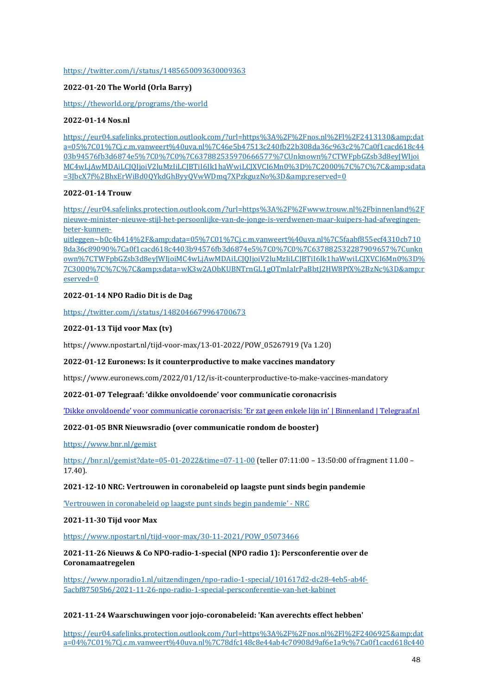### <https://twitter.com/i/status/1485650093630009363>

## **2022-01-20 The World (Orla Barry)**

#### <https://theworld.org/programs/the-world>

#### **2022-01-14 Nos.nl**

https://eur04.safelinks.protection.outlook.com/?url=https%3A%2F%2Fnos.nl%2Fl%2F2413130&amp:dat [a=05%7C01%7Cj.c.m.vanweert%40uva.nl%7C46e5b47513c240fb22b308da36c963c2%7Ca0f1cacd618c44](https://eur04.safelinks.protection.outlook.com/?url=https%3A%2F%2Fnos.nl%2Fl%2F2413130&data=05%7C01%7Cj.c.m.vanweert%40uva.nl%7C46e5b47513c240fb22b308da36c963c2%7Ca0f1cacd618c4403b94576fb3d6874e5%7C0%7C0%7C637882535970666577%7CUnknown%7CTWFpbGZsb3d8eyJWIjoiMC4wLjAwMDAiLCJQIjoiV2luMzIiLCJBTiI6Ik1haWwiLCJXVCI6Mn0%3D%7C2000%7C%7C%7C&sdata=3JbcX7f%2BhxErWiBd0QYkdGhByyQVwWDmq7XPzkguzNo%3D&reserved=0) [03b94576fb3d6874e5%7C0%7C0%7C637882535970666577%7CUnknown%7CTWFpbGZsb3d8eyJWIjoi](https://eur04.safelinks.protection.outlook.com/?url=https%3A%2F%2Fnos.nl%2Fl%2F2413130&data=05%7C01%7Cj.c.m.vanweert%40uva.nl%7C46e5b47513c240fb22b308da36c963c2%7Ca0f1cacd618c4403b94576fb3d6874e5%7C0%7C0%7C637882535970666577%7CUnknown%7CTWFpbGZsb3d8eyJWIjoiMC4wLjAwMDAiLCJQIjoiV2luMzIiLCJBTiI6Ik1haWwiLCJXVCI6Mn0%3D%7C2000%7C%7C%7C&sdata=3JbcX7f%2BhxErWiBd0QYkdGhByyQVwWDmq7XPzkguzNo%3D&reserved=0) [MC4wLjAwMDAiLCJQIjoiV2luMzIiLCJBTiI6Ik1haWwiLCJXVCI6Mn0%3D%7C2000%7C%7C%7C&sdata](https://eur04.safelinks.protection.outlook.com/?url=https%3A%2F%2Fnos.nl%2Fl%2F2413130&data=05%7C01%7Cj.c.m.vanweert%40uva.nl%7C46e5b47513c240fb22b308da36c963c2%7Ca0f1cacd618c4403b94576fb3d6874e5%7C0%7C0%7C637882535970666577%7CUnknown%7CTWFpbGZsb3d8eyJWIjoiMC4wLjAwMDAiLCJQIjoiV2luMzIiLCJBTiI6Ik1haWwiLCJXVCI6Mn0%3D%7C2000%7C%7C%7C&sdata=3JbcX7f%2BhxErWiBd0QYkdGhByyQVwWDmq7XPzkguzNo%3D&reserved=0) [=3JbcX7f%2BhxErWiBd0QYkdGhByyQVwWDmq7XPzkguzNo%3D&reserved=0](https://eur04.safelinks.protection.outlook.com/?url=https%3A%2F%2Fnos.nl%2Fl%2F2413130&data=05%7C01%7Cj.c.m.vanweert%40uva.nl%7C46e5b47513c240fb22b308da36c963c2%7Ca0f1cacd618c4403b94576fb3d6874e5%7C0%7C0%7C637882535970666577%7CUnknown%7CTWFpbGZsb3d8eyJWIjoiMC4wLjAwMDAiLCJQIjoiV2luMzIiLCJBTiI6Ik1haWwiLCJXVCI6Mn0%3D%7C2000%7C%7C%7C&sdata=3JbcX7f%2BhxErWiBd0QYkdGhByyQVwWDmq7XPzkguzNo%3D&reserved=0)

### **2022-01-14 Trouw**

[https://eur04.safelinks.protection.outlook.com/?url=https%3A%2F%2Fwww.trouw.nl%2Fbinnenland%2F](https://eur04.safelinks.protection.outlook.com/?url=https%3A%2F%2Fwww.trouw.nl%2Fbinnenland%2Fnieuwe-minister-nieuwe-stijl-het-persoonlijke-van-de-jonge-is-verdwenen-maar-kuipers-had-afwegingen-beter-kunnen-uitleggen~b0c4b414%2F&data=05%7C01%7Cj.c.m.vanweert%40uva.nl%7C5faabf855ecf4310cb7108da36c89090%7Ca0f1cacd618c4403b94576fb3d6874e5%7C0%7C0%7C637882532287909657%7Cunknown%7CTWFpbGZsb3d8eyJWIjoiMC4wLjAwMDAiLCJQIjoiV2luMzIiLCJBTiI6Ik1haWwiLCJXVCI6Mn0%3D%7C3000%7C%7C%7C&sdata=wK3w2AObKUBNTrnGL1gOTmIaIrPaBbtJ2HW8PfX%2BzNc%3D&reserved=0) [nieuwe-minister-nieuwe-stijl-het-persoonlijke-van-de-jonge-is-verdwenen-maar-kuipers-had-afwegingen](https://eur04.safelinks.protection.outlook.com/?url=https%3A%2F%2Fwww.trouw.nl%2Fbinnenland%2Fnieuwe-minister-nieuwe-stijl-het-persoonlijke-van-de-jonge-is-verdwenen-maar-kuipers-had-afwegingen-beter-kunnen-uitleggen~b0c4b414%2F&data=05%7C01%7Cj.c.m.vanweert%40uva.nl%7C5faabf855ecf4310cb7108da36c89090%7Ca0f1cacd618c4403b94576fb3d6874e5%7C0%7C0%7C637882532287909657%7Cunknown%7CTWFpbGZsb3d8eyJWIjoiMC4wLjAwMDAiLCJQIjoiV2luMzIiLCJBTiI6Ik1haWwiLCJXVCI6Mn0%3D%7C3000%7C%7C%7C&sdata=wK3w2AObKUBNTrnGL1gOTmIaIrPaBbtJ2HW8PfX%2BzNc%3D&reserved=0)[beter-kunnen-](https://eur04.safelinks.protection.outlook.com/?url=https%3A%2F%2Fwww.trouw.nl%2Fbinnenland%2Fnieuwe-minister-nieuwe-stijl-het-persoonlijke-van-de-jonge-is-verdwenen-maar-kuipers-had-afwegingen-beter-kunnen-uitleggen~b0c4b414%2F&data=05%7C01%7Cj.c.m.vanweert%40uva.nl%7C5faabf855ecf4310cb7108da36c89090%7Ca0f1cacd618c4403b94576fb3d6874e5%7C0%7C0%7C637882532287909657%7Cunknown%7CTWFpbGZsb3d8eyJWIjoiMC4wLjAwMDAiLCJQIjoiV2luMzIiLCJBTiI6Ik1haWwiLCJXVCI6Mn0%3D%7C3000%7C%7C%7C&sdata=wK3w2AObKUBNTrnGL1gOTmIaIrPaBbtJ2HW8PfX%2BzNc%3D&reserved=0)

[uitleggen~b0c4b414%2F&data=05%7C01%7Cj.c.m.vanweert%40uva.nl%7C5faabf855ecf4310cb710](https://eur04.safelinks.protection.outlook.com/?url=https%3A%2F%2Fwww.trouw.nl%2Fbinnenland%2Fnieuwe-minister-nieuwe-stijl-het-persoonlijke-van-de-jonge-is-verdwenen-maar-kuipers-had-afwegingen-beter-kunnen-uitleggen~b0c4b414%2F&data=05%7C01%7Cj.c.m.vanweert%40uva.nl%7C5faabf855ecf4310cb7108da36c89090%7Ca0f1cacd618c4403b94576fb3d6874e5%7C0%7C0%7C637882532287909657%7Cunknown%7CTWFpbGZsb3d8eyJWIjoiMC4wLjAwMDAiLCJQIjoiV2luMzIiLCJBTiI6Ik1haWwiLCJXVCI6Mn0%3D%7C3000%7C%7C%7C&sdata=wK3w2AObKUBNTrnGL1gOTmIaIrPaBbtJ2HW8PfX%2BzNc%3D&reserved=0) [8da36c89090%7Ca0f1cacd618c4403b94576fb3d6874e5%7C0%7C0%7C637882532287909657%7Cunkn](https://eur04.safelinks.protection.outlook.com/?url=https%3A%2F%2Fwww.trouw.nl%2Fbinnenland%2Fnieuwe-minister-nieuwe-stijl-het-persoonlijke-van-de-jonge-is-verdwenen-maar-kuipers-had-afwegingen-beter-kunnen-uitleggen~b0c4b414%2F&data=05%7C01%7Cj.c.m.vanweert%40uva.nl%7C5faabf855ecf4310cb7108da36c89090%7Ca0f1cacd618c4403b94576fb3d6874e5%7C0%7C0%7C637882532287909657%7Cunknown%7CTWFpbGZsb3d8eyJWIjoiMC4wLjAwMDAiLCJQIjoiV2luMzIiLCJBTiI6Ik1haWwiLCJXVCI6Mn0%3D%7C3000%7C%7C%7C&sdata=wK3w2AObKUBNTrnGL1gOTmIaIrPaBbtJ2HW8PfX%2BzNc%3D&reserved=0) [own%7CTWFpbGZsb3d8eyJWIjoiMC4wLjAwMDAiLCJQIjoiV2luMzIiLCJBTiI6Ik1haWwiLCJXVCI6Mn0%3D%](https://eur04.safelinks.protection.outlook.com/?url=https%3A%2F%2Fwww.trouw.nl%2Fbinnenland%2Fnieuwe-minister-nieuwe-stijl-het-persoonlijke-van-de-jonge-is-verdwenen-maar-kuipers-had-afwegingen-beter-kunnen-uitleggen~b0c4b414%2F&data=05%7C01%7Cj.c.m.vanweert%40uva.nl%7C5faabf855ecf4310cb7108da36c89090%7Ca0f1cacd618c4403b94576fb3d6874e5%7C0%7C0%7C637882532287909657%7Cunknown%7CTWFpbGZsb3d8eyJWIjoiMC4wLjAwMDAiLCJQIjoiV2luMzIiLCJBTiI6Ik1haWwiLCJXVCI6Mn0%3D%7C3000%7C%7C%7C&sdata=wK3w2AObKUBNTrnGL1gOTmIaIrPaBbtJ2HW8PfX%2BzNc%3D&reserved=0) [7C3000%7C%7C%7C&sdata=wK3w2AObKUBNTrnGL1gOTmIaIrPaBbtJ2HW8PfX%2BzNc%3D&r](https://eur04.safelinks.protection.outlook.com/?url=https%3A%2F%2Fwww.trouw.nl%2Fbinnenland%2Fnieuwe-minister-nieuwe-stijl-het-persoonlijke-van-de-jonge-is-verdwenen-maar-kuipers-had-afwegingen-beter-kunnen-uitleggen~b0c4b414%2F&data=05%7C01%7Cj.c.m.vanweert%40uva.nl%7C5faabf855ecf4310cb7108da36c89090%7Ca0f1cacd618c4403b94576fb3d6874e5%7C0%7C0%7C637882532287909657%7Cunknown%7CTWFpbGZsb3d8eyJWIjoiMC4wLjAwMDAiLCJQIjoiV2luMzIiLCJBTiI6Ik1haWwiLCJXVCI6Mn0%3D%7C3000%7C%7C%7C&sdata=wK3w2AObKUBNTrnGL1gOTmIaIrPaBbtJ2HW8PfX%2BzNc%3D&reserved=0) [eserved=0](https://eur04.safelinks.protection.outlook.com/?url=https%3A%2F%2Fwww.trouw.nl%2Fbinnenland%2Fnieuwe-minister-nieuwe-stijl-het-persoonlijke-van-de-jonge-is-verdwenen-maar-kuipers-had-afwegingen-beter-kunnen-uitleggen~b0c4b414%2F&data=05%7C01%7Cj.c.m.vanweert%40uva.nl%7C5faabf855ecf4310cb7108da36c89090%7Ca0f1cacd618c4403b94576fb3d6874e5%7C0%7C0%7C637882532287909657%7Cunknown%7CTWFpbGZsb3d8eyJWIjoiMC4wLjAwMDAiLCJQIjoiV2luMzIiLCJBTiI6Ik1haWwiLCJXVCI6Mn0%3D%7C3000%7C%7C%7C&sdata=wK3w2AObKUBNTrnGL1gOTmIaIrPaBbtJ2HW8PfX%2BzNc%3D&reserved=0)

#### **2022-01-14 NPO Radio Dit is de Dag**

<https://twitter.com/i/status/1482046679964700673>

#### **2022-01-13 Tijd voor Max (tv)**

https://www.npostart.nl/tijd-voor-max/13-01-2022/POW\_05267919 (Va 1.20)

#### **2022-01-12 Euronews: Is it counterproductive to make vaccines mandatory**

https://www.euronews.com/2022/01/12/is-it-counterproductive-to-make-vaccines-mandatory

#### **2022-01-07 Telegraaf: 'dikke onvoldoende' voor communicatie coronacrisis**

['Dikke onvoldoende' voor communicatie coronacrisis: 'Er zat geen enkele lijn in' | Binnenland | Telegraaf.nl](https://www.telegraaf.nl/nieuws/554953166/dikke-onvoldoende-voor-communicatie-coronacrisis-er-zat-geen-enkele-lijn-in)

## **2022-01-05 BNR Nieuwsradio (over communicatie rondom de booster)**

<https://www.bnr.nl/gemist>

<https://bnr.nl/gemist?date=05-01-2022&time=07-11-00> (teller 07:11:00 – 13:50:00 of fragment 11.00 – 17.40).

#### **2021-12-10 NRC: Vertrouwen in coronabeleid op laagste punt sinds begin pandemie**

['Vertrouwen in coronabeleid op laagste punt sinds begin pandemie'](https://www.nrc.nl/nieuws/2021/12/10/vertrouwen-in-coronabeleid-op-laagste-punt-sinds-begin-pandemie-a4068526) - NRC

### **2021-11-30 Tijd voor Max**

#### [https://www.npostart.nl/tijd-voor-max/30-11-2021/POW\\_05073466](https://www.npostart.nl/tijd-voor-max/30-11-2021/POW_05073466)

#### **2021-11-26 Nieuws & Co NPO-radio-1-special (NPO radio 1): Persconferentie over de Coronamaatregelen**

[https://www.nporadio1.nl/uitzendingen/npo-radio-1-special/101617d2-dc28-4eb5-ab4f-](https://www.nporadio1.nl/uitzendingen/npo-radio-1-special/101617d2-dc28-4eb5-ab4f-5acbf87505b6/2021-11-26-npo-radio-1-special-persconferentie-van-het-kabinet)[5acbf87505b6/2021-11-26-npo-radio-1-special-persconferentie-van-het-kabinet](https://www.nporadio1.nl/uitzendingen/npo-radio-1-special/101617d2-dc28-4eb5-ab4f-5acbf87505b6/2021-11-26-npo-radio-1-special-persconferentie-van-het-kabinet)

## **2021-11-24 Waarschuwingen voor jojo-coronabeleid: 'Kan averechts effect hebben'**

[https://eur04.safelinks.protection.outlook.com/?url=https%3A%2F%2Fnos.nl%2Fl%2F2406925&dat](https://eur04.safelinks.protection.outlook.com/?url=https%3A%2F%2Fnos.nl%2Fl%2F2406925&data=04%7C01%7Cj.c.m.vanweert%40uva.nl%7C78dfc148c8e44ab4c70908d9af6e1a9c%7Ca0f1cacd618c4403b94576fb3d6874e5%7C0%7C0%7C637733709695979393%7CUnknown%7CTWFpbGZsb3d8eyJWIjoiMC4wLjAwMDAiLCJQIjoiV2luMzIiLCJBTiI6Ik1haWwiLCJXVCI6Mn0%3D%7C2000&sdata=e611rS2DOU79Rop%2FaiJbXemuJm0HSNrJNV1RevH%2FZ3E%3D&reserved=0) [a=04%7C01%7Cj.c.m.vanweert%40uva.nl%7C78dfc148c8e44ab4c70908d9af6e1a9c%7Ca0f1cacd618c440](https://eur04.safelinks.protection.outlook.com/?url=https%3A%2F%2Fnos.nl%2Fl%2F2406925&data=04%7C01%7Cj.c.m.vanweert%40uva.nl%7C78dfc148c8e44ab4c70908d9af6e1a9c%7Ca0f1cacd618c4403b94576fb3d6874e5%7C0%7C0%7C637733709695979393%7CUnknown%7CTWFpbGZsb3d8eyJWIjoiMC4wLjAwMDAiLCJQIjoiV2luMzIiLCJBTiI6Ik1haWwiLCJXVCI6Mn0%3D%7C2000&sdata=e611rS2DOU79Rop%2FaiJbXemuJm0HSNrJNV1RevH%2FZ3E%3D&reserved=0)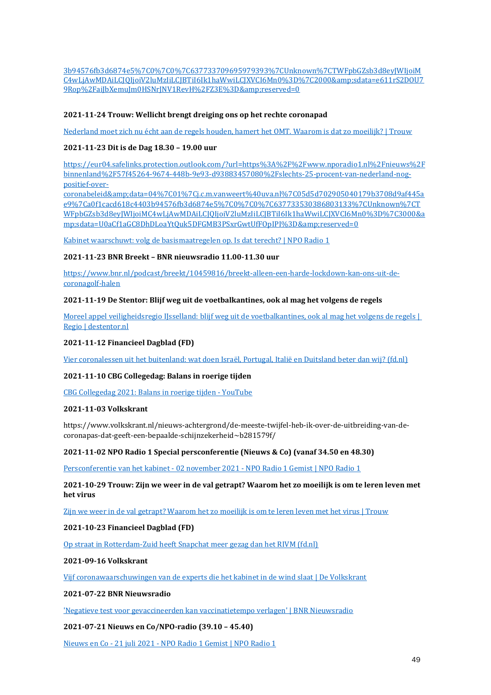[3b94576fb3d6874e5%7C0%7C0%7C637733709695979393%7CUnknown%7CTWFpbGZsb3d8eyJWIjoiM](https://eur04.safelinks.protection.outlook.com/?url=https%3A%2F%2Fnos.nl%2Fl%2F2406925&data=04%7C01%7Cj.c.m.vanweert%40uva.nl%7C78dfc148c8e44ab4c70908d9af6e1a9c%7Ca0f1cacd618c4403b94576fb3d6874e5%7C0%7C0%7C637733709695979393%7CUnknown%7CTWFpbGZsb3d8eyJWIjoiMC4wLjAwMDAiLCJQIjoiV2luMzIiLCJBTiI6Ik1haWwiLCJXVCI6Mn0%3D%7C2000&sdata=e611rS2DOU79Rop%2FaiJbXemuJm0HSNrJNV1RevH%2FZ3E%3D&reserved=0) [C4wLjAwMDAiLCJQIjoiV2luMzIiLCJBTiI6Ik1haWwiLCJXVCI6Mn0%3D%7C2000&sdata=e611rS2DOU7](https://eur04.safelinks.protection.outlook.com/?url=https%3A%2F%2Fnos.nl%2Fl%2F2406925&data=04%7C01%7Cj.c.m.vanweert%40uva.nl%7C78dfc148c8e44ab4c70908d9af6e1a9c%7Ca0f1cacd618c4403b94576fb3d6874e5%7C0%7C0%7C637733709695979393%7CUnknown%7CTWFpbGZsb3d8eyJWIjoiMC4wLjAwMDAiLCJQIjoiV2luMzIiLCJBTiI6Ik1haWwiLCJXVCI6Mn0%3D%7C2000&sdata=e611rS2DOU79Rop%2FaiJbXemuJm0HSNrJNV1RevH%2FZ3E%3D&reserved=0) 9Rop%2FaiJbXemuJm0HSNrJNV1RevH%2FZ3E%3D&amp:reserved=0

## **2021-11-24 Trouw: Wellicht brengt dreiging ons op het rechte coronapad**

[Nederland moet zich nu écht aan de regels houden, hamert het OMT. Waarom is dat zo moeilijk? | Trouw](https://www.trouw.nl/binnenland/nederland-moet-zich-nu-echt-aan-de-regels-houden-hamert-het-omt-waarom-is-dat-zo-moeilijk~b838b5ae/)

## **2021-11-23 Dit is de Dag 18.30 – 19.00 uur**

[https://eur04.safelinks.protection.outlook.com/?url=https%3A%2F%2Fwww.nporadio1.nl%2Fnieuws%2F](https://eur04.safelinks.protection.outlook.com/?url=https%3A%2F%2Fwww.nporadio1.nl%2Fnieuws%2Fbinnenland%2F57f45264-9674-448b-9e93-d93883457080%2Fslechts-25-procent-van-nederland-nog-positief-over-coronabeleid&data=04%7C01%7Cj.c.m.vanweert%40uva.nl%7C05d5d702905040179b3708d9af445ae9%7Ca0f1cacd618c4403b94576fb3d6874e5%7C0%7C0%7C637733530386803133%7CUnknown%7CTWFpbGZsb3d8eyJWIjoiMC4wLjAwMDAiLCJQIjoiV2luMzIiLCJBTiI6Ik1haWwiLCJXVCI6Mn0%3D%7C3000&sdata=U0aCf1aGC8DhDLoaYtQuk5DFGMB3PSxrGwtUfFOpIPI%3D&reserved=0) [binnenland%2F57f45264-9674-448b-9e93-d93883457080%2Fslechts-25-procent-van-nederland-nog](https://eur04.safelinks.protection.outlook.com/?url=https%3A%2F%2Fwww.nporadio1.nl%2Fnieuws%2Fbinnenland%2F57f45264-9674-448b-9e93-d93883457080%2Fslechts-25-procent-van-nederland-nog-positief-over-coronabeleid&data=04%7C01%7Cj.c.m.vanweert%40uva.nl%7C05d5d702905040179b3708d9af445ae9%7Ca0f1cacd618c4403b94576fb3d6874e5%7C0%7C0%7C637733530386803133%7CUnknown%7CTWFpbGZsb3d8eyJWIjoiMC4wLjAwMDAiLCJQIjoiV2luMzIiLCJBTiI6Ik1haWwiLCJXVCI6Mn0%3D%7C3000&sdata=U0aCf1aGC8DhDLoaYtQuk5DFGMB3PSxrGwtUfFOpIPI%3D&reserved=0)[positief-over-](https://eur04.safelinks.protection.outlook.com/?url=https%3A%2F%2Fwww.nporadio1.nl%2Fnieuws%2Fbinnenland%2F57f45264-9674-448b-9e93-d93883457080%2Fslechts-25-procent-van-nederland-nog-positief-over-coronabeleid&data=04%7C01%7Cj.c.m.vanweert%40uva.nl%7C05d5d702905040179b3708d9af445ae9%7Ca0f1cacd618c4403b94576fb3d6874e5%7C0%7C0%7C637733530386803133%7CUnknown%7CTWFpbGZsb3d8eyJWIjoiMC4wLjAwMDAiLCJQIjoiV2luMzIiLCJBTiI6Ik1haWwiLCJXVCI6Mn0%3D%7C3000&sdata=U0aCf1aGC8DhDLoaYtQuk5DFGMB3PSxrGwtUfFOpIPI%3D&reserved=0)

[coronabeleid&data=04%7C01%7Cj.c.m.vanweert%40uva.nl%7C05d5d702905040179b3708d9af445a](https://eur04.safelinks.protection.outlook.com/?url=https%3A%2F%2Fwww.nporadio1.nl%2Fnieuws%2Fbinnenland%2F57f45264-9674-448b-9e93-d93883457080%2Fslechts-25-procent-van-nederland-nog-positief-over-coronabeleid&data=04%7C01%7Cj.c.m.vanweert%40uva.nl%7C05d5d702905040179b3708d9af445ae9%7Ca0f1cacd618c4403b94576fb3d6874e5%7C0%7C0%7C637733530386803133%7CUnknown%7CTWFpbGZsb3d8eyJWIjoiMC4wLjAwMDAiLCJQIjoiV2luMzIiLCJBTiI6Ik1haWwiLCJXVCI6Mn0%3D%7C3000&sdata=U0aCf1aGC8DhDLoaYtQuk5DFGMB3PSxrGwtUfFOpIPI%3D&reserved=0) [e9%7Ca0f1cacd618c4403b94576fb3d6874e5%7C0%7C0%7C637733530386803133%7CUnknown%7CT](https://eur04.safelinks.protection.outlook.com/?url=https%3A%2F%2Fwww.nporadio1.nl%2Fnieuws%2Fbinnenland%2F57f45264-9674-448b-9e93-d93883457080%2Fslechts-25-procent-van-nederland-nog-positief-over-coronabeleid&data=04%7C01%7Cj.c.m.vanweert%40uva.nl%7C05d5d702905040179b3708d9af445ae9%7Ca0f1cacd618c4403b94576fb3d6874e5%7C0%7C0%7C637733530386803133%7CUnknown%7CTWFpbGZsb3d8eyJWIjoiMC4wLjAwMDAiLCJQIjoiV2luMzIiLCJBTiI6Ik1haWwiLCJXVCI6Mn0%3D%7C3000&sdata=U0aCf1aGC8DhDLoaYtQuk5DFGMB3PSxrGwtUfFOpIPI%3D&reserved=0) [WFpbGZsb3d8eyJWIjoiMC4wLjAwMDAiLCJQIjoiV2luMzIiLCJBTiI6Ik1haWwiLCJXVCI6Mn0%3D%7C3000&a](https://eur04.safelinks.protection.outlook.com/?url=https%3A%2F%2Fwww.nporadio1.nl%2Fnieuws%2Fbinnenland%2F57f45264-9674-448b-9e93-d93883457080%2Fslechts-25-procent-van-nederland-nog-positief-over-coronabeleid&data=04%7C01%7Cj.c.m.vanweert%40uva.nl%7C05d5d702905040179b3708d9af445ae9%7Ca0f1cacd618c4403b94576fb3d6874e5%7C0%7C0%7C637733530386803133%7CUnknown%7CTWFpbGZsb3d8eyJWIjoiMC4wLjAwMDAiLCJQIjoiV2luMzIiLCJBTiI6Ik1haWwiLCJXVCI6Mn0%3D%7C3000&sdata=U0aCf1aGC8DhDLoaYtQuk5DFGMB3PSxrGwtUfFOpIPI%3D&reserved=0) [mp;sdata=U0aCf1aGC8DhDLoaYtQuk5DFGMB3PSxrGwtUfFOpIPI%3D&reserved=0](https://eur04.safelinks.protection.outlook.com/?url=https%3A%2F%2Fwww.nporadio1.nl%2Fnieuws%2Fbinnenland%2F57f45264-9674-448b-9e93-d93883457080%2Fslechts-25-procent-van-nederland-nog-positief-over-coronabeleid&data=04%7C01%7Cj.c.m.vanweert%40uva.nl%7C05d5d702905040179b3708d9af445ae9%7Ca0f1cacd618c4403b94576fb3d6874e5%7C0%7C0%7C637733530386803133%7CUnknown%7CTWFpbGZsb3d8eyJWIjoiMC4wLjAwMDAiLCJQIjoiV2luMzIiLCJBTiI6Ik1haWwiLCJXVCI6Mn0%3D%7C3000&sdata=U0aCf1aGC8DhDLoaYtQuk5DFGMB3PSxrGwtUfFOpIPI%3D&reserved=0)

[Kabinet waarschuwt: volg de basismaatregelen op. Is dat terecht? | NPO Radio 1](https://www.nporadio1.nl/fragmenten/dit-is-de-dag/bf6c73ab-7e9c-4d28-9ae6-82e2e420359b/2021-11-23-kabinet-waarschuwt-volg-de-basismaatregelen-op-is-dat-terecht)

#### **2021-11-23 BNR Breekt – BNR nieuwsradio 11.00-11.30 uur**

[https://www.bnr.nl/podcast/breekt/10459816/breekt-alleen-een-harde-lockdown-kan-ons-uit-de](https://www.bnr.nl/podcast/breekt/10459816/breekt-alleen-een-harde-lockdown-kan-ons-uit-de-coronagolf-halen)[coronagolf-halen](https://www.bnr.nl/podcast/breekt/10459816/breekt-alleen-een-harde-lockdown-kan-ons-uit-de-coronagolf-halen)

## **2021-11-19 De Stentor: Blijf weg uit de voetbalkantines, ook al mag het volgens de regels**

[Moreel appel veiligheidsregio IJsselland: blijf weg uit de voetbalkantines, ook al mag het volgens de regels |](https://www.destentor.nl/regio/moreel-appel-veiligheidsregio-ijsselland-blijf-weg-uit-de-voetbalkantines-ook-al-mag-het-volgens-de-regels~abab304f/)  [Regio | destentor.nl](https://www.destentor.nl/regio/moreel-appel-veiligheidsregio-ijsselland-blijf-weg-uit-de-voetbalkantines-ook-al-mag-het-volgens-de-regels~abab304f/)

### **2021-11-12 Financieel Dagblad (FD)**

[Vier coronalessen uit het buitenland: wat doen Israël, Portugal, Italië en Duitsland beter dan wij? \(fd.nl\)](https://fd.nl/samenleving/1419252/vier-coronalessen-uit-het-buitenland-wat-doen-israel-portugal-italie-en-duitsland-beter-dan-wij-wwk1cacQM7MB)

#### **2021-11-10 CBG Collegedag: Balans in roerige tijden**

[CBG Collegedag 2021: Balans in roerige tijden -](https://www.youtube.com/watch?v=sUyAr3a70B8) YouTube

## **2021-11-03 Volkskrant**

https://www.volkskrant.nl/nieuws-achtergrond/de-meeste-twijfel-heb-ik-over-de-uitbreiding-van-decoronapas-dat-geeft-een-bepaalde-schijnzekerheid~b281579f/

#### **2021-11-02 NPO Radio 1 Special persconferentie (Nieuws & Co) (vanaf 34.50 en 48.30)**

Persconferentie van het kabinet - 02 november 2021 - [NPO Radio 1 Gemist | NPO Radio 1](https://www.nporadio1.nl/uitzendingen/npo-radio-1-special/59326c35-9efa-4078-a44e-8b699134a0ae/2021-11-02-persconferentie-van-het-kabinet)

## **2021-10-29 Trouw: Zijn we weer in de val getrapt? Waarom het zo moeilijk is om te leren leven met het virus**

[Zijn we weer in de val getrapt? Waarom het zo moeilijk is om te leren leven met het virus | Trouw](https://www.trouw.nl/zorg/zijn-we-weer-in-de-val-getrapt-waarom-het-zo-moeilijk-is-om-te-leren-leven-met-het-virus~bea6631f/)

## **2021-10-23 Financieel Dagblad (FD)**

[Op straat in Rotterdam-Zuid heeft Snapchat meer gezag dan het RIVM \(fd.nl\)](https://fd.nl/samenleving/1416496/op-straat-in-rotterdam-zuid-heeft-snapchat-meer-gezag-dan-het-rivm-jwj1caeAXM4t)

#### **2021-09-16 Volkskrant**

[Vijf coronawaarschuwingen van de experts die het kabinet in de wind slaat | De Volkskrant](https://www.volkskrant.nl/nieuws-achtergrond/vijf-coronawaarschuwingen-van-de-experts-die-het-kabinet-in-de-wind-slaat~b3a26b523/)

#### **2021-07-22 BNR Nieuwsradio**

['Negatieve test voor gevaccineerden kan vaccinatietempo verlagen' | BNR Nieuwsradio](https://www.bnr.nl/nieuws/gezondheid/10448918/negatieve-test-voor-gevaccineerden-kan-vaccinatietempo-verlagen)

## **2021-07-21 Nieuws en Co/NPO-radio (39.10 – 45.40)**

Nieuws en Co - 21 juli 2021 - [NPO Radio 1 Gemist | NPO Radio 1](https://www.nporadio1.nl/uitzendingen/nieuws-en-co/fa123ba8-4190-49ae-96ca-60a4c7ca998a/2021-07-21-nieuws-en-co)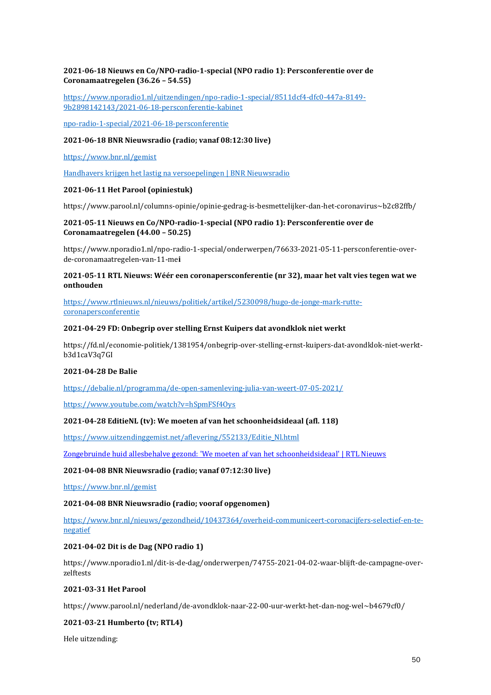## **2021-06-18 Nieuws en Co/NPO-radio-1-special (NPO radio 1): Persconferentie over de Coronamaatregelen (36.26 – 54.55)**

[https://www.nporadio1.nl/uitzendingen/npo-radio-1-special/8511dcf4-dfc0-447a-8149-](https://www.nporadio1.nl/uitzendingen/npo-radio-1-special/8511dcf4-dfc0-447a-8149-9b2898142143/2021-06-18-persconferentie-kabinet) [9b2898142143/2021-06-18-persconferentie-kabinet](https://www.nporadio1.nl/uitzendingen/npo-radio-1-special/8511dcf4-dfc0-447a-8149-9b2898142143/2021-06-18-persconferentie-kabinet)

[npo-radio-1-special/2021-06-18-persconferentie](https://www.nporadio1.nl/uitzendingen/npo-radio-1-special/8511dcf4-dfc0-447a-8149-9b2898142143/2021-06-18-persconferentie-kabinet)

#### **2021-06-18 BNR Nieuwsradio (radio; vanaf 08:12:30 live)**

<https://www.bnr.nl/gemist>

[Handhavers krijgen het lastig na versoepelingen | BNR Nieuwsradio](https://www.bnr.nl/nieuws/gezondheid/10445085/handhavers-krijgen-het-lastig-na-versoepelingen)

#### **2021-06-11 Het Parool (opiniestuk)**

https://www.parool.nl/columns-opinie/opinie-gedrag-is-besmettelijker-dan-het-coronavirus~b2c82ffb/

### **2021-05-11 Nieuws en Co/NPO-radio-1-special (NPO radio 1): Persconferentie over de Coronamaatregelen (44.00 – 50.25)**

https://www.nporadio1.nl/npo-radio-1-special/onderwerpen/76633-2021-05-11-persconferentie-overde-coronamaatregelen-van-11-me**i**

### **2021-05-11 RTL Nieuws: Wéér een coronapersconferentie (nr 32), maar het valt vies tegen wat we onthouden**

[https://www.rtlnieuws.nl/nieuws/politiek/artikel/5230098/hugo-de-jonge-mark-rutte](https://www.rtlnieuws.nl/nieuws/politiek/artikel/5230098/hugo-de-jonge-mark-rutte-coronapersconferentie)[coronapersconferentie](https://www.rtlnieuws.nl/nieuws/politiek/artikel/5230098/hugo-de-jonge-mark-rutte-coronapersconferentie)

#### **2021-04-29 FD: Onbegrip over stelling Ernst Kuipers dat avondklok niet werkt**

https://fd.nl/economie-politiek/1381954/onbegrip-over-stelling-ernst-kuipers-dat-avondklok-niet-werktb3d1caV3q7GI

#### **2021-04-28 De Balie**

<https://debalie.nl/programma/de-open-samenleving-julia-van-weert-07-05-2021/>

<https://www.youtube.com/watch?v=hSpmFSf4Oys>

## **2021-04-28 EditieNL (tv): We moeten af van het schoonheidsideaal (afl. 118)**

[https://www.uitzendinggemist.net/aflevering/552133/Editie\\_Nl.html](https://www.uitzendinggemist.net/aflevering/552133/Editie_Nl.html)

[Zongebruinde huid allesbehalve gezond: 'We moeten af van het schoonheidsideaal' | RTL Nieuws](https://www.rtlnieuws.nl/editienl/artikel/5227721/zongebruinde-huid-niet-gezond-schoonheidsideaal-kankerverwekkend)

#### **2021-04-08 BNR Nieuwsradio (radio; vanaf 07:12:30 live)**

<https://www.bnr.nl/gemist>

#### **2021-04-08 BNR Nieuwsradio (radio; vooraf opgenomen)**

[https://www.bnr.nl/nieuws/gezondheid/10437364/overheid-communiceert-coronacijfers-selectief-en-te](https://www.bnr.nl/nieuws/gezondheid/10437364/overheid-communiceert-coronacijfers-selectief-en-te-negatief)[negatief](https://www.bnr.nl/nieuws/gezondheid/10437364/overheid-communiceert-coronacijfers-selectief-en-te-negatief)

## **2021-04-02 Dit is de Dag (NPO radio 1)**

https://www.nporadio1.nl/dit-is-de-dag/onderwerpen/74755-2021-04-02-waar-blijft-de-campagne-overzelftests

### **2021-03-31 Het Parool**

https://www.parool.nl/nederland/de-avondklok-naar-22-00-uur-werkt-het-dan-nog-wel~b4679cf0/

## **2021-03-21 Humberto (tv; RTL4)**

Hele uitzending: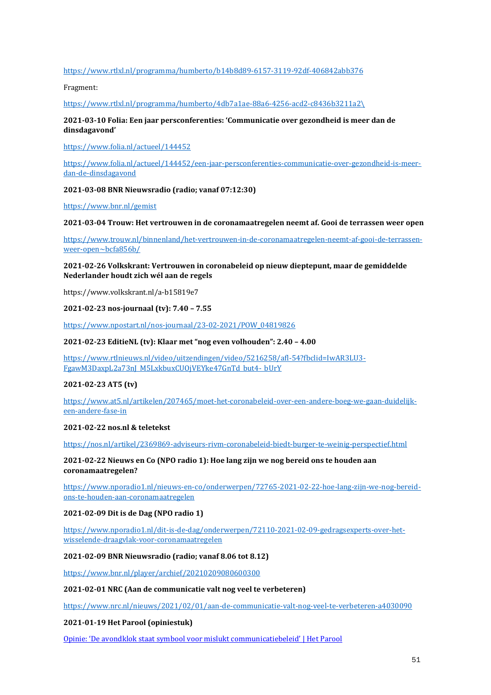### <https://www.rtlxl.nl/programma/humberto/b14b8d89-6157-3119-92df-406842abb376>

Fragment:

[https://www.rtlxl.nl/programma/humberto/4db7a1ae-88a6-4256-acd2-c8436b3211a2\](https://www.rtlxl.nl/programma/humberto/4db7a1ae-88a6-4256-acd2-c8436b3211a2/)

## **2021-03-10 Folia: Een jaar persconferenties: 'Communicatie over gezondheid is meer dan de dinsdagavond'**

<https://www.folia.nl/actueel/144452>

[https://www.folia.nl/actueel/144452/een-jaar-persconferenties-communicatie-over-gezondheid-is-meer](https://www.folia.nl/actueel/144452/een-jaar-persconferenties-communicatie-over-gezondheid-is-meer-dan-de-dinsdagavond)[dan-de-dinsdagavond](https://www.folia.nl/actueel/144452/een-jaar-persconferenties-communicatie-over-gezondheid-is-meer-dan-de-dinsdagavond)

#### **2021-03-08 BNR Nieuwsradio (radio; vanaf 07:12:30)**

<https://www.bnr.nl/gemist>

#### **2021-03-04 Trouw: Het vertrouwen in de coronamaatregelen neemt af. Gooi de terrassen weer open**

[https://www.trouw.nl/binnenland/het-vertrouwen-in-de-coronamaatregelen-neemt-af-gooi-de-terrassen](https://www.trouw.nl/binnenland/het-vertrouwen-in-de-coronamaatregelen-neemt-af-gooi-de-terrassen-weer-open~bcfa856b/)[weer-open~bcfa856b/](https://www.trouw.nl/binnenland/het-vertrouwen-in-de-coronamaatregelen-neemt-af-gooi-de-terrassen-weer-open~bcfa856b/)

### **2021-02-26 Volkskrant: Vertrouwen in coronabeleid op nieuw dieptepunt, maar de gemiddelde Nederlander houdt zich wél aan de regels**

https://www.volkskrant.nl/a-b15819e7

## **2021-02-23 nos-journaal (tv): 7.40 – 7.55**

[https://www.npostart.nl/nos-journaal/23-02-2021/POW\\_04819826](https://www.npostart.nl/nos-journaal/23-02-2021/POW_04819826)

#### **2021-02-23 EditieNL (tv): Klaar met "nog even volhouden": 2.40 – 4.00**

[https://www.rtlnieuws.nl/video/uitzendingen/video/5216258/afl-54?fbclid=IwAR3LU3-](https://www.rtlnieuws.nl/video/uitzendingen/video/5216258/afl-54?fbclid=IwAR3LU3-FgawM3DaxpL2a73nJ_M5LxkbuxCUOjVEYke47GnTd_but4-_bUrY) [FgawM3DaxpL2a73nJ\\_M5LxkbuxCUOjVEYke47GnTd\\_but4-\\_bUrY](https://www.rtlnieuws.nl/video/uitzendingen/video/5216258/afl-54?fbclid=IwAR3LU3-FgawM3DaxpL2a73nJ_M5LxkbuxCUOjVEYke47GnTd_but4-_bUrY)

## **2021-02-23 AT5 (tv)**

[https://www.at5.nl/artikelen/207465/moet-het-coronabeleid-over-een-andere-boeg-we-gaan-duidelijk](https://www.at5.nl/artikelen/207465/moet-het-coronabeleid-over-een-andere-boeg-we-gaan-duidelijk-een-andere-fase-in)[een-andere-fase-in](https://www.at5.nl/artikelen/207465/moet-het-coronabeleid-over-een-andere-boeg-we-gaan-duidelijk-een-andere-fase-in)

#### **2021-02-22 nos.nl & teletekst**

<https://nos.nl/artikel/2369869-adviseurs-rivm-coronabeleid-biedt-burger-te-weinig-perspectief.html>

## **2021-02-22 Nieuws en Co (NPO radio 1): Hoe lang zijn we nog bereid ons te houden aan coronamaatregelen?**

[https://www.nporadio1.nl/nieuws-en-co/onderwerpen/72765-2021-02-22-hoe-lang-zijn-we-nog-bereid](https://www.nporadio1.nl/nieuws-en-co/onderwerpen/72765-2021-02-22-hoe-lang-zijn-we-nog-bereid-ons-te-houden-aan-coronamaatregelen)[ons-te-houden-aan-coronamaatregelen](https://www.nporadio1.nl/nieuws-en-co/onderwerpen/72765-2021-02-22-hoe-lang-zijn-we-nog-bereid-ons-te-houden-aan-coronamaatregelen)

## **2021-02-09 Dit is de Dag (NPO radio 1)**

[https://www.nporadio1.nl/dit-is-de-dag/onderwerpen/72110-2021-02-09-gedragsexperts-over-het](https://www.nporadio1.nl/dit-is-de-dag/onderwerpen/72110-2021-02-09-gedragsexperts-over-het-wisselende-draagvlak-voor-coronamaatregelen)[wisselende-draagvlak-voor-coronamaatregelen](https://www.nporadio1.nl/dit-is-de-dag/onderwerpen/72110-2021-02-09-gedragsexperts-over-het-wisselende-draagvlak-voor-coronamaatregelen)

## **2021-02-09 BNR Nieuwsradio (radio; vanaf 8.06 tot 8.12)**

<https://www.bnr.nl/player/archief/20210209080600300>

#### **2021-02-01 NRC (Aan de communicatie valt nog veel te verbeteren)**

<https://www.nrc.nl/nieuws/2021/02/01/aan-de-communicatie-valt-nog-veel-te-verbeteren-a4030090>

## **2021-01-19 Het Parool (opiniestuk)**

Opi[nie: 'De avondklok staat symbool voor mislukt communicatiebeleid' | Het Parool](https://www.parool.nl/columns-opinie/opinie-de-avondklok-staat-symbool-voor-mislukt-communicatiebeleid~b001eced/?utm_campaign=shared_earned&utm_medium=social&utm_source=linkedin)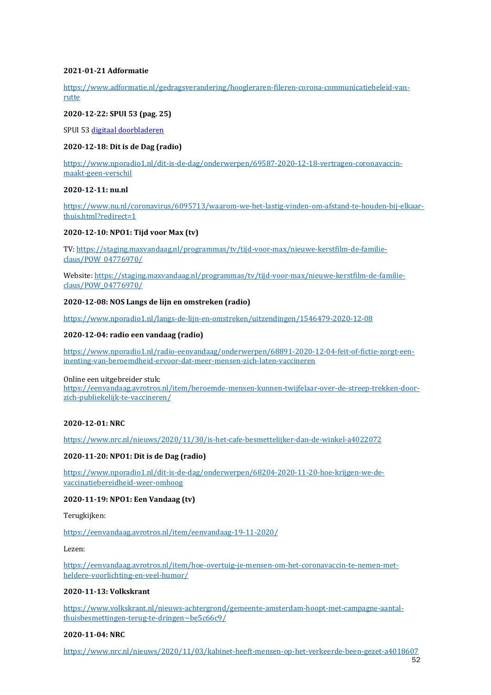## **2021-01-21 Adformatie**

[https://www.adformatie.nl/gedragsverandering/hoogleraren-fileren-corona-communicatiebeleid-van](https://www.adformatie.nl/gedragsverandering/hoogleraren-fileren-corona-communicatiebeleid-van-rutte)[rutte](https://www.adformatie.nl/gedragsverandering/hoogleraren-fileren-corona-communicatiebeleid-van-rutte)

## **2020-12-22: SPUI 53 (pag. 25)**

SPUI 53 [digitaal doorbladeren](https://eur04.safelinks.protection.outlook.com/?url=https%3A%2F%2Fcdn.uva.nl%2F1%2F5%2F1537%2F27%2FKkU1mWXsmPZQPFcLASOI6eboH3cyCdxpWv1MH5_upK4XULHVfq4tGwcff5C9_7AT3cbgZ-w3kfUofkUQY4hjMoS9XDrISNhdvPDeEf3JwdHPyo9K7xXvsI1SB87cwDdu_shc4v3WNAAkZ0gwlNiofIm_PwpKWWvlh6UsdEmX&data=04%7C01%7Crelatiebeheer%40uva.nl%7C6695de161e584d4f450f08d8a34641a7%7Ca0f1cacd618c4403b94576fb3d6874e5%7C1%7C0%7C637438869432311405%7CUnknown%7CTWFpbGZsb3d8eyJWIjoiMC4wLjAwMDAiLCJQIjoiV2luMzIiLCJBTiI6Ik1haWwiLCJXVCI6Mn0%3D%7C1000&sdata=B%2F7L9zjT8dSHSDB115%2Fng6LFiGGXDvGi9Yjv7K1WMQs%3D&reserved=0)

## **2020-12-18: Dit is de Dag (radio)**

[https://www.nporadio1.nl/dit-is-de-dag/onderwerpen/69587-2020-12-18-vertragen-coronavaccin](https://www.nporadio1.nl/dit-is-de-dag/onderwerpen/69587-2020-12-18-vertragen-coronavaccin-maakt-geen-verschil)[maakt-geen-verschil](https://www.nporadio1.nl/dit-is-de-dag/onderwerpen/69587-2020-12-18-vertragen-coronavaccin-maakt-geen-verschil)

## **2020-12-11: nu.nl**

[https://www.nu.nl/coronavirus/6095713/waarom-we-het-lastig-vinden-om-afstand-te-houden-bij-elkaar](https://www.nu.nl/coronavirus/6095713/waarom-we-het-lastig-vinden-om-afstand-te-houden-bij-elkaar-thuis.html?redirect=1)[thuis.html?redirect=1](https://www.nu.nl/coronavirus/6095713/waarom-we-het-lastig-vinden-om-afstand-te-houden-bij-elkaar-thuis.html?redirect=1)

#### **2020-12-10: NPO1: Tijd voor Max (tv)**

TV: [https://staging.maxvandaag.nl/programmas/tv/tijd-voor-max/nieuwe-kerstfilm-de-familie](https://staging.maxvandaag.nl/programmas/tv/tijd-voor-max/nieuwe-kerstfilm-de-familie-claus/POW_04776970/)[claus/POW\\_04776970/](https://staging.maxvandaag.nl/programmas/tv/tijd-voor-max/nieuwe-kerstfilm-de-familie-claus/POW_04776970/)

Website[: https://staging.maxvandaag.nl/programmas/tv/tijd-voor-max/nieuwe-kerstfilm-de-familie](https://staging.maxvandaag.nl/programmas/tv/tijd-voor-max/nieuwe-kerstfilm-de-familie-claus/POW_04776970/)[claus/POW\\_04776970/](https://staging.maxvandaag.nl/programmas/tv/tijd-voor-max/nieuwe-kerstfilm-de-familie-claus/POW_04776970/)

## **2020-12-08: NOS Langs de lijn en omstreken (radio)**

<https://www.nporadio1.nl/langs-de-lijn-en-omstreken/uitzendingen/1546479-2020-12-08>

#### **2020-12-04: radio een vandaag (radio)**

[https://www.nporadio1.nl/radio-eenvandaag/onderwerpen/68891-2020-12-04-feit-of-fictie-zorgt-een](https://www.nporadio1.nl/radio-eenvandaag/onderwerpen/68891-2020-12-04-feit-of-fictie-zorgt-een-inenting-van-beroemdheid-ervoor-dat-meer-mensen-zich-laten-vaccineren)[inenting-van-beroemdheid-ervoor-dat-meer-mensen-zich-laten-vaccineren](https://www.nporadio1.nl/radio-eenvandaag/onderwerpen/68891-2020-12-04-feit-of-fictie-zorgt-een-inenting-van-beroemdheid-ervoor-dat-meer-mensen-zich-laten-vaccineren)

#### Online een uitgebreider stuk:

[https://eenvandaag.avrotros.nl/item/beroemde-mensen-kunnen-twijfelaar-over-de-streep-trekken-door](https://eenvandaag.avrotros.nl/item/beroemde-mensen-kunnen-twijfelaar-over-de-streep-trekken-door-zich-publiekelijk-te-vaccineren/)[zich-publiekelijk-te-vaccineren/](https://eenvandaag.avrotros.nl/item/beroemde-mensen-kunnen-twijfelaar-over-de-streep-trekken-door-zich-publiekelijk-te-vaccineren/)

#### **2020-12-01: NRC**

[https://www.nrc.nl/nieuws/2020/11/30/is-het-cafe-besmettelijker-dan-de-winkel-a4022072](https://eur04.safelinks.protection.outlook.com/?url=https%3A%2F%2Fwww.nrc.nl%2Fnieuws%2F2020%2F11%2F30%2Fis-het-cafe-besmettelijker-dan-de-winkel-a4022072&data=04%7C01%7CJ.C.M.vanWeert%40uva.nl%7C546e7f4b5b27464de94508d89622e4fe%7Ca0f1cacd618c4403b94576fb3d6874e5%7C1%7C0%7C637424423900803367%7CUnknown%7CTWFpbGZsb3d8eyJWIjoiMC4wLjAwMDAiLCJQIjoiV2luMzIiLCJBTiI6Ik1haWwiLCJXVCI6Mn0%3D%7C1000&sdata=YGsH9y5ZOEXJMPAfbQ5ZzoCdrYqWlhB0wPFBZHb3MvE%3D&reserved=0)

#### **2020-11-20: NPO1: Dit is de Dag (radio)**

[https://www.nporadio1.nl/dit-is-de-dag/onderwerpen/68204-2020-11-20-hoe-krijgen-we-de](https://www.nporadio1.nl/dit-is-de-dag/onderwerpen/68204-2020-11-20-hoe-krijgen-we-de-vaccinatiebereidheid-weer-omhoog)[vaccinatiebereidheid-weer-omhoog](https://www.nporadio1.nl/dit-is-de-dag/onderwerpen/68204-2020-11-20-hoe-krijgen-we-de-vaccinatiebereidheid-weer-omhoog)

## **2020-11-19: NPO1: Een Vandaag (tv)**

Terugkijken:

## <https://eenvandaag.avrotros.nl/item/eenvandaag-19-11-2020/>

Lezen:

[https://eenvandaag.avrotros.nl/item/hoe-overtuig-je-mensen-om-het-coronavaccin-te-nemen-met](https://eenvandaag.avrotros.nl/item/hoe-overtuig-je-mensen-om-het-coronavaccin-te-nemen-met-heldere-voorlichting-en-veel-humor/)[heldere-voorlichting-en-veel-humor/](https://eenvandaag.avrotros.nl/item/hoe-overtuig-je-mensen-om-het-coronavaccin-te-nemen-met-heldere-voorlichting-en-veel-humor/)

## **2020-11-13: Volkskrant**

[https://www.volkskrant.nl/nieuws-achtergrond/gemeente-amsterdam-hoopt-met-campagne-aantal](https://eur04.safelinks.protection.outlook.com/?url=https:%2F%2Fwww.volkskrant.nl%2Fnieuws-achtergrond%2Fgemeente-amsterdam-hoopt-met-campagne-aantal-thuisbesmettingen-terug-te-dringen~be5c66c9%2F&data=04%7C01%7CJ.C.M.vanWeert%40uva.nl%7C90d780b12ecf49b6785708d887e02f57%7Ca0f1cacd618c4403b94576fb3d6874e5%7C1%7C0%7C637408744219541010%7CUnknown%7CTWFpbGZsb3d8eyJWIjoiMC4wLjAwMDAiLCJQIjoiV2luMzIiLCJBTiI6Ik1haWwiLCJXVCI6Mn0%3D%7C1000&sdata=6pWN8HmwP%2FDUQTUZ4VMvzSlywFSDfeJm6%2BXbIY%2BtFfQ%3D&reserved=0)[thuisbesmettingen-terug-te-dringen~be5c66c9/](https://eur04.safelinks.protection.outlook.com/?url=https:%2F%2Fwww.volkskrant.nl%2Fnieuws-achtergrond%2Fgemeente-amsterdam-hoopt-met-campagne-aantal-thuisbesmettingen-terug-te-dringen~be5c66c9%2F&data=04%7C01%7CJ.C.M.vanWeert%40uva.nl%7C90d780b12ecf49b6785708d887e02f57%7Ca0f1cacd618c4403b94576fb3d6874e5%7C1%7C0%7C637408744219541010%7CUnknown%7CTWFpbGZsb3d8eyJWIjoiMC4wLjAwMDAiLCJQIjoiV2luMzIiLCJBTiI6Ik1haWwiLCJXVCI6Mn0%3D%7C1000&sdata=6pWN8HmwP%2FDUQTUZ4VMvzSlywFSDfeJm6%2BXbIY%2BtFfQ%3D&reserved=0)

### **2020-11-04: NRC**

<https://www.nrc.nl/nieuws/2020/11/03/kabinet-heeft-mensen-op-het-verkeerde-been-gezet-a4018607>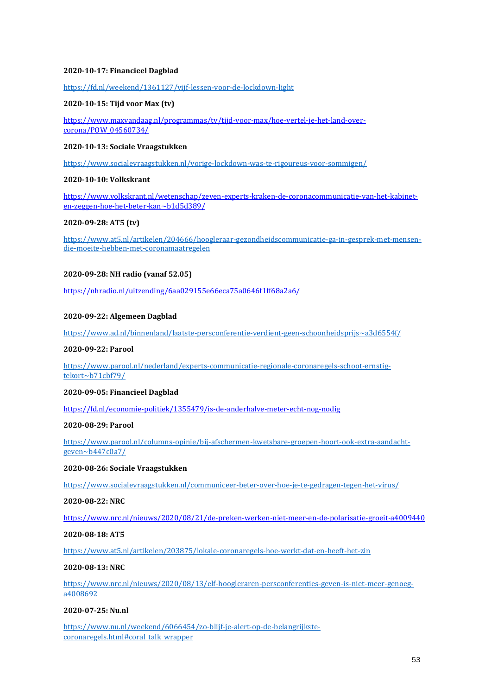### **2020-10-17: Financieel Dagblad**

<https://fd.nl/weekend/1361127/vijf-lessen-voor-de-lockdown-light>

#### **2020-10-15: Tijd voor Max (tv)**

[https://www.maxvandaag.nl/programmas/tv/tijd-voor-max/hoe-vertel-je-het-land-over](https://www.maxvandaag.nl/programmas/tv/tijd-voor-max/hoe-vertel-je-het-land-over-corona/POW_04560734/)[corona/POW\\_04560734/](https://www.maxvandaag.nl/programmas/tv/tijd-voor-max/hoe-vertel-je-het-land-over-corona/POW_04560734/)

#### **2020-10-13: Sociale Vraagstukken**

<https://www.socialevraagstukken.nl/vorige-lockdown-was-te-rigoureus-voor-sommigen/>

## **2020-10-10: Volkskrant**

[https://www.volkskrant.nl/wetenschap/zeven-experts-kraken-de-coronacommunicatie-van-het-kabinet](https://www.volkskrant.nl/wetenschap/zeven-experts-kraken-de-coronacommunicatie-van-het-kabinet-en-zeggen-hoe-het-beter-kan~b1d5d389/)[en-zeggen-hoe-het-beter-kan~b1d5d389/](https://www.volkskrant.nl/wetenschap/zeven-experts-kraken-de-coronacommunicatie-van-het-kabinet-en-zeggen-hoe-het-beter-kan~b1d5d389/)

## **2020-09-28: AT5 (tv)**

[https://www.at5.nl/artikelen/204666/hoogleraar-gezondheidscommunicatie-ga-in-gesprek-met-mensen](https://www.at5.nl/artikelen/204666/hoogleraar-gezondheidscommunicatie-ga-in-gesprek-met-mensen-die-moeite-hebben-met-coronamaatregelen)[die-moeite-hebben-met-coronamaatregelen](https://www.at5.nl/artikelen/204666/hoogleraar-gezondheidscommunicatie-ga-in-gesprek-met-mensen-die-moeite-hebben-met-coronamaatregelen)

#### **2020-09-28: NH radio (vanaf 52.05)**

<https://nhradio.nl/uitzending/6aa029155e66eca75a0646f1ff68a2a6/>

## **2020-09-22: Algemeen Dagblad**

<https://www.ad.nl/binnenland/laatste-persconferentie-verdient-geen-schoonheidsprijs~a3d6554f/>

#### **2020-09-22: Parool**

[https://www.parool.nl/nederland/experts-communicatie-regionale-coronaregels-schoot-ernstig](https://www.parool.nl/nederland/experts-communicatie-regionale-coronaregels-schoot-ernstig-tekort~b71cbf79/)[tekort~b71cbf79/](https://www.parool.nl/nederland/experts-communicatie-regionale-coronaregels-schoot-ernstig-tekort~b71cbf79/)

#### **2020-09-05: Financieel Dagblad**

<https://fd.nl/economie-politiek/1355479/is-de-anderhalve-meter-echt-nog-nodig>

#### **2020-08-29: Parool**

[https://www.parool.nl/columns-opinie/bij-afschermen-kwetsbare-groepen-hoort-ook-extra-aandacht](https://www.parool.nl/columns-opinie/bij-afschermen-kwetsbare-groepen-hoort-ook-extra-aandacht-geven~b447c0a7/)[geven~b447c0a7/](https://www.parool.nl/columns-opinie/bij-afschermen-kwetsbare-groepen-hoort-ook-extra-aandacht-geven~b447c0a7/)

#### **2020-08-26: Sociale Vraagstukken**

<https://www.socialevraagstukken.nl/communiceer-beter-over-hoe-je-te-gedragen-tegen-het-virus/>

#### **2020-08-22: NRC**

<https://www.nrc.nl/nieuws/2020/08/21/de-preken-werken-niet-meer-en-de-polarisatie-groeit-a4009440>

### **2020-08-18: AT5**

<https://www.at5.nl/artikelen/203875/lokale-coronaregels-hoe-werkt-dat-en-heeft-het-zin>

#### **2020-08-13: NRC**

[https://www.nrc.nl/nieuws/2020/08/13/elf-hoogleraren-persconferenties-geven-is-niet-meer-genoeg](https://www.nrc.nl/nieuws/2020/08/13/elf-hoogleraren-persconferenties-geven-is-niet-meer-genoeg-a4008692)[a4008692](https://www.nrc.nl/nieuws/2020/08/13/elf-hoogleraren-persconferenties-geven-is-niet-meer-genoeg-a4008692)

## **2020-07-25: Nu.nl**

[https://www.nu.nl/weekend/6066454/zo-blijf-je-alert-op-de-belangrijkste](https://www.nu.nl/weekend/6066454/zo-blijf-je-alert-op-de-belangrijkste-coronaregels.html#coral_talk_wrapper)[coronaregels.html#coral\\_talk\\_wrapper](https://www.nu.nl/weekend/6066454/zo-blijf-je-alert-op-de-belangrijkste-coronaregels.html#coral_talk_wrapper)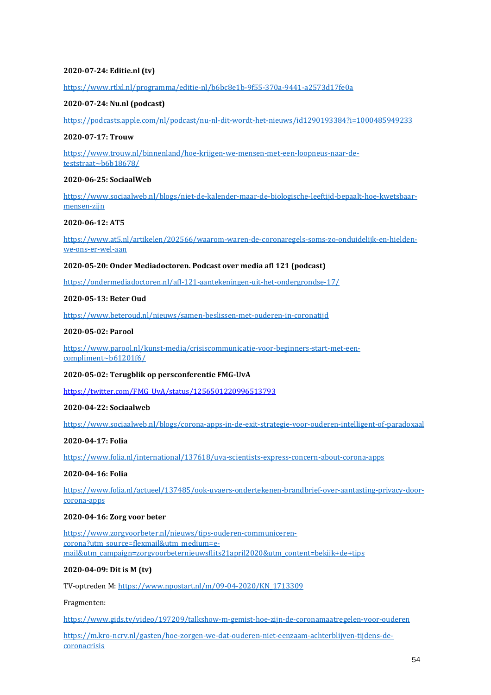## **2020-07-24: Editie.nl (tv)**

<https://www.rtlxl.nl/programma/editie-nl/b6bc8e1b-9f55-370a-9441-a2573d17fe0a>

## **2020-07-24: Nu.nl (podcast)**

<https://podcasts.apple.com/nl/podcast/nu-nl-dit-wordt-het-nieuws/id1290193384?i=1000485949233>

#### **2020-07-17: Trouw**

[https://www.trouw.nl/binnenland/hoe-krijgen-we-mensen-met-een-loopneus-naar-de](https://www.trouw.nl/binnenland/hoe-krijgen-we-mensen-met-een-loopneus-naar-de-teststraat~b6b18678/)[teststraat~b6b18678/](https://www.trouw.nl/binnenland/hoe-krijgen-we-mensen-met-een-loopneus-naar-de-teststraat~b6b18678/)

## **2020-06-25: SociaalWeb**

[https://www.sociaalweb.nl/blogs/niet-de-kalender-maar-de-biologische-leeftijd-bepaalt-hoe-kwetsbaar](https://www.sociaalweb.nl/blogs/niet-de-kalender-maar-de-biologische-leeftijd-bepaalt-hoe-kwetsbaar-mensen-zijn)[mensen-zijn](https://www.sociaalweb.nl/blogs/niet-de-kalender-maar-de-biologische-leeftijd-bepaalt-hoe-kwetsbaar-mensen-zijn)

#### **2020-06-12: AT5**

[https://www.at5.nl/artikelen/202566/waarom-waren-de-coronaregels-soms-zo-onduidelijk-en-hielden](https://www.at5.nl/artikelen/202566/waarom-waren-de-coronaregels-soms-zo-onduidelijk-en-hielden-we-ons-er-wel-aan)[we-ons-er-wel-aan](https://www.at5.nl/artikelen/202566/waarom-waren-de-coronaregels-soms-zo-onduidelijk-en-hielden-we-ons-er-wel-aan)

#### **2020-05-20: Onder Mediadoctoren. Podcast over media afl 121 (podcast)**

<https://ondermediadoctoren.nl/afl-121-aantekeningen-uit-het-ondergrondse-17/>

#### **2020-05-13: Beter Oud**

<https://www.beteroud.nl/nieuws/samen-beslissen-met-ouderen-in-coronatijd>

## **2020-05-02: Parool**

[https://www.parool.nl/kunst-media/crisiscommunicatie-voor-beginners-start-met-een](https://www.parool.nl/kunst-media/crisiscommunicatie-voor-beginners-start-met-een-compliment~b61201f6/)[compliment~b61201f6/](https://www.parool.nl/kunst-media/crisiscommunicatie-voor-beginners-start-met-een-compliment~b61201f6/)

## **2020-05-02: Terugblik op persconferentie FMG-UvA**

[https://twitter.com/FMG\\_UvA/status/1256501220996513793](https://twitter.com/FMG_UvA/status/1256501220996513793)

## **2020-04-22: Sociaalweb**

<https://www.sociaalweb.nl/blogs/corona-apps-in-de-exit-strategie-voor-ouderen-intelligent-of-paradoxaal>

## **2020-04-17: Folia**

<https://www.folia.nl/international/137618/uva-scientists-express-concern-about-corona-apps>

## **2020-04-16: Folia**

[https://www.folia.nl/actueel/137485/ook-uvaers-ondertekenen-brandbrief-over-aantasting-privacy-door](https://www.folia.nl/actueel/137485/ook-uvaers-ondertekenen-brandbrief-over-aantasting-privacy-door-corona-apps)[corona-apps](https://www.folia.nl/actueel/137485/ook-uvaers-ondertekenen-brandbrief-over-aantasting-privacy-door-corona-apps)

#### **2020-04-16: Zorg voor beter**

[https://www.zorgvoorbeter.nl/nieuws/tips-ouderen-communiceren](https://www.zorgvoorbeter.nl/nieuws/tips-ouderen-communiceren-corona?utm_source=flexmail&utm_medium=e-mail&utm_campaign=zorgvoorbeternieuwsflits21april2020&utm_content=bekijk+de+tips)[corona?utm\\_source=flexmail&utm\\_medium=e](https://www.zorgvoorbeter.nl/nieuws/tips-ouderen-communiceren-corona?utm_source=flexmail&utm_medium=e-mail&utm_campaign=zorgvoorbeternieuwsflits21april2020&utm_content=bekijk+de+tips)[mail&utm\\_campaign=zorgvoorbeternieuwsflits21april2020&utm\\_content=bekijk+de+tips](https://www.zorgvoorbeter.nl/nieuws/tips-ouderen-communiceren-corona?utm_source=flexmail&utm_medium=e-mail&utm_campaign=zorgvoorbeternieuwsflits21april2020&utm_content=bekijk+de+tips)

## **2020-04-09: Dit is M (tv)**

TV-optreden M[: https://www.npostart.nl/m/09-04-2020/KN\\_1713309](https://www.npostart.nl/m/09-04-2020/KN_1713309)

## Fragmenten:

<https://www.gids.tv/video/197209/talkshow-m-gemist-hoe-zijn-de-coronamaatregelen-voor-ouderen>

[https://m.kro-ncrv.nl/gasten/hoe-zorgen-we-dat-ouderen-niet-eenzaam-achterblijven-tijdens-de](https://m.kro-ncrv.nl/gasten/hoe-zorgen-we-dat-ouderen-niet-eenzaam-achterblijven-tijdens-de-coronacrisis)[coronacrisis](https://m.kro-ncrv.nl/gasten/hoe-zorgen-we-dat-ouderen-niet-eenzaam-achterblijven-tijdens-de-coronacrisis)